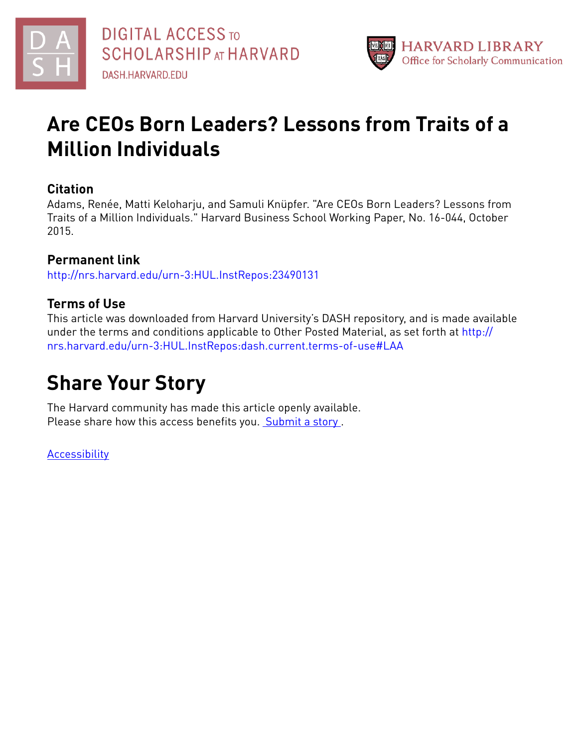



# **Are CEOs Born Leaders? Lessons from Traits of a Million Individuals**

## **Citation**

Adams, Renée, Matti Keloharju, and Samuli Knüpfer. "Are CEOs Born Leaders? Lessons from Traits of a Million Individuals." Harvard Business School Working Paper, No. 16-044, October 2015.

## **Permanent link**

<http://nrs.harvard.edu/urn-3:HUL.InstRepos:23490131>

## **Terms of Use**

This article was downloaded from Harvard University's DASH repository, and is made available under the terms and conditions applicable to Other Posted Material, as set forth at [http://](http://nrs.harvard.edu/urn-3:HUL.InstRepos:dash.current.terms-of-use#LAA) [nrs.harvard.edu/urn-3:HUL.InstRepos:dash.current.terms-of-use#LAA](http://nrs.harvard.edu/urn-3:HUL.InstRepos:dash.current.terms-of-use#LAA)

# **Share Your Story**

The Harvard community has made this article openly available. Please share how this access benefits you. [Submit](http://osc.hul.harvard.edu/dash/open-access-feedback?handle=&title=Are%20CEOs%20Born%20Leaders?%20Lessons%20from%20Traits%20of%20a%20Million%20Individuals&community=1/3345929&collection=1/3345930&owningCollection1/3345930&harvardAuthors=3b4e3c8231c1ad4b61cbf635c6754892&department) a story.

[Accessibility](https://dash.harvard.edu/pages/accessibility)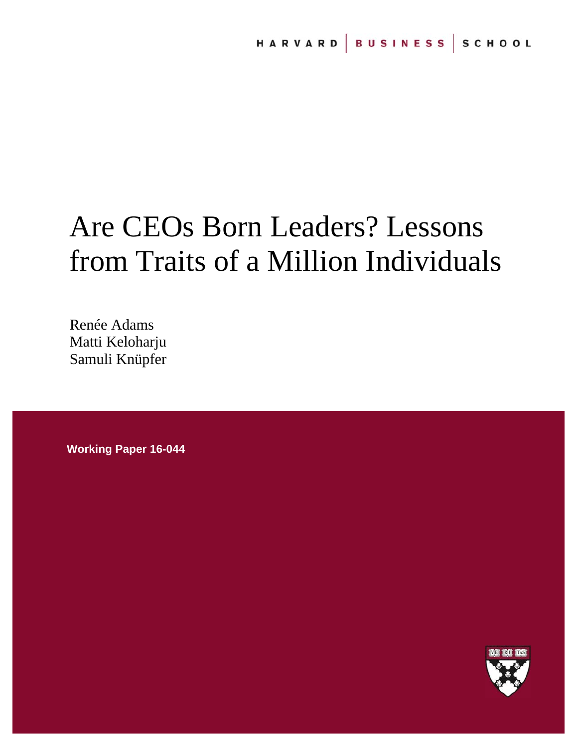# Are CEOs Born Leaders? Lessons from Traits of a Million Individuals

Renée Adams Matti Keloharju Samuli Knüpfer

**Working Paper 16-044** 

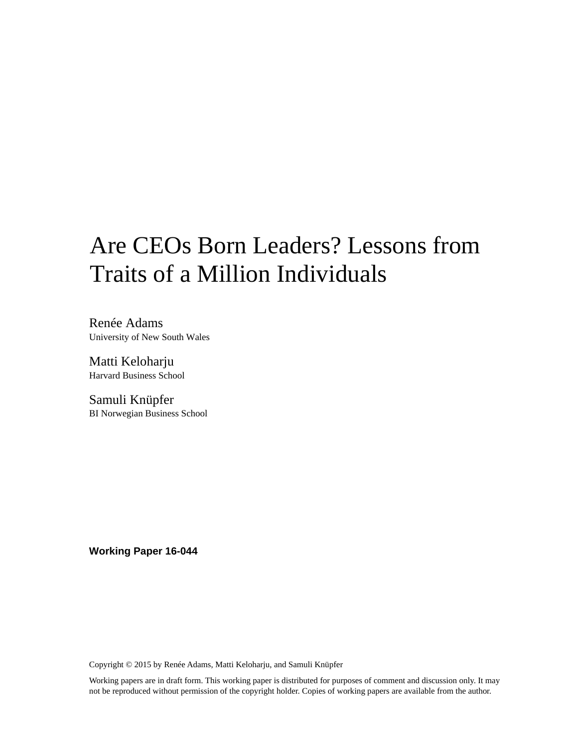# Are CEOs Born Leaders? Lessons from Traits of a Million Individuals

Renée Adams University of New South Wales

Matti Keloharju Harvard Business School

Samuli Knüpfer BI Norwegian Business School

**Working Paper 16-044** 

Copyright © 2015 by Renée Adams, Matti Keloharju, and Samuli Knüpfer

Working papers are in draft form. This working paper is distributed for purposes of comment and discussion only. It may not be reproduced without permission of the copyright holder. Copies of working papers are available from the author.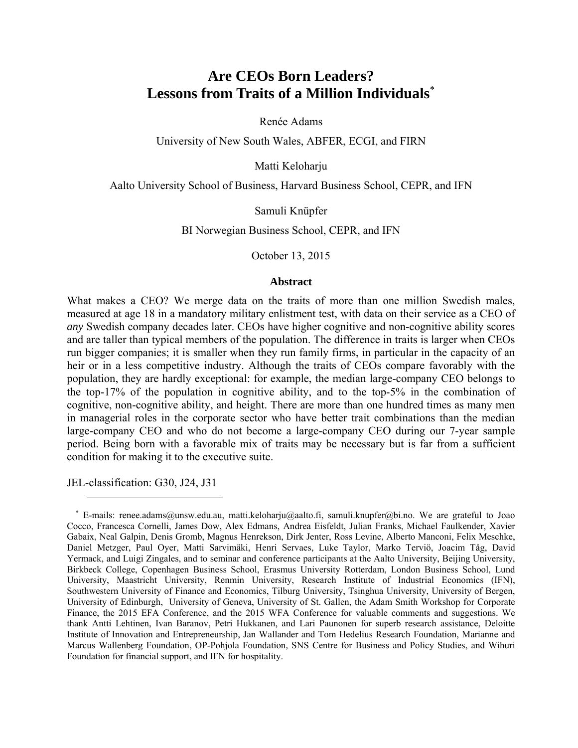## **Are CEOs Born Leaders? Lessons from Traits of a Million Individuals**\*

Renée Adams

University of New South Wales, ABFER, ECGI, and FIRN

Matti Keloharju

Aalto University School of Business, Harvard Business School, CEPR, and IFN

Samuli Knüpfer

BI Norwegian Business School, CEPR, and IFN

October 13, 2015

#### **Abstract**

What makes a CEO? We merge data on the traits of more than one million Swedish males, measured at age 18 in a mandatory military enlistment test, with data on their service as a CEO of *any* Swedish company decades later. CEOs have higher cognitive and non-cognitive ability scores and are taller than typical members of the population. The difference in traits is larger when CEOs run bigger companies; it is smaller when they run family firms, in particular in the capacity of an heir or in a less competitive industry. Although the traits of CEOs compare favorably with the population, they are hardly exceptional: for example, the median large-company CEO belongs to the top-17% of the population in cognitive ability, and to the top-5% in the combination of cognitive, non-cognitive ability, and height. There are more than one hundred times as many men in managerial roles in the corporate sector who have better trait combinations than the median large-company CEO and who do not become a large-company CEO during our 7-year sample period. Being born with a favorable mix of traits may be necessary but is far from a sufficient condition for making it to the executive suite.

JEL-classification: G30, J24, J31

<sup>\*</sup> E-mails: renee.adams@unsw.edu.au, matti.keloharju@aalto.fi, samuli.knupfer@bi.no. We are grateful to Joao Cocco, Francesca Cornelli, James Dow, Alex Edmans, Andrea Eisfeldt, Julian Franks, Michael Faulkender, Xavier Gabaix, Neal Galpin, Denis Gromb, Magnus Henrekson, Dirk Jenter, Ross Levine, Alberto Manconi, Felix Meschke, Daniel Metzger, Paul Oyer, Matti Sarvimäki, Henri Servaes, Luke Taylor, Marko Terviö, Joacim Tåg, David Yermack, and Luigi Zingales, and to seminar and conference participants at the Aalto University, Beijing University, Birkbeck College, Copenhagen Business School, Erasmus University Rotterdam, London Business School, Lund University, Maastricht University, Renmin University, Research Institute of Industrial Economics (IFN), Southwestern University of Finance and Economics, Tilburg University, Tsinghua University, University of Bergen, University of Edinburgh, University of Geneva, University of St. Gallen, the Adam Smith Workshop for Corporate Finance, the 2015 EFA Conference, and the 2015 WFA Conference for valuable comments and suggestions. We thank Antti Lehtinen, Ivan Baranov, Petri Hukkanen, and Lari Paunonen for superb research assistance, Deloitte Institute of Innovation and Entrepreneurship, Jan Wallander and Tom Hedelius Research Foundation, Marianne and Marcus Wallenberg Foundation, OP-Pohjola Foundation, SNS Centre for Business and Policy Studies, and Wihuri Foundation for financial support, and IFN for hospitality.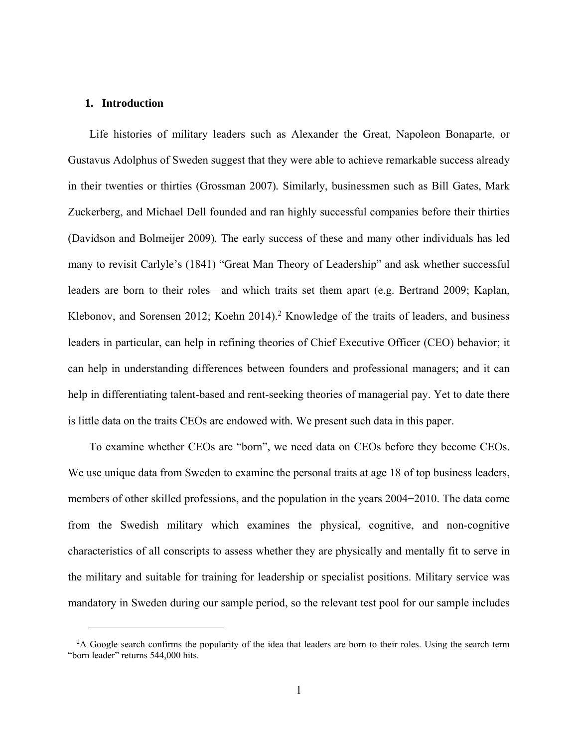#### **1. Introduction**

 $\overline{a}$ 

Life histories of military leaders such as Alexander the Great, Napoleon Bonaparte, or Gustavus Adolphus of Sweden suggest that they were able to achieve remarkable success already in their twenties or thirties (Grossman 2007)*.* Similarly, businessmen such as Bill Gates, Mark Zuckerberg, and Michael Dell founded and ran highly successful companies before their thirties (Davidson and Bolmeijer 2009)*.* The early success of these and many other individuals has led many to revisit Carlyle's (1841) "Great Man Theory of Leadership" and ask whether successful leaders are born to their roles—and which traits set them apart (e.g. Bertrand 2009; Kaplan, Klebonov, and Sorensen 2012; Koehn 2014).<sup>2</sup> Knowledge of the traits of leaders, and business leaders in particular, can help in refining theories of Chief Executive Officer (CEO) behavior; it can help in understanding differences between founders and professional managers; and it can help in differentiating talent-based and rent-seeking theories of managerial pay. Yet to date there is little data on the traits CEOs are endowed with*.* We present such data in this paper.

To examine whether CEOs are "born", we need data on CEOs before they become CEOs. We use unique data from Sweden to examine the personal traits at age 18 of top business leaders, members of other skilled professions, and the population in the years 2004−2010. The data come from the Swedish military which examines the physical, cognitive, and non-cognitive characteristics of all conscripts to assess whether they are physically and mentally fit to serve in the military and suitable for training for leadership or specialist positions. Military service was mandatory in Sweden during our sample period, so the relevant test pool for our sample includes

<sup>&</sup>lt;sup>2</sup>A Google search confirms the popularity of the idea that leaders are born to their roles. Using the search term "born leader" returns 544,000 hits.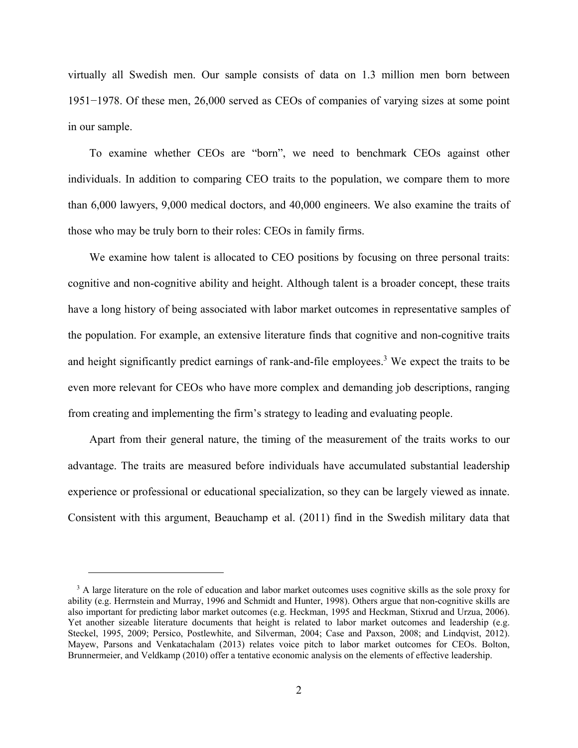virtually all Swedish men. Our sample consists of data on 1.3 million men born between 1951−1978. Of these men, 26,000 served as CEOs of companies of varying sizes at some point in our sample.

To examine whether CEOs are "born", we need to benchmark CEOs against other individuals. In addition to comparing CEO traits to the population, we compare them to more than 6,000 lawyers, 9,000 medical doctors, and 40,000 engineers. We also examine the traits of those who may be truly born to their roles: CEOs in family firms.

We examine how talent is allocated to CEO positions by focusing on three personal traits: cognitive and non-cognitive ability and height. Although talent is a broader concept, these traits have a long history of being associated with labor market outcomes in representative samples of the population. For example, an extensive literature finds that cognitive and non-cognitive traits and height significantly predict earnings of rank-and-file employees.<sup>3</sup> We expect the traits to be even more relevant for CEOs who have more complex and demanding job descriptions, ranging from creating and implementing the firm's strategy to leading and evaluating people.

Apart from their general nature, the timing of the measurement of the traits works to our advantage. The traits are measured before individuals have accumulated substantial leadership experience or professional or educational specialization, so they can be largely viewed as innate. Consistent with this argument, Beauchamp et al. (2011) find in the Swedish military data that

<sup>&</sup>lt;sup>3</sup> A large literature on the role of education and labor market outcomes uses cognitive skills as the sole proxy for ability (e.g. Herrnstein and Murray, 1996 and Schmidt and Hunter, 1998). Others argue that non-cognitive skills are also important for predicting labor market outcomes (e.g. Heckman, 1995 and Heckman, Stixrud and Urzua, 2006). Yet another sizeable literature documents that height is related to labor market outcomes and leadership (e.g. Steckel, 1995, 2009; Persico, Postlewhite, and Silverman, 2004; Case and Paxson, 2008; and Lindqvist, 2012). Mayew, Parsons and Venkatachalam (2013) relates voice pitch to labor market outcomes for CEOs. Bolton, Brunnermeier, and Veldkamp (2010) offer a tentative economic analysis on the elements of effective leadership.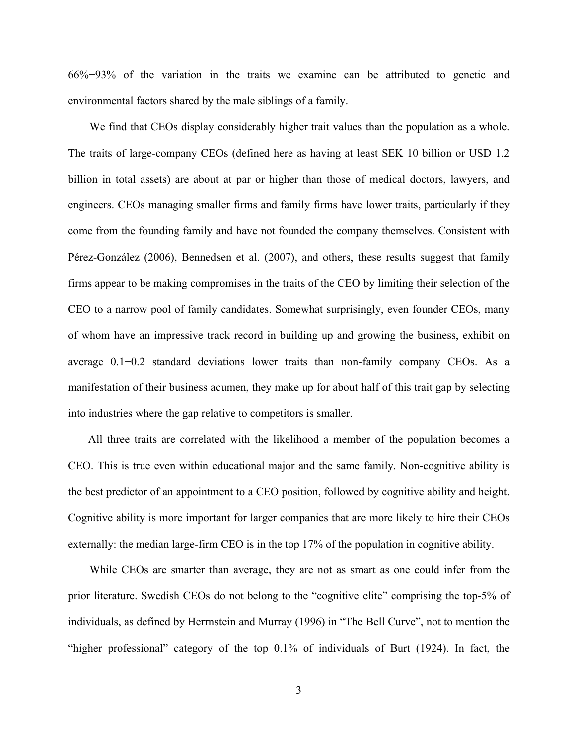66%−93% of the variation in the traits we examine can be attributed to genetic and environmental factors shared by the male siblings of a family.

We find that CEOs display considerably higher trait values than the population as a whole. The traits of large-company CEOs (defined here as having at least SEK 10 billion or USD 1.2 billion in total assets) are about at par or higher than those of medical doctors, lawyers, and engineers. CEOs managing smaller firms and family firms have lower traits, particularly if they come from the founding family and have not founded the company themselves. Consistent with Pérez-González (2006), Bennedsen et al. (2007), and others, these results suggest that family firms appear to be making compromises in the traits of the CEO by limiting their selection of the CEO to a narrow pool of family candidates. Somewhat surprisingly, even founder CEOs, many of whom have an impressive track record in building up and growing the business, exhibit on average 0.1−0.2 standard deviations lower traits than non-family company CEOs. As a manifestation of their business acumen, they make up for about half of this trait gap by selecting into industries where the gap relative to competitors is smaller.

All three traits are correlated with the likelihood a member of the population becomes a CEO. This is true even within educational major and the same family. Non-cognitive ability is the best predictor of an appointment to a CEO position, followed by cognitive ability and height. Cognitive ability is more important for larger companies that are more likely to hire their CEOs externally: the median large-firm CEO is in the top 17% of the population in cognitive ability.

While CEOs are smarter than average, they are not as smart as one could infer from the prior literature. Swedish CEOs do not belong to the "cognitive elite" comprising the top-5% of individuals, as defined by Herrnstein and Murray (1996) in "The Bell Curve", not to mention the "higher professional" category of the top 0.1% of individuals of Burt (1924). In fact, the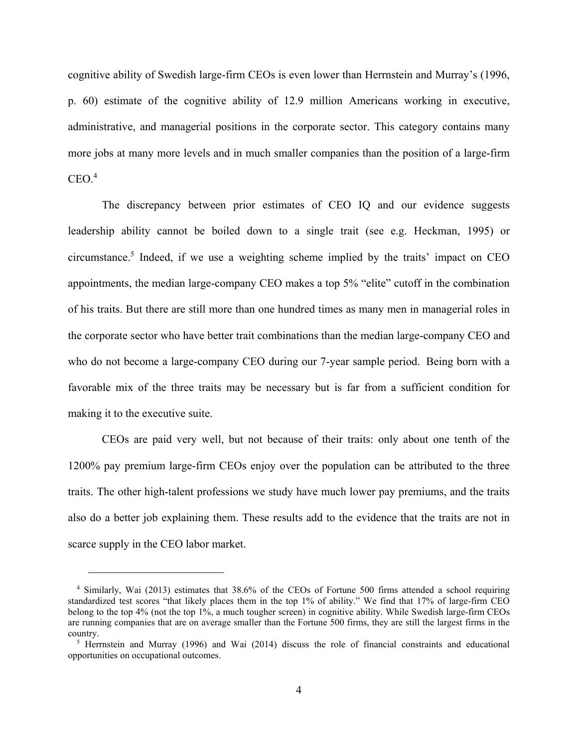cognitive ability of Swedish large-firm CEOs is even lower than Herrnstein and Murray's (1996, p. 60) estimate of the cognitive ability of 12.9 million Americans working in executive, administrative, and managerial positions in the corporate sector. This category contains many more jobs at many more levels and in much smaller companies than the position of a large-firm  $CEO.<sup>4</sup>$ 

The discrepancy between prior estimates of CEO IQ and our evidence suggests leadership ability cannot be boiled down to a single trait (see e.g. Heckman, 1995) or circumstance.5 Indeed, if we use a weighting scheme implied by the traits' impact on CEO appointments, the median large-company CEO makes a top 5% "elite" cutoff in the combination of his traits. But there are still more than one hundred times as many men in managerial roles in the corporate sector who have better trait combinations than the median large-company CEO and who do not become a large-company CEO during our 7-year sample period. Being born with a favorable mix of the three traits may be necessary but is far from a sufficient condition for making it to the executive suite.

CEOs are paid very well, but not because of their traits: only about one tenth of the 1200% pay premium large-firm CEOs enjoy over the population can be attributed to the three traits. The other high-talent professions we study have much lower pay premiums, and the traits also do a better job explaining them. These results add to the evidence that the traits are not in scarce supply in the CEO labor market.

<sup>4</sup> Similarly, Wai (2013) estimates that 38.6% of the CEOs of Fortune 500 firms attended a school requiring standardized test scores "that likely places them in the top 1% of ability." We find that 17% of large-firm CEO belong to the top 4% (not the top 1%, a much tougher screen) in cognitive ability. While Swedish large-firm CEOs are running companies that are on average smaller than the Fortune 500 firms, they are still the largest firms in the country.

<sup>&</sup>lt;sup>5</sup> Herrnstein and Murray (1996) and Wai (2014) discuss the role of financial constraints and educational opportunities on occupational outcomes.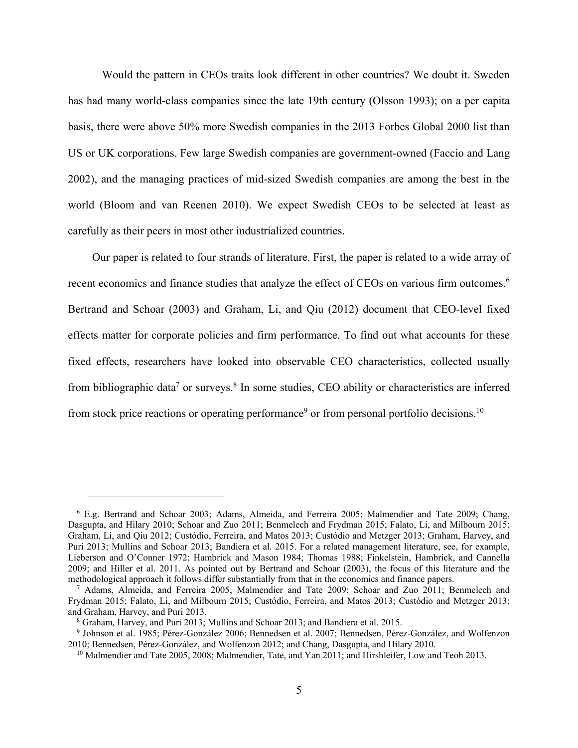Would the pattern in CEOs traits look different in other countries? We doubt it. Sweden has had many world-class companies since the late 19th century (Olsson 1993); on a per capita basis, there were above 50% more Swedish companies in the 2013 Forbes Global 2000 list than US or UK corporations. Few large Swedish companies are government-owned (Faccio and Lang 2002), and the managing practices of mid-sized Swedish companies are among the best in the world (Bloom and van Reenen 2010). We expect Swedish CEOs to be selected at least as carefully as their peers in most other industrialized countries.

 Our paper is related to four strands of literature. First, the paper is related to a wide array of recent economics and finance studies that analyze the effect of CEOs on various firm outcomes.<sup>6</sup> Bertrand and Schoar (2003) and Graham, Li, and Qiu (2012) document that CEO-level fixed effects matter for corporate policies and firm performance. To find out what accounts for these fixed effects, researchers have looked into observable CEO characteristics, collected usually from bibliographic data<sup>7</sup> or surveys.<sup>8</sup> In some studies, CEO ability or characteristics are inferred from stock price reactions or operating performance<sup>9</sup> or from personal portfolio decisions.<sup>10</sup>

<sup>6</sup> E.g. Bertrand and Schoar 2003; Adams, Almeida, and Ferreira 2005; Malmendier and Tate 2009; Chang, Dasgupta, and Hilary 2010; Schoar and Zuo 2011; Benmelech and Frydman 2015; Falato, Li, and Milbourn 2015; Graham, Li, and Qiu 2012; Custódio, Ferreira, and Matos 2013; Custódio and Metzger 2013; Graham, Harvey, and Puri 2013; Mullins and Schoar 2013; Bandiera et al. 2015. For a related management literature, see, for example, Lieberson and O'Conner 1972; Hambrick and Mason 1984; Thomas 1988; Finkelstein, Hambrick, and Cannella 2009; and Hiller et al. 2011. As pointed out by Bertrand and Schoar (2003), the focus of this literature and the methodological approach it follows differ substantially from that in the economics and finance papers. 7

Adams, Almeida, and Ferreira 2005; Malmendier and Tate 2009; Schoar and Zuo 2011; Benmelech and Frydman 2015; Falato, Li, and Milbourn 2015; Custódio, Ferreira, and Matos 2013; Custódio and Metzger 2013; and Graham, Harvey, and Puri 2013.

Graham, Harvey, and Puri 2013; Mullins and Schoar 2013; and Bandiera et al. 2015. 9

<sup>&</sup>lt;sup>9</sup> Johnson et al. 1985; Pérez-González 2006; Bennedsen et al. 2007; Bennedsen, Pérez-González, and Wolfenzon 2010; Bennedsen, Pérez-González, and Wolfenzon 2012; and Chang, Dasgupta, and Hilary 2010.

<sup>&</sup>lt;sup>10</sup> Malmendier and Tate 2005, 2008; Malmendier, Tate, and Yan 2011; and Hirshleifer, Low and Teoh 2013.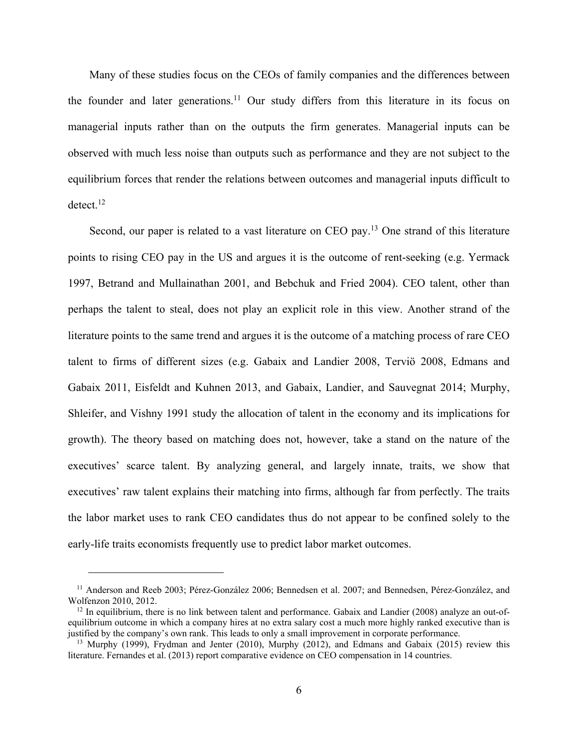Many of these studies focus on the CEOs of family companies and the differences between the founder and later generations.<sup>11</sup> Our study differs from this literature in its focus on managerial inputs rather than on the outputs the firm generates. Managerial inputs can be observed with much less noise than outputs such as performance and they are not subject to the equilibrium forces that render the relations between outcomes and managerial inputs difficult to  $\rm detect.^{12}$ 

Second, our paper is related to a vast literature on CEO pay.<sup>13</sup> One strand of this literature points to rising CEO pay in the US and argues it is the outcome of rent-seeking (e.g. Yermack 1997, Betrand and Mullainathan 2001, and Bebchuk and Fried 2004). CEO talent, other than perhaps the talent to steal, does not play an explicit role in this view. Another strand of the literature points to the same trend and argues it is the outcome of a matching process of rare CEO talent to firms of different sizes (e.g. Gabaix and Landier 2008, Terviö 2008, Edmans and Gabaix 2011, Eisfeldt and Kuhnen 2013, and Gabaix, Landier, and Sauvegnat 2014; Murphy, Shleifer, and Vishny 1991 study the allocation of talent in the economy and its implications for growth). The theory based on matching does not, however, take a stand on the nature of the executives' scarce talent. By analyzing general, and largely innate, traits, we show that executives' raw talent explains their matching into firms, although far from perfectly. The traits the labor market uses to rank CEO candidates thus do not appear to be confined solely to the early-life traits economists frequently use to predict labor market outcomes.

<sup>11</sup> Anderson and Reeb 2003; Pérez-González 2006; Bennedsen et al. 2007; and Bennedsen, Pérez-González, and Wolfenzon 2010, 2012.<br><sup>12</sup> In equilibrium, there is no link between talent and performance. Gabaix and Landier (2008) analyze an out-of-

equilibrium outcome in which a company hires at no extra salary cost a much more highly ranked executive than is justified by the company's own rank. This leads to only a small improvement in corporate performance.

<sup>&</sup>lt;sup>13</sup> Murphy (1999), Frydman and Jenter (2010), Murphy (2012), and Edmans and Gabaix (2015) review this literature. Fernandes et al. (2013) report comparative evidence on CEO compensation in 14 countries.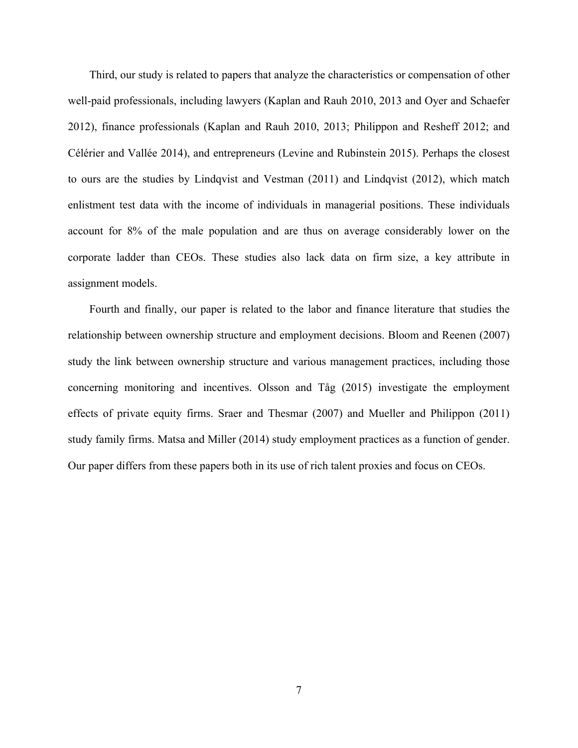Third, our study is related to papers that analyze the characteristics or compensation of other well-paid professionals, including lawyers (Kaplan and Rauh 2010, 2013 and Oyer and Schaefer 2012), finance professionals (Kaplan and Rauh 2010, 2013; Philippon and Resheff 2012; and Célérier and Vallée 2014), and entrepreneurs (Levine and Rubinstein 2015). Perhaps the closest to ours are the studies by Lindqvist and Vestman (2011) and Lindqvist (2012), which match enlistment test data with the income of individuals in managerial positions. These individuals account for 8% of the male population and are thus on average considerably lower on the corporate ladder than CEOs. These studies also lack data on firm size, a key attribute in assignment models.

Fourth and finally, our paper is related to the labor and finance literature that studies the relationship between ownership structure and employment decisions. Bloom and Reenen (2007) study the link between ownership structure and various management practices, including those concerning monitoring and incentives. Olsson and Tåg (2015) investigate the employment effects of private equity firms. Sraer and Thesmar (2007) and Mueller and Philippon (2011) study family firms. Matsa and Miller (2014) study employment practices as a function of gender. Our paper differs from these papers both in its use of rich talent proxies and focus on CEOs.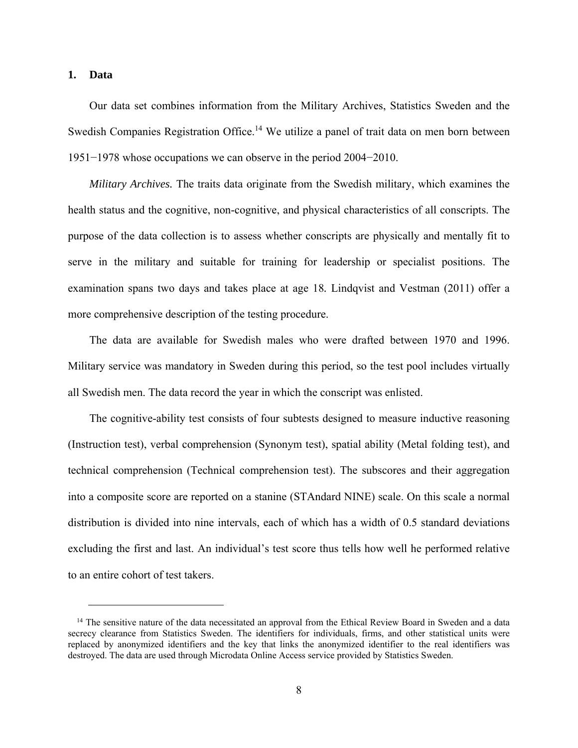#### **1. Data**

 $\overline{a}$ 

Our data set combines information from the Military Archives, Statistics Sweden and the Swedish Companies Registration Office.<sup>14</sup> We utilize a panel of trait data on men born between 1951−1978 whose occupations we can observe in the period 2004−2010.

*Military Archives.* The traits data originate from the Swedish military, which examines the health status and the cognitive, non-cognitive, and physical characteristics of all conscripts. The purpose of the data collection is to assess whether conscripts are physically and mentally fit to serve in the military and suitable for training for leadership or specialist positions. The examination spans two days and takes place at age 18*.* Lindqvist and Vestman (2011) offer a more comprehensive description of the testing procedure.

The data are available for Swedish males who were drafted between 1970 and 1996. Military service was mandatory in Sweden during this period, so the test pool includes virtually all Swedish men. The data record the year in which the conscript was enlisted.

The cognitive-ability test consists of four subtests designed to measure inductive reasoning (Instruction test), verbal comprehension (Synonym test), spatial ability (Metal folding test), and technical comprehension (Technical comprehension test). The subscores and their aggregation into a composite score are reported on a stanine (STAndard NINE) scale. On this scale a normal distribution is divided into nine intervals, each of which has a width of 0.5 standard deviations excluding the first and last. An individual's test score thus tells how well he performed relative to an entire cohort of test takers.

<sup>&</sup>lt;sup>14</sup> The sensitive nature of the data necessitated an approval from the Ethical Review Board in Sweden and a data secrecy clearance from Statistics Sweden. The identifiers for individuals, firms, and other statistical units were replaced by anonymized identifiers and the key that links the anonymized identifier to the real identifiers was destroyed. The data are used through Microdata Online Access service provided by Statistics Sweden.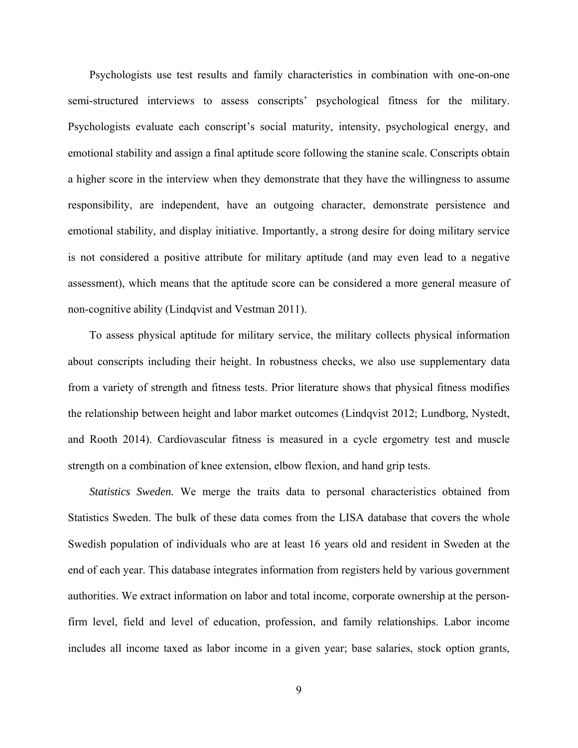Psychologists use test results and family characteristics in combination with one-on-one semi-structured interviews to assess conscripts' psychological fitness for the military. Psychologists evaluate each conscript's social maturity, intensity, psychological energy, and emotional stability and assign a final aptitude score following the stanine scale. Conscripts obtain a higher score in the interview when they demonstrate that they have the willingness to assume responsibility, are independent, have an outgoing character, demonstrate persistence and emotional stability, and display initiative. Importantly, a strong desire for doing military service is not considered a positive attribute for military aptitude (and may even lead to a negative assessment), which means that the aptitude score can be considered a more general measure of non-cognitive ability (Lindqvist and Vestman 2011).

To assess physical aptitude for military service, the military collects physical information about conscripts including their height. In robustness checks, we also use supplementary data from a variety of strength and fitness tests. Prior literature shows that physical fitness modifies the relationship between height and labor market outcomes (Lindqvist 2012; Lundborg, Nystedt, and Rooth 2014). Cardiovascular fitness is measured in a cycle ergometry test and muscle strength on a combination of knee extension, elbow flexion, and hand grip tests.

*Statistics Sweden.* We merge the traits data to personal characteristics obtained from Statistics Sweden. The bulk of these data comes from the LISA database that covers the whole Swedish population of individuals who are at least 16 years old and resident in Sweden at the end of each year. This database integrates information from registers held by various government authorities. We extract information on labor and total income, corporate ownership at the personfirm level, field and level of education, profession, and family relationships. Labor income includes all income taxed as labor income in a given year; base salaries, stock option grants,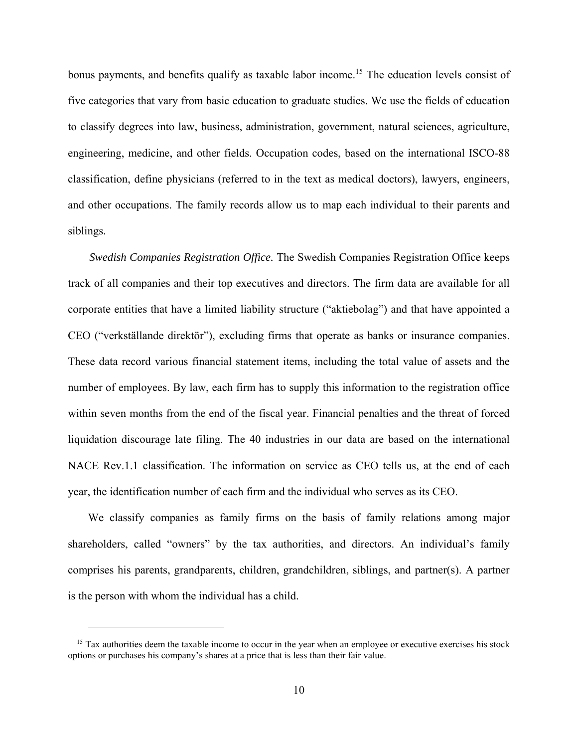bonus payments, and benefits qualify as taxable labor income.<sup>15</sup> The education levels consist of five categories that vary from basic education to graduate studies. We use the fields of education to classify degrees into law, business, administration, government, natural sciences, agriculture, engineering, medicine, and other fields. Occupation codes, based on the international ISCO-88 classification, define physicians (referred to in the text as medical doctors), lawyers, engineers, and other occupations. The family records allow us to map each individual to their parents and siblings.

*Swedish Companies Registration Office.* The Swedish Companies Registration Office keeps track of all companies and their top executives and directors. The firm data are available for all corporate entities that have a limited liability structure ("aktiebolag") and that have appointed a CEO ("verkställande direktör"), excluding firms that operate as banks or insurance companies. These data record various financial statement items, including the total value of assets and the number of employees. By law, each firm has to supply this information to the registration office within seven months from the end of the fiscal year. Financial penalties and the threat of forced liquidation discourage late filing. The 40 industries in our data are based on the international NACE Rev.1.1 classification. The information on service as CEO tells us, at the end of each year, the identification number of each firm and the individual who serves as its CEO.

We classify companies as family firms on the basis of family relations among major shareholders, called "owners" by the tax authorities, and directors. An individual's family comprises his parents, grandparents, children, grandchildren, siblings, and partner(s). A partner is the person with whom the individual has a child.

 $15$  Tax authorities deem the taxable income to occur in the year when an employee or executive exercises his stock options or purchases his company's shares at a price that is less than their fair value.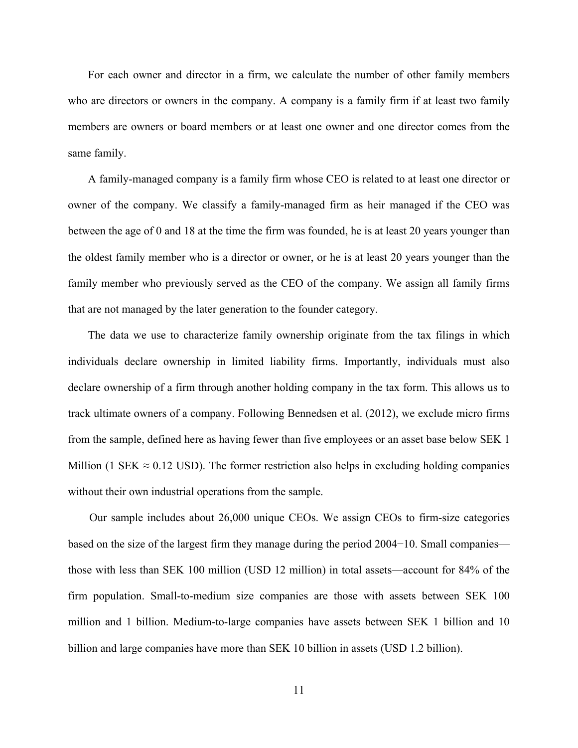For each owner and director in a firm, we calculate the number of other family members who are directors or owners in the company. A company is a family firm if at least two family members are owners or board members or at least one owner and one director comes from the same family.

A family-managed company is a family firm whose CEO is related to at least one director or owner of the company. We classify a family-managed firm as heir managed if the CEO was between the age of 0 and 18 at the time the firm was founded, he is at least 20 years younger than the oldest family member who is a director or owner, or he is at least 20 years younger than the family member who previously served as the CEO of the company. We assign all family firms that are not managed by the later generation to the founder category.

The data we use to characterize family ownership originate from the tax filings in which individuals declare ownership in limited liability firms. Importantly, individuals must also declare ownership of a firm through another holding company in the tax form. This allows us to track ultimate owners of a company. Following Bennedsen et al. (2012), we exclude micro firms from the sample, defined here as having fewer than five employees or an asset base below SEK 1 Million (1 SEK  $\approx$  0.12 USD). The former restriction also helps in excluding holding companies without their own industrial operations from the sample.

Our sample includes about 26,000 unique CEOs. We assign CEOs to firm-size categories based on the size of the largest firm they manage during the period 2004−10. Small companies those with less than SEK 100 million (USD 12 million) in total assets—account for 84% of the firm population. Small-to-medium size companies are those with assets between SEK 100 million and 1 billion. Medium-to-large companies have assets between SEK 1 billion and 10 billion and large companies have more than SEK 10 billion in assets (USD 1.2 billion).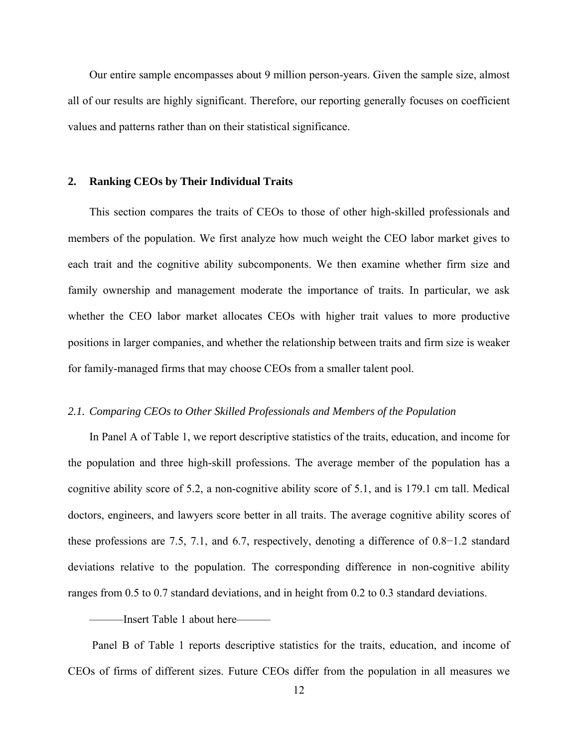Our entire sample encompasses about 9 million person-years. Given the sample size, almost all of our results are highly significant. Therefore, our reporting generally focuses on coefficient values and patterns rather than on their statistical significance.

#### **2. Ranking CEOs by Their Individual Traits**

This section compares the traits of CEOs to those of other high-skilled professionals and members of the population. We first analyze how much weight the CEO labor market gives to each trait and the cognitive ability subcomponents. We then examine whether firm size and family ownership and management moderate the importance of traits. In particular, we ask whether the CEO labor market allocates CEOs with higher trait values to more productive positions in larger companies, and whether the relationship between traits and firm size is weaker for family-managed firms that may choose CEOs from a smaller talent pool.

#### *2.1. Comparing CEOs to Other Skilled Professionals and Members of the Population*

In Panel A of Table 1, we report descriptive statistics of the traits, education, and income for the population and three high-skill professions. The average member of the population has a cognitive ability score of 5.2, a non-cognitive ability score of 5.1, and is 179.1 cm tall. Medical doctors, engineers, and lawyers score better in all traits. The average cognitive ability scores of these professions are 7.5, 7.1, and 6.7, respectively, denoting a difference of 0.8−1.2 standard deviations relative to the population. The corresponding difference in non-cognitive ability ranges from 0.5 to 0.7 standard deviations, and in height from 0.2 to 0.3 standard deviations.

—Insert Table 1 about here—

 Panel B of Table 1 reports descriptive statistics for the traits, education, and income of CEOs of firms of different sizes. Future CEOs differ from the population in all measures we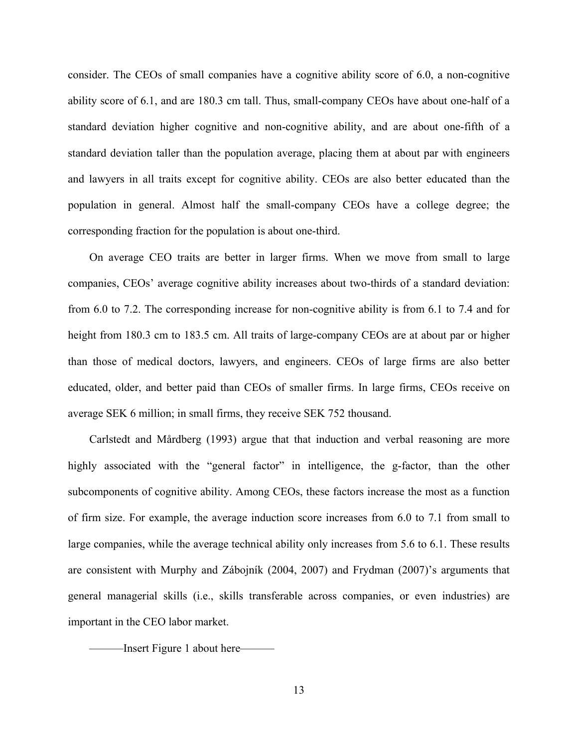consider. The CEOs of small companies have a cognitive ability score of 6.0, a non-cognitive ability score of 6.1, and are 180.3 cm tall. Thus, small-company CEOs have about one-half of a standard deviation higher cognitive and non-cognitive ability, and are about one-fifth of a standard deviation taller than the population average, placing them at about par with engineers and lawyers in all traits except for cognitive ability. CEOs are also better educated than the population in general. Almost half the small-company CEOs have a college degree; the corresponding fraction for the population is about one-third.

On average CEO traits are better in larger firms. When we move from small to large companies, CEOs' average cognitive ability increases about two-thirds of a standard deviation: from 6.0 to 7.2. The corresponding increase for non-cognitive ability is from 6.1 to 7.4 and for height from 180.3 cm to 183.5 cm. All traits of large-company CEOs are at about par or higher than those of medical doctors, lawyers, and engineers. CEOs of large firms are also better educated, older, and better paid than CEOs of smaller firms. In large firms, CEOs receive on average SEK 6 million; in small firms, they receive SEK 752 thousand.

Carlstedt and Mårdberg (1993) argue that that induction and verbal reasoning are more highly associated with the "general factor" in intelligence, the g-factor, than the other subcomponents of cognitive ability. Among CEOs, these factors increase the most as a function of firm size. For example, the average induction score increases from 6.0 to 7.1 from small to large companies, while the average technical ability only increases from 5.6 to 6.1. These results are consistent with Murphy and Zábojník (2004, 2007) and Frydman (2007)'s arguments that general managerial skills (i.e., skills transferable across companies, or even industries) are important in the CEO labor market.

———Insert Figure 1 about here———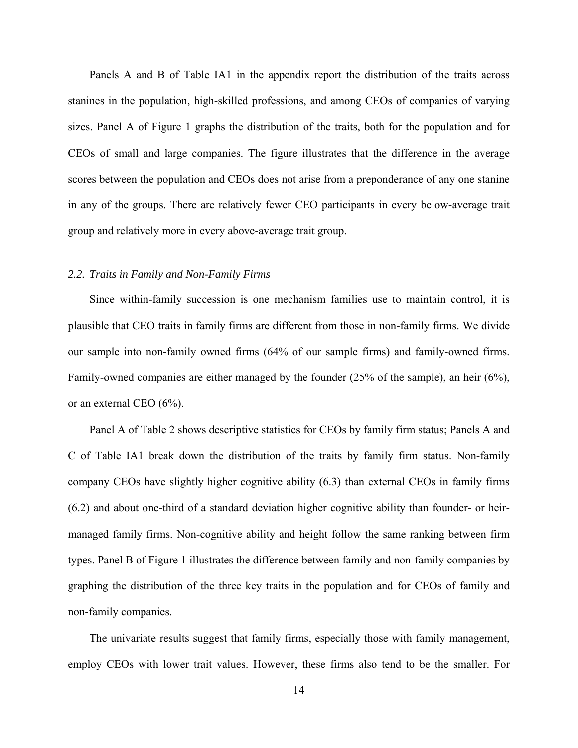Panels A and B of Table IA1 in the appendix report the distribution of the traits across stanines in the population, high-skilled professions, and among CEOs of companies of varying sizes. Panel A of Figure 1 graphs the distribution of the traits, both for the population and for CEOs of small and large companies. The figure illustrates that the difference in the average scores between the population and CEOs does not arise from a preponderance of any one stanine in any of the groups. There are relatively fewer CEO participants in every below-average trait group and relatively more in every above-average trait group.

#### *2.2. Traits in Family and Non-Family Firms*

Since within-family succession is one mechanism families use to maintain control, it is plausible that CEO traits in family firms are different from those in non-family firms. We divide our sample into non-family owned firms (64% of our sample firms) and family-owned firms. Family-owned companies are either managed by the founder (25% of the sample), an heir (6%), or an external CEO (6%).

Panel A of Table 2 shows descriptive statistics for CEOs by family firm status; Panels A and C of Table IA1 break down the distribution of the traits by family firm status. Non-family company CEOs have slightly higher cognitive ability (6.3) than external CEOs in family firms (6.2) and about one-third of a standard deviation higher cognitive ability than founder- or heirmanaged family firms. Non-cognitive ability and height follow the same ranking between firm types. Panel B of Figure 1 illustrates the difference between family and non-family companies by graphing the distribution of the three key traits in the population and for CEOs of family and non-family companies.

The univariate results suggest that family firms, especially those with family management, employ CEOs with lower trait values. However, these firms also tend to be the smaller. For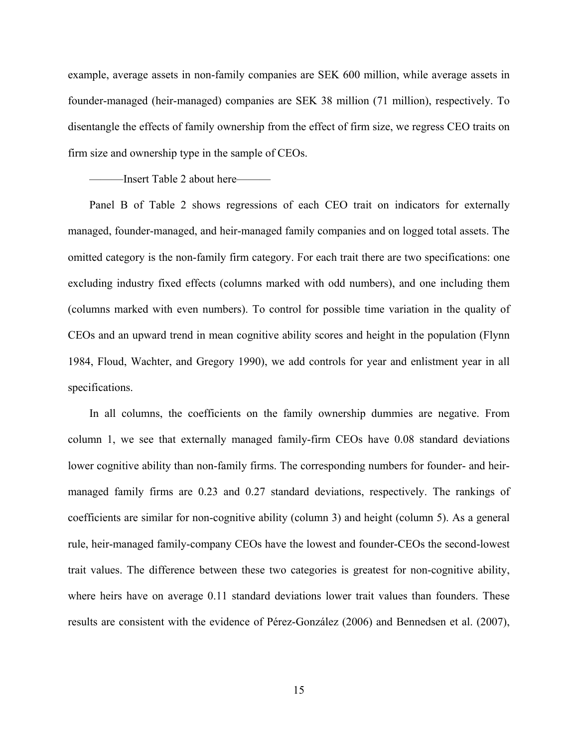example, average assets in non-family companies are SEK 600 million, while average assets in founder-managed (heir-managed) companies are SEK 38 million (71 million), respectively. To disentangle the effects of family ownership from the effect of firm size, we regress CEO traits on firm size and ownership type in the sample of CEOs.

——Insert Table 2 about here—

Panel B of Table 2 shows regressions of each CEO trait on indicators for externally managed, founder-managed, and heir-managed family companies and on logged total assets. The omitted category is the non-family firm category. For each trait there are two specifications: one excluding industry fixed effects (columns marked with odd numbers), and one including them (columns marked with even numbers). To control for possible time variation in the quality of CEOs and an upward trend in mean cognitive ability scores and height in the population (Flynn 1984, Floud, Wachter, and Gregory 1990), we add controls for year and enlistment year in all specifications.

In all columns, the coefficients on the family ownership dummies are negative. From column 1, we see that externally managed family-firm CEOs have 0.08 standard deviations lower cognitive ability than non-family firms. The corresponding numbers for founder- and heirmanaged family firms are 0.23 and 0.27 standard deviations, respectively. The rankings of coefficients are similar for non-cognitive ability (column 3) and height (column 5). As a general rule, heir-managed family-company CEOs have the lowest and founder-CEOs the second-lowest trait values. The difference between these two categories is greatest for non-cognitive ability, where heirs have on average 0.11 standard deviations lower trait values than founders. These results are consistent with the evidence of Pérez-González (2006) and Bennedsen et al. (2007),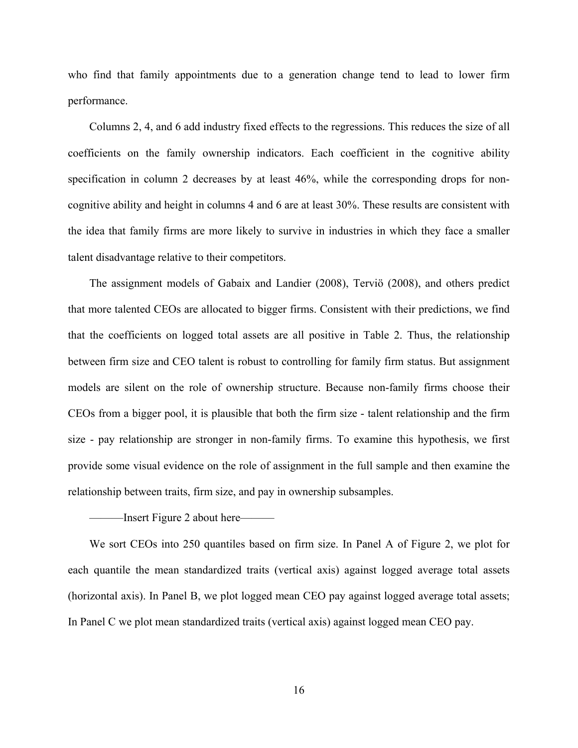who find that family appointments due to a generation change tend to lead to lower firm performance.

Columns 2, 4, and 6 add industry fixed effects to the regressions. This reduces the size of all coefficients on the family ownership indicators. Each coefficient in the cognitive ability specification in column 2 decreases by at least 46%, while the corresponding drops for noncognitive ability and height in columns 4 and 6 are at least 30%. These results are consistent with the idea that family firms are more likely to survive in industries in which they face a smaller talent disadvantage relative to their competitors.

The assignment models of Gabaix and Landier (2008), Terviö (2008), and others predict that more talented CEOs are allocated to bigger firms. Consistent with their predictions, we find that the coefficients on logged total assets are all positive in Table 2. Thus, the relationship between firm size and CEO talent is robust to controlling for family firm status. But assignment models are silent on the role of ownership structure. Because non-family firms choose their CEOs from a bigger pool, it is plausible that both the firm size - talent relationship and the firm size - pay relationship are stronger in non-family firms. To examine this hypothesis, we first provide some visual evidence on the role of assignment in the full sample and then examine the relationship between traits, firm size, and pay in ownership subsamples.

———Insert Figure 2 about here———

We sort CEOs into 250 quantiles based on firm size. In Panel A of Figure 2, we plot for each quantile the mean standardized traits (vertical axis) against logged average total assets (horizontal axis). In Panel B, we plot logged mean CEO pay against logged average total assets; In Panel C we plot mean standardized traits (vertical axis) against logged mean CEO pay.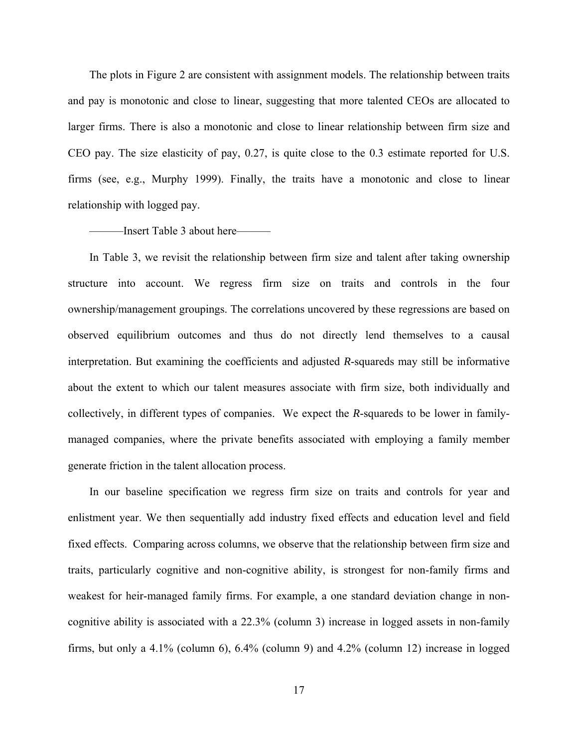The plots in Figure 2 are consistent with assignment models. The relationship between traits and pay is monotonic and close to linear, suggesting that more talented CEOs are allocated to larger firms. There is also a monotonic and close to linear relationship between firm size and CEO pay. The size elasticity of pay, 0.27, is quite close to the 0.3 estimate reported for U.S. firms (see, e.g., Murphy 1999). Finally, the traits have a monotonic and close to linear relationship with logged pay.

#### ———Insert Table 3 about here———

In Table 3, we revisit the relationship between firm size and talent after taking ownership structure into account. We regress firm size on traits and controls in the four ownership/management groupings. The correlations uncovered by these regressions are based on observed equilibrium outcomes and thus do not directly lend themselves to a causal interpretation. But examining the coefficients and adjusted *R*-squareds may still be informative about the extent to which our talent measures associate with firm size, both individually and collectively, in different types of companies. We expect the *R*-squareds to be lower in familymanaged companies, where the private benefits associated with employing a family member generate friction in the talent allocation process.

In our baseline specification we regress firm size on traits and controls for year and enlistment year. We then sequentially add industry fixed effects and education level and field fixed effects. Comparing across columns, we observe that the relationship between firm size and traits, particularly cognitive and non-cognitive ability, is strongest for non-family firms and weakest for heir-managed family firms. For example, a one standard deviation change in noncognitive ability is associated with a 22.3% (column 3) increase in logged assets in non-family firms, but only a 4.1% (column 6), 6.4% (column 9) and 4.2% (column 12) increase in logged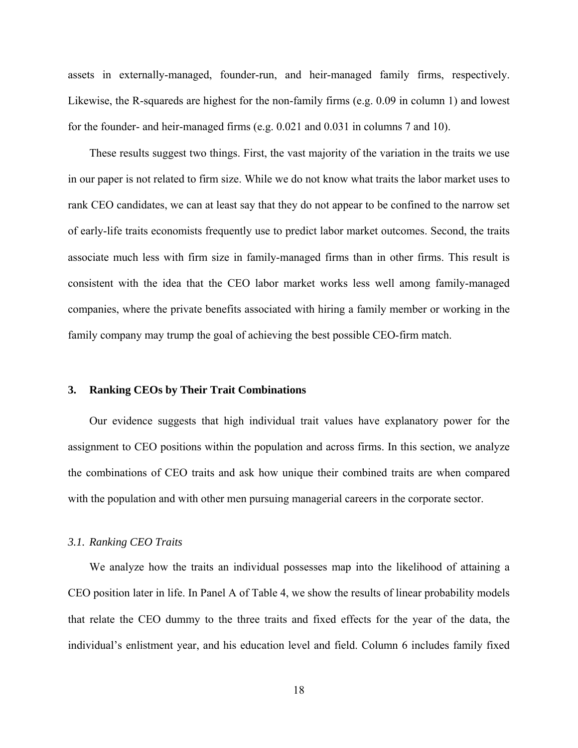assets in externally-managed, founder-run, and heir-managed family firms, respectively. Likewise, the R-squareds are highest for the non-family firms (e.g. 0.09 in column 1) and lowest for the founder- and heir-managed firms (e.g. 0.021 and 0.031 in columns 7 and 10).

These results suggest two things. First, the vast majority of the variation in the traits we use in our paper is not related to firm size. While we do not know what traits the labor market uses to rank CEO candidates, we can at least say that they do not appear to be confined to the narrow set of early-life traits economists frequently use to predict labor market outcomes. Second, the traits associate much less with firm size in family-managed firms than in other firms. This result is consistent with the idea that the CEO labor market works less well among family-managed companies, where the private benefits associated with hiring a family member or working in the family company may trump the goal of achieving the best possible CEO-firm match.

#### **3. Ranking CEOs by Their Trait Combinations**

Our evidence suggests that high individual trait values have explanatory power for the assignment to CEO positions within the population and across firms. In this section, we analyze the combinations of CEO traits and ask how unique their combined traits are when compared with the population and with other men pursuing managerial careers in the corporate sector.

#### *3.1. Ranking CEO Traits*

We analyze how the traits an individual possesses map into the likelihood of attaining a CEO position later in life. In Panel A of Table 4, we show the results of linear probability models that relate the CEO dummy to the three traits and fixed effects for the year of the data, the individual's enlistment year, and his education level and field. Column 6 includes family fixed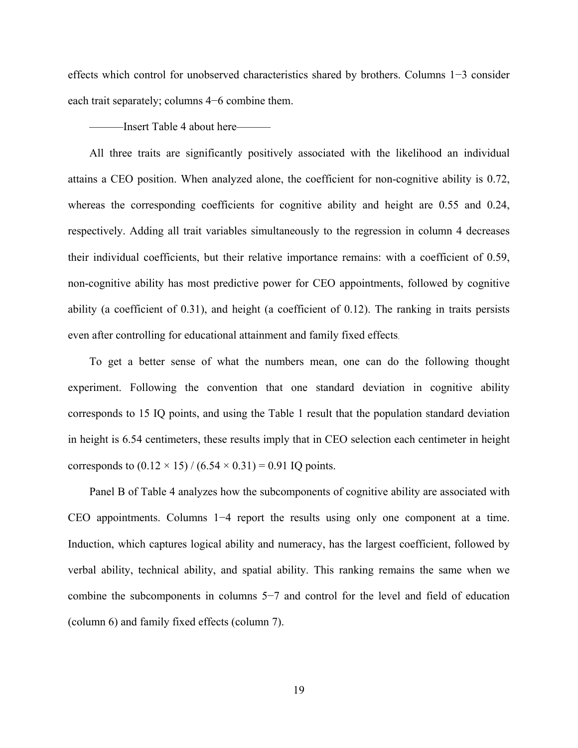effects which control for unobserved characteristics shared by brothers. Columns 1−3 consider each trait separately; columns 4−6 combine them.

———Insert Table 4 about here———

All three traits are significantly positively associated with the likelihood an individual attains a CEO position. When analyzed alone, the coefficient for non-cognitive ability is 0.72, whereas the corresponding coefficients for cognitive ability and height are 0.55 and 0.24, respectively. Adding all trait variables simultaneously to the regression in column 4 decreases their individual coefficients, but their relative importance remains: with a coefficient of 0.59, non-cognitive ability has most predictive power for CEO appointments, followed by cognitive ability (a coefficient of 0.31), and height (a coefficient of 0.12). The ranking in traits persists even after controlling for educational attainment and family fixed effects.

To get a better sense of what the numbers mean, one can do the following thought experiment. Following the convention that one standard deviation in cognitive ability corresponds to 15 IQ points, and using the Table 1 result that the population standard deviation in height is 6.54 centimeters, these results imply that in CEO selection each centimeter in height corresponds to  $(0.12 \times 15) / (6.54 \times 0.31) = 0.91$  IQ points.

Panel B of Table 4 analyzes how the subcomponents of cognitive ability are associated with CEO appointments. Columns 1−4 report the results using only one component at a time. Induction, which captures logical ability and numeracy, has the largest coefficient, followed by verbal ability, technical ability, and spatial ability. This ranking remains the same when we combine the subcomponents in columns 5−7 and control for the level and field of education (column 6) and family fixed effects (column 7).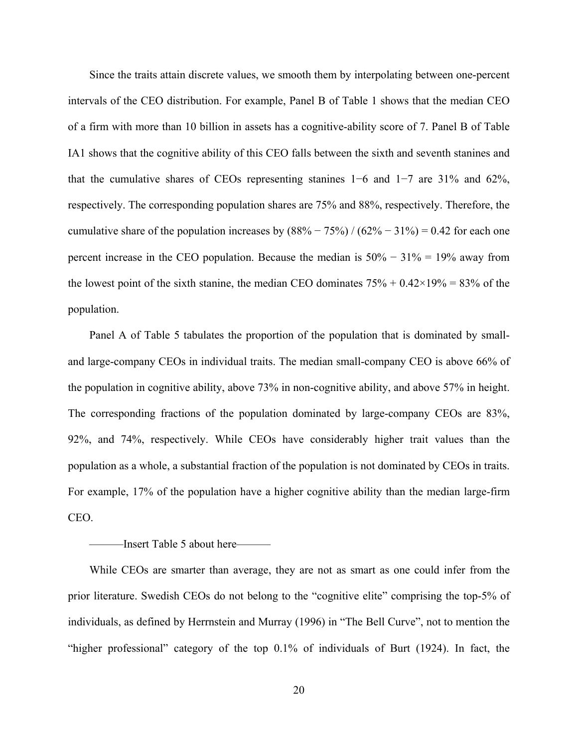Since the traits attain discrete values, we smooth them by interpolating between one-percent intervals of the CEO distribution. For example, Panel B of Table 1 shows that the median CEO of a firm with more than 10 billion in assets has a cognitive-ability score of 7. Panel B of Table IA1 shows that the cognitive ability of this CEO falls between the sixth and seventh stanines and that the cumulative shares of CEOs representing stanines 1−6 and 1−7 are 31% and 62%, respectively. The corresponding population shares are 75% and 88%, respectively. Therefore, the cumulative share of the population increases by  $(88\% - 75\%) / (62\% - 31\%) = 0.42$  for each one percent increase in the CEO population. Because the median is 50% − 31% = 19% away from the lowest point of the sixth stanine, the median CEO dominates  $75\% + 0.42 \times 19\% = 83\%$  of the population.

Panel A of Table 5 tabulates the proportion of the population that is dominated by smalland large-company CEOs in individual traits. The median small-company CEO is above 66% of the population in cognitive ability, above 73% in non-cognitive ability, and above 57% in height. The corresponding fractions of the population dominated by large-company CEOs are 83%, 92%, and 74%, respectively. While CEOs have considerably higher trait values than the population as a whole, a substantial fraction of the population is not dominated by CEOs in traits. For example, 17% of the population have a higher cognitive ability than the median large-firm CEO.

#### -Insert Table 5 about here—

While CEOs are smarter than average, they are not as smart as one could infer from the prior literature. Swedish CEOs do not belong to the "cognitive elite" comprising the top-5% of individuals, as defined by Herrnstein and Murray (1996) in "The Bell Curve", not to mention the "higher professional" category of the top 0.1% of individuals of Burt (1924). In fact, the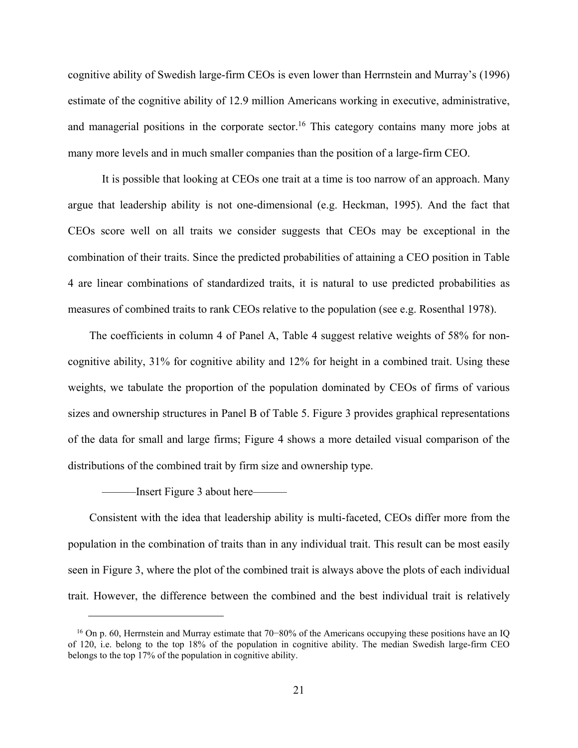cognitive ability of Swedish large-firm CEOs is even lower than Herrnstein and Murray's (1996) estimate of the cognitive ability of 12.9 million Americans working in executive, administrative, and managerial positions in the corporate sector.<sup>16</sup> This category contains many more jobs at many more levels and in much smaller companies than the position of a large-firm CEO.

It is possible that looking at CEOs one trait at a time is too narrow of an approach. Many argue that leadership ability is not one-dimensional (e.g. Heckman, 1995). And the fact that CEOs score well on all traits we consider suggests that CEOs may be exceptional in the combination of their traits. Since the predicted probabilities of attaining a CEO position in Table 4 are linear combinations of standardized traits, it is natural to use predicted probabilities as measures of combined traits to rank CEOs relative to the population (see e.g. Rosenthal 1978).

The coefficients in column 4 of Panel A, Table 4 suggest relative weights of 58% for noncognitive ability, 31% for cognitive ability and 12% for height in a combined trait. Using these weights, we tabulate the proportion of the population dominated by CEOs of firms of various sizes and ownership structures in Panel B of Table 5. Figure 3 provides graphical representations of the data for small and large firms; Figure 4 shows a more detailed visual comparison of the distributions of the combined trait by firm size and ownership type.

———Insert Figure 3 about here———

 $\overline{a}$ 

Consistent with the idea that leadership ability is multi-faceted, CEOs differ more from the population in the combination of traits than in any individual trait. This result can be most easily seen in Figure 3, where the plot of the combined trait is always above the plots of each individual trait. However, the difference between the combined and the best individual trait is relatively

<sup>16</sup> On p. 60, Herrnstein and Murray estimate that 70−80% of the Americans occupying these positions have an IQ of 120, i.e. belong to the top 18% of the population in cognitive ability. The median Swedish large-firm CEO belongs to the top 17% of the population in cognitive ability.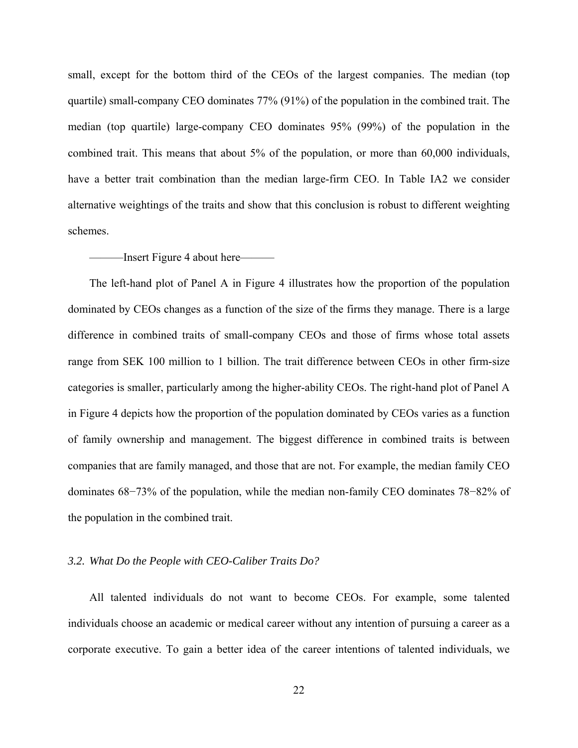small, except for the bottom third of the CEOs of the largest companies. The median (top quartile) small-company CEO dominates 77% (91%) of the population in the combined trait. The median (top quartile) large-company CEO dominates 95% (99%) of the population in the combined trait. This means that about 5% of the population, or more than 60,000 individuals, have a better trait combination than the median large-firm CEO. In Table IA2 we consider alternative weightings of the traits and show that this conclusion is robust to different weighting schemes.

#### ———Insert Figure 4 about here———

The left-hand plot of Panel A in Figure 4 illustrates how the proportion of the population dominated by CEOs changes as a function of the size of the firms they manage. There is a large difference in combined traits of small-company CEOs and those of firms whose total assets range from SEK 100 million to 1 billion. The trait difference between CEOs in other firm-size categories is smaller, particularly among the higher-ability CEOs. The right-hand plot of Panel A in Figure 4 depicts how the proportion of the population dominated by CEOs varies as a function of family ownership and management. The biggest difference in combined traits is between companies that are family managed, and those that are not. For example, the median family CEO dominates 68−73% of the population, while the median non-family CEO dominates 78−82% of the population in the combined trait.

#### *3.2. What Do the People with CEO-Caliber Traits Do?*

All talented individuals do not want to become CEOs. For example, some talented individuals choose an academic or medical career without any intention of pursuing a career as a corporate executive. To gain a better idea of the career intentions of talented individuals, we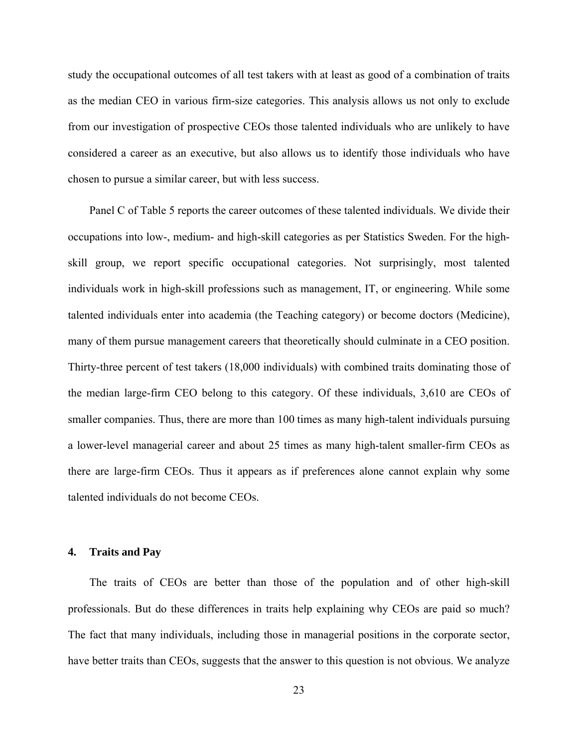study the occupational outcomes of all test takers with at least as good of a combination of traits as the median CEO in various firm-size categories. This analysis allows us not only to exclude from our investigation of prospective CEOs those talented individuals who are unlikely to have considered a career as an executive, but also allows us to identify those individuals who have chosen to pursue a similar career, but with less success.

Panel C of Table 5 reports the career outcomes of these talented individuals. We divide their occupations into low-, medium- and high-skill categories as per Statistics Sweden. For the highskill group, we report specific occupational categories. Not surprisingly, most talented individuals work in high-skill professions such as management, IT, or engineering. While some talented individuals enter into academia (the Teaching category) or become doctors (Medicine), many of them pursue management careers that theoretically should culminate in a CEO position. Thirty-three percent of test takers (18,000 individuals) with combined traits dominating those of the median large-firm CEO belong to this category. Of these individuals, 3,610 are CEOs of smaller companies. Thus, there are more than 100 times as many high-talent individuals pursuing a lower-level managerial career and about 25 times as many high-talent smaller-firm CEOs as there are large-firm CEOs. Thus it appears as if preferences alone cannot explain why some talented individuals do not become CEOs.

#### **4. Traits and Pay**

The traits of CEOs are better than those of the population and of other high-skill professionals. But do these differences in traits help explaining why CEOs are paid so much? The fact that many individuals, including those in managerial positions in the corporate sector, have better traits than CEOs, suggests that the answer to this question is not obvious. We analyze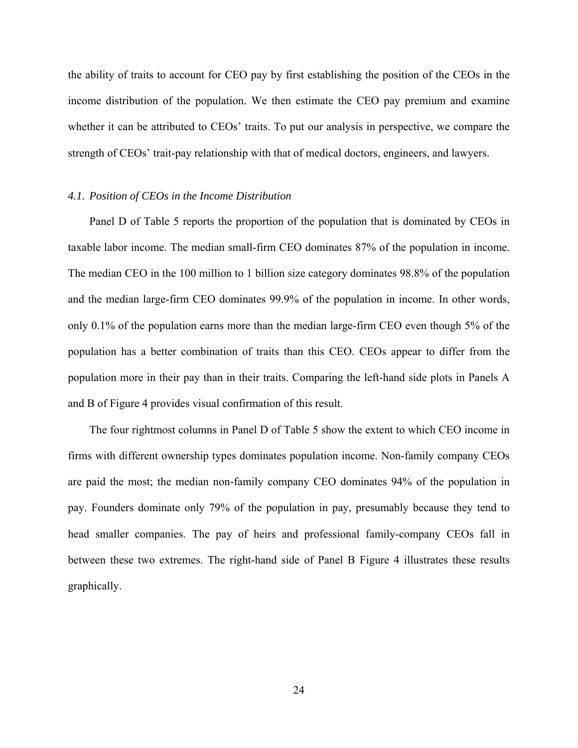the ability of traits to account for CEO pay by first establishing the position of the CEOs in the income distribution of the population. We then estimate the CEO pay premium and examine whether it can be attributed to CEOs' traits. To put our analysis in perspective, we compare the strength of CEOs' trait-pay relationship with that of medical doctors, engineers, and lawyers.

#### *4.1. Position of CEOs in the Income Distribution*

Panel D of Table 5 reports the proportion of the population that is dominated by CEOs in taxable labor income. The median small-firm CEO dominates 87% of the population in income. The median CEO in the 100 million to 1 billion size category dominates 98.8% of the population and the median large-firm CEO dominates 99.9% of the population in income. In other words, only 0.1% of the population earns more than the median large-firm CEO even though 5% of the population has a better combination of traits than this CEO. CEOs appear to differ from the population more in their pay than in their traits. Comparing the left-hand side plots in Panels A and B of Figure 4 provides visual confirmation of this result.

The four rightmost columns in Panel D of Table 5 show the extent to which CEO income in firms with different ownership types dominates population income. Non-family company CEOs are paid the most; the median non-family company CEO dominates 94% of the population in pay. Founders dominate only 79% of the population in pay, presumably because they tend to head smaller companies. The pay of heirs and professional family-company CEOs fall in between these two extremes. The right-hand side of Panel B Figure 4 illustrates these results graphically.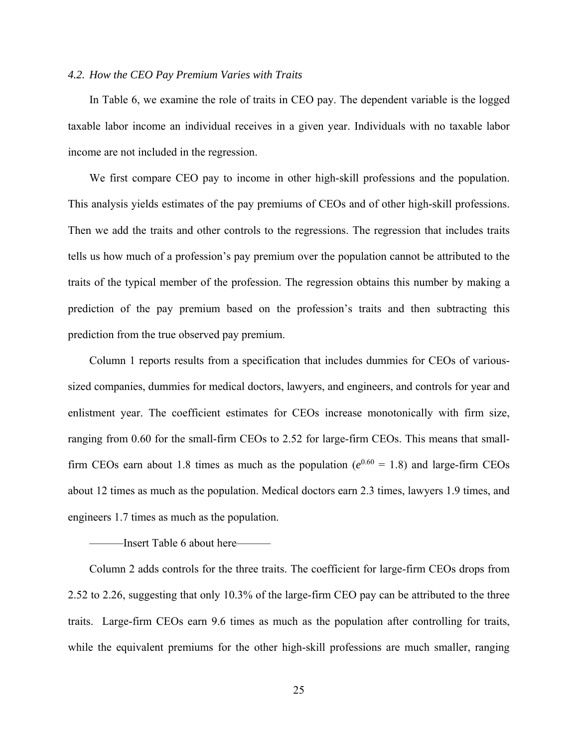#### *4.2. How the CEO Pay Premium Varies with Traits*

In Table 6, we examine the role of traits in CEO pay. The dependent variable is the logged taxable labor income an individual receives in a given year. Individuals with no taxable labor income are not included in the regression.

We first compare CEO pay to income in other high-skill professions and the population. This analysis yields estimates of the pay premiums of CEOs and of other high-skill professions. Then we add the traits and other controls to the regressions. The regression that includes traits tells us how much of a profession's pay premium over the population cannot be attributed to the traits of the typical member of the profession. The regression obtains this number by making a prediction of the pay premium based on the profession's traits and then subtracting this prediction from the true observed pay premium.

Column 1 reports results from a specification that includes dummies for CEOs of varioussized companies, dummies for medical doctors, lawyers, and engineers, and controls for year and enlistment year. The coefficient estimates for CEOs increase monotonically with firm size, ranging from 0.60 for the small-firm CEOs to 2.52 for large-firm CEOs. This means that smallfirm CEOs earn about 1.8 times as much as the population ( $e^{0.60} = 1.8$ ) and large-firm CEOs about 12 times as much as the population. Medical doctors earn 2.3 times, lawyers 1.9 times, and engineers 1.7 times as much as the population.

#### ———Insert Table 6 about here———

Column 2 adds controls for the three traits. The coefficient for large-firm CEOs drops from 2.52 to 2.26, suggesting that only 10.3% of the large-firm CEO pay can be attributed to the three traits. Large-firm CEOs earn 9.6 times as much as the population after controlling for traits, while the equivalent premiums for the other high-skill professions are much smaller, ranging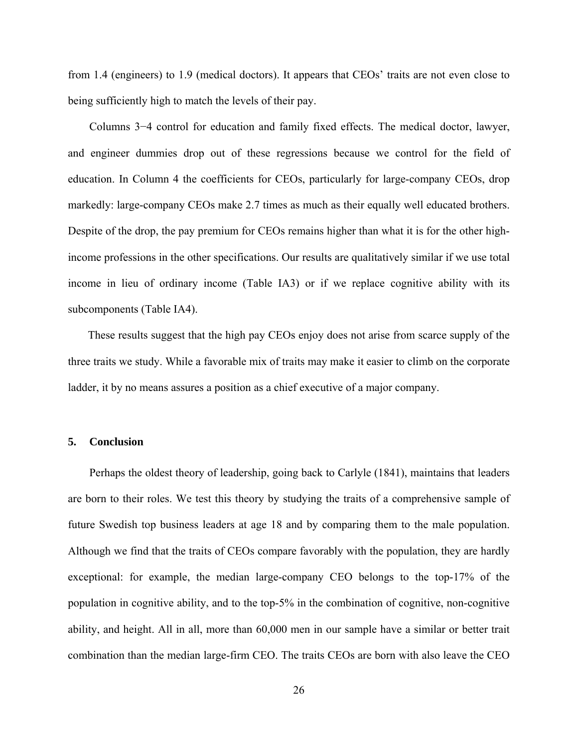from 1.4 (engineers) to 1.9 (medical doctors). It appears that CEOs' traits are not even close to being sufficiently high to match the levels of their pay.

Columns 3−4 control for education and family fixed effects. The medical doctor, lawyer, and engineer dummies drop out of these regressions because we control for the field of education. In Column 4 the coefficients for CEOs, particularly for large-company CEOs, drop markedly: large-company CEOs make 2.7 times as much as their equally well educated brothers. Despite of the drop, the pay premium for CEOs remains higher than what it is for the other highincome professions in the other specifications. Our results are qualitatively similar if we use total income in lieu of ordinary income (Table IA3) or if we replace cognitive ability with its subcomponents (Table IA4).

These results suggest that the high pay CEOs enjoy does not arise from scarce supply of the three traits we study. While a favorable mix of traits may make it easier to climb on the corporate ladder, it by no means assures a position as a chief executive of a major company.

#### **5. Conclusion**

Perhaps the oldest theory of leadership, going back to Carlyle (1841), maintains that leaders are born to their roles. We test this theory by studying the traits of a comprehensive sample of future Swedish top business leaders at age 18 and by comparing them to the male population. Although we find that the traits of CEOs compare favorably with the population, they are hardly exceptional: for example, the median large-company CEO belongs to the top-17% of the population in cognitive ability, and to the top-5% in the combination of cognitive, non-cognitive ability, and height. All in all, more than 60,000 men in our sample have a similar or better trait combination than the median large-firm CEO. The traits CEOs are born with also leave the CEO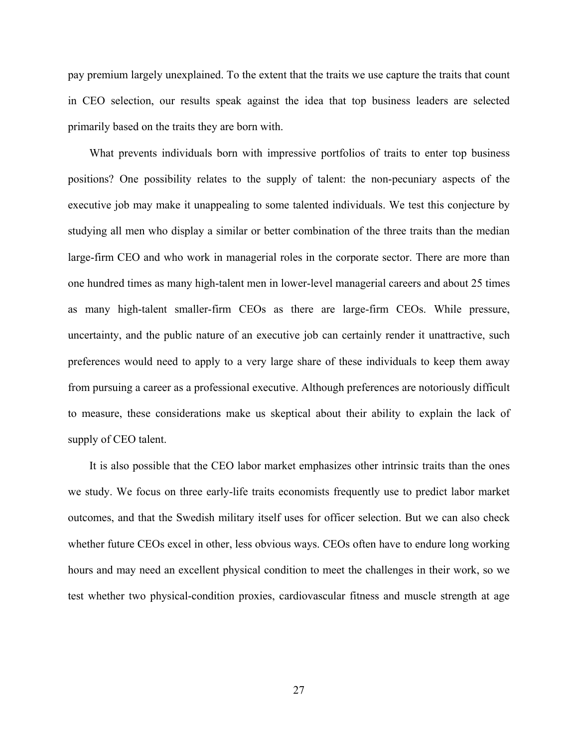pay premium largely unexplained. To the extent that the traits we use capture the traits that count in CEO selection, our results speak against the idea that top business leaders are selected primarily based on the traits they are born with.

What prevents individuals born with impressive portfolios of traits to enter top business positions? One possibility relates to the supply of talent: the non-pecuniary aspects of the executive job may make it unappealing to some talented individuals. We test this conjecture by studying all men who display a similar or better combination of the three traits than the median large-firm CEO and who work in managerial roles in the corporate sector. There are more than one hundred times as many high-talent men in lower-level managerial careers and about 25 times as many high-talent smaller-firm CEOs as there are large-firm CEOs. While pressure, uncertainty, and the public nature of an executive job can certainly render it unattractive, such preferences would need to apply to a very large share of these individuals to keep them away from pursuing a career as a professional executive. Although preferences are notoriously difficult to measure, these considerations make us skeptical about their ability to explain the lack of supply of CEO talent.

It is also possible that the CEO labor market emphasizes other intrinsic traits than the ones we study. We focus on three early-life traits economists frequently use to predict labor market outcomes, and that the Swedish military itself uses for officer selection. But we can also check whether future CEOs excel in other, less obvious ways. CEOs often have to endure long working hours and may need an excellent physical condition to meet the challenges in their work, so we test whether two physical-condition proxies, cardiovascular fitness and muscle strength at age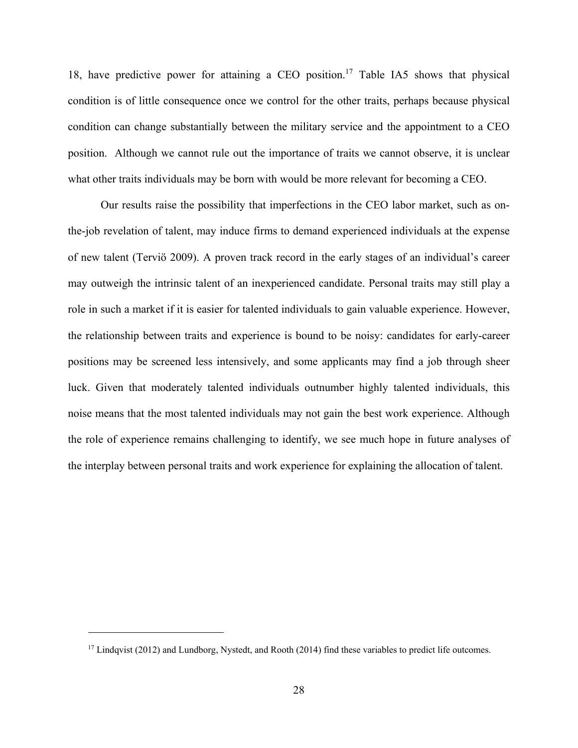18, have predictive power for attaining a CEO position.<sup>17</sup> Table IA5 shows that physical condition is of little consequence once we control for the other traits, perhaps because physical condition can change substantially between the military service and the appointment to a CEO position. Although we cannot rule out the importance of traits we cannot observe, it is unclear what other traits individuals may be born with would be more relevant for becoming a CEO.

 Our results raise the possibility that imperfections in the CEO labor market, such as onthe-job revelation of talent, may induce firms to demand experienced individuals at the expense of new talent (Terviö 2009). A proven track record in the early stages of an individual's career may outweigh the intrinsic talent of an inexperienced candidate. Personal traits may still play a role in such a market if it is easier for talented individuals to gain valuable experience. However, the relationship between traits and experience is bound to be noisy: candidates for early-career positions may be screened less intensively, and some applicants may find a job through sheer luck. Given that moderately talented individuals outnumber highly talented individuals, this noise means that the most talented individuals may not gain the best work experience. Although the role of experience remains challenging to identify, we see much hope in future analyses of the interplay between personal traits and work experience for explaining the allocation of talent.

<sup>&</sup>lt;sup>17</sup> Lindqvist (2012) and Lundborg, Nystedt, and Rooth (2014) find these variables to predict life outcomes.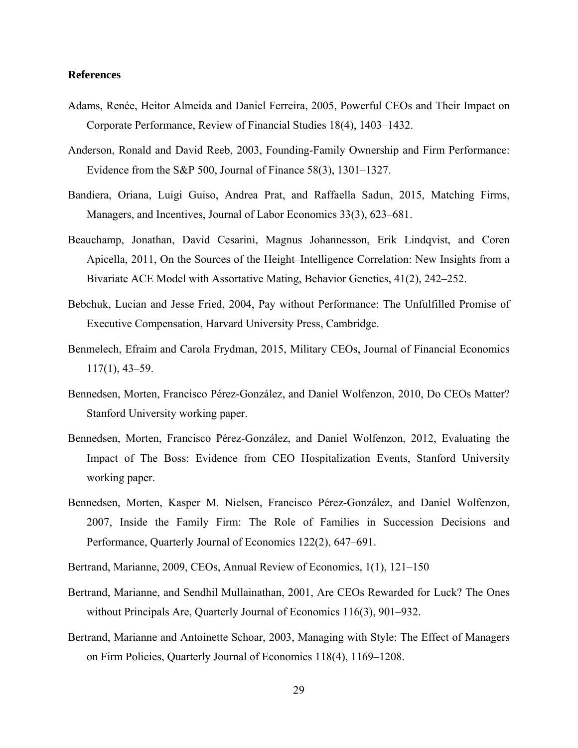#### **References**

- Adams, Renée, Heitor Almeida and Daniel Ferreira, 2005, Powerful CEOs and Their Impact on Corporate Performance, Review of Financial Studies 18(4), 1403–1432.
- Anderson, Ronald and David Reeb, 2003, Founding-Family Ownership and Firm Performance: Evidence from the S&P 500, Journal of Finance 58(3), 1301–1327.
- Bandiera, Oriana, Luigi Guiso, Andrea Prat, and Raffaella Sadun, 2015, Matching Firms, Managers, and Incentives, Journal of Labor Economics 33(3), 623–681.
- Beauchamp, Jonathan, David Cesarini, Magnus Johannesson, Erik Lindqvist, and Coren Apicella, 2011, On the Sources of the Height–Intelligence Correlation: New Insights from a Bivariate ACE Model with Assortative Mating, Behavior Genetics, 41(2), 242–252.
- Bebchuk, Lucian and Jesse Fried, 2004, Pay without Performance: The Unfulfilled Promise of Executive Compensation, Harvard University Press, Cambridge.
- Benmelech, Efraim and Carola Frydman, 2015, Military CEOs, Journal of Financial Economics 117(1), 43–59.
- Bennedsen, Morten, Francisco Pérez-González, and Daniel Wolfenzon, 2010, Do CEOs Matter? Stanford University working paper.
- Bennedsen, Morten, Francisco Pérez-González, and Daniel Wolfenzon, 2012, Evaluating the Impact of The Boss: Evidence from CEO Hospitalization Events, Stanford University working paper.
- Bennedsen, Morten, Kasper M. Nielsen, Francisco Pérez-González, and Daniel Wolfenzon, 2007, Inside the Family Firm: The Role of Families in Succession Decisions and Performance, Quarterly Journal of Economics 122(2), 647–691.
- Bertrand, Marianne, 2009, CEOs, Annual Review of Economics, 1(1), 121–150
- Bertrand, Marianne, and Sendhil Mullainathan, 2001, Are CEOs Rewarded for Luck? The Ones without Principals Are, Quarterly Journal of Economics 116(3), 901–932.
- Bertrand, Marianne and Antoinette Schoar, 2003, Managing with Style: The Effect of Managers on Firm Policies, Quarterly Journal of Economics 118(4), 1169–1208.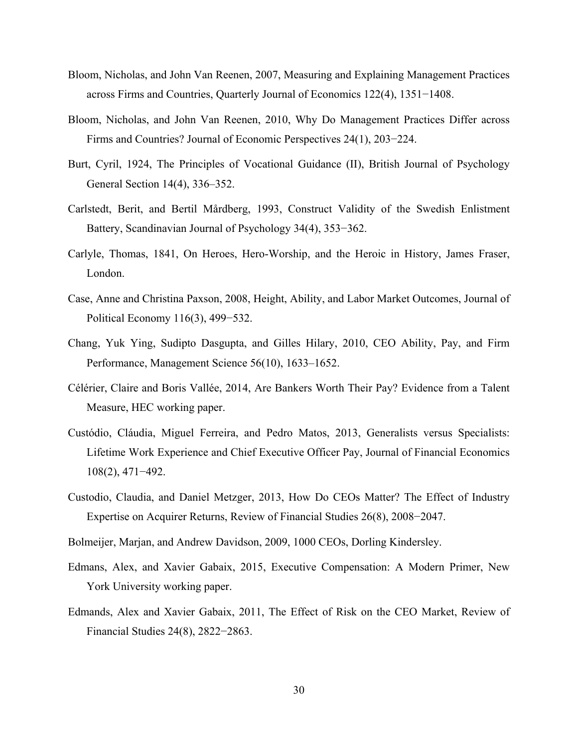- Bloom, Nicholas, and John Van Reenen, 2007, Measuring and Explaining Management Practices across Firms and Countries, Quarterly Journal of Economics 122(4), 1351−1408.
- Bloom, Nicholas, and John Van Reenen, 2010, Why Do Management Practices Differ across Firms and Countries? Journal of Economic Perspectives 24(1), 203−224.
- Burt, Cyril, 1924, The Principles of Vocational Guidance (II), British Journal of Psychology General Section 14(4), 336–352.
- Carlstedt, Berit, and Bertil Mårdberg, 1993, Construct Validity of the Swedish Enlistment Battery, Scandinavian Journal of Psychology 34(4), 353−362.
- Carlyle, Thomas, 1841, On Heroes, Hero-Worship, and the Heroic in History, James Fraser, London.
- Case, Anne and Christina Paxson, 2008, Height, Ability, and Labor Market Outcomes, Journal of Political Economy 116(3), 499−532.
- Chang, Yuk Ying, Sudipto Dasgupta, and Gilles Hilary, 2010, CEO Ability, Pay, and Firm Performance, Management Science 56(10), 1633–1652.
- Célérier, Claire and Boris Vallée, 2014, Are Bankers Worth Their Pay? Evidence from a Talent Measure, HEC working paper.
- Custódio, Cláudia, Miguel Ferreira, and Pedro Matos, 2013, Generalists versus Specialists: Lifetime Work Experience and Chief Executive Officer Pay, Journal of Financial Economics 108(2), 471−492.
- Custodio, Claudia, and Daniel Metzger, 2013, How Do CEOs Matter? The Effect of Industry Expertise on Acquirer Returns, Review of Financial Studies 26(8), 2008−2047.
- Bolmeijer, Marjan, and Andrew Davidson, 2009, 1000 CEOs, Dorling Kindersley.
- Edmans, Alex, and Xavier Gabaix, 2015, Executive Compensation: A Modern Primer, New York University working paper.
- Edmands, Alex and Xavier Gabaix, 2011, The Effect of Risk on the CEO Market, Review of Financial Studies 24(8), 2822−2863.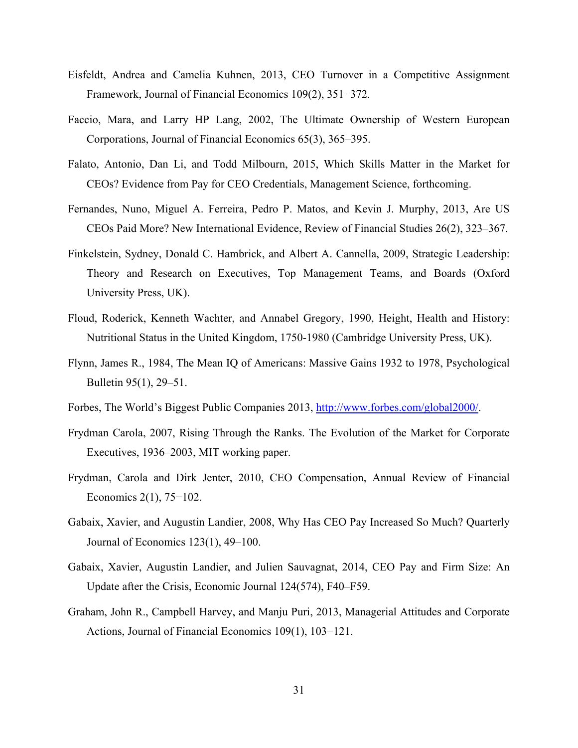- Eisfeldt, Andrea and Camelia Kuhnen, 2013, CEO Turnover in a Competitive Assignment Framework, Journal of Financial Economics 109(2), 351−372.
- Faccio, Mara, and Larry HP Lang, 2002, The Ultimate Ownership of Western European Corporations, Journal of Financial Economics 65(3), 365–395.
- Falato, Antonio, Dan Li, and Todd Milbourn, 2015, Which Skills Matter in the Market for CEOs? Evidence from Pay for CEO Credentials, Management Science, forthcoming.
- Fernandes, Nuno, Miguel A. Ferreira, Pedro P. Matos, and Kevin J. Murphy, 2013, Are US CEOs Paid More? New International Evidence, Review of Financial Studies 26(2), 323–367.
- Finkelstein, Sydney, Donald C. Hambrick, and Albert A. Cannella, 2009, Strategic Leadership: Theory and Research on Executives, Top Management Teams, and Boards (Oxford University Press, UK).
- Floud, Roderick, Kenneth Wachter, and Annabel Gregory, 1990, Height, Health and History: Nutritional Status in the United Kingdom, 1750-1980 (Cambridge University Press, UK).
- Flynn, James R., 1984, The Mean IQ of Americans: Massive Gains 1932 to 1978, Psychological Bulletin 95(1), 29–51.
- Forbes, The World's Biggest Public Companies 2013, http://www.forbes.com/global2000/.
- Frydman Carola, 2007, Rising Through the Ranks. The Evolution of the Market for Corporate Executives, 1936–2003, MIT working paper.
- Frydman, Carola and Dirk Jenter, 2010, CEO Compensation, Annual Review of Financial Economics 2(1), 75−102.
- Gabaix, Xavier, and Augustin Landier, 2008, Why Has CEO Pay Increased So Much? Quarterly Journal of Economics 123(1), 49–100.
- Gabaix, Xavier, Augustin Landier, and Julien Sauvagnat, 2014, CEO Pay and Firm Size: An Update after the Crisis, Economic Journal 124(574), F40–F59.
- Graham, John R., Campbell Harvey, and Manju Puri, 2013, Managerial Attitudes and Corporate Actions, Journal of Financial Economics 109(1), 103−121.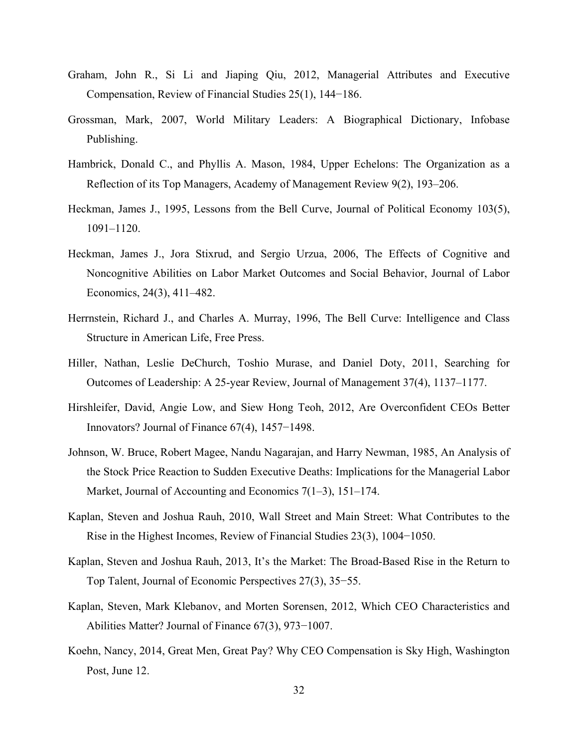- Graham, John R., Si Li and Jiaping Qiu, 2012, Managerial Attributes and Executive Compensation, Review of Financial Studies 25(1), 144−186.
- Grossman, Mark, 2007, World Military Leaders: A Biographical Dictionary, Infobase Publishing.
- Hambrick, Donald C., and Phyllis A. Mason, 1984, Upper Echelons: The Organization as a Reflection of its Top Managers, Academy of Management Review 9(2), 193–206.
- Heckman, James J., 1995, Lessons from the Bell Curve, Journal of Political Economy 103(5), 1091–1120.
- Heckman, James J., Jora Stixrud, and Sergio Urzua, 2006, The Effects of Cognitive and Noncognitive Abilities on Labor Market Outcomes and Social Behavior, Journal of Labor Economics, 24(3), 411–482.
- Herrnstein, Richard J., and Charles A. Murray, 1996, The Bell Curve: Intelligence and Class Structure in American Life, Free Press.
- Hiller, Nathan, Leslie DeChurch, Toshio Murase, and Daniel Doty, 2011, Searching for Outcomes of Leadership: A 25-year Review, Journal of Management 37(4), 1137–1177.
- Hirshleifer, David, Angie Low, and Siew Hong Teoh, 2012, Are Overconfident CEOs Better Innovators? Journal of Finance 67(4), 1457−1498.
- Johnson, W. Bruce, Robert Magee, Nandu Nagarajan, and Harry Newman, 1985, An Analysis of the Stock Price Reaction to Sudden Executive Deaths: Implications for the Managerial Labor Market, Journal of Accounting and Economics 7(1–3), 151–174.
- Kaplan, Steven and Joshua Rauh, 2010, Wall Street and Main Street: What Contributes to the Rise in the Highest Incomes, Review of Financial Studies 23(3), 1004−1050.
- Kaplan, Steven and Joshua Rauh, 2013, It's the Market: The Broad-Based Rise in the Return to Top Talent, Journal of Economic Perspectives 27(3), 35−55.
- Kaplan, Steven, Mark Klebanov, and Morten Sorensen, 2012, Which CEO Characteristics and Abilities Matter? Journal of Finance 67(3), 973−1007.
- Koehn, Nancy, 2014, Great Men, Great Pay? Why CEO Compensation is Sky High, Washington Post, June 12.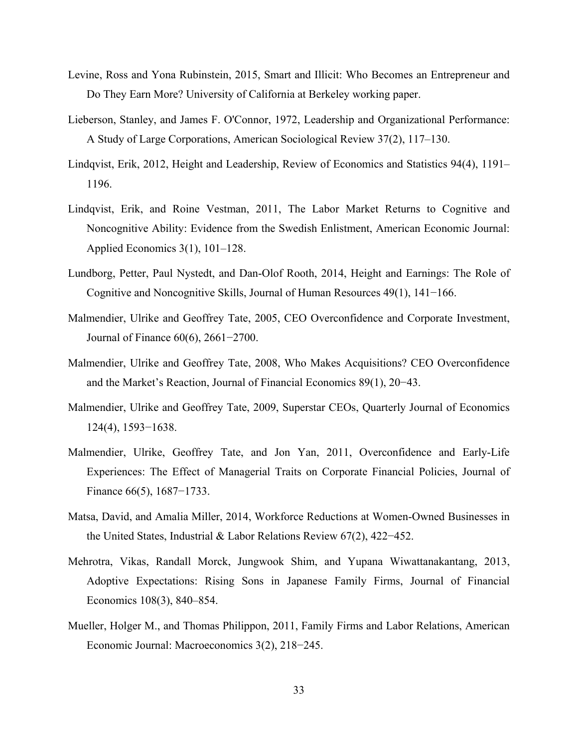- Levine, Ross and Yona Rubinstein, 2015, Smart and Illicit: Who Becomes an Entrepreneur and Do They Earn More? University of California at Berkeley working paper.
- Lieberson, Stanley, and James F. O'Connor, 1972, Leadership and Organizational Performance: A Study of Large Corporations, American Sociological Review 37(2), 117–130.
- Lindqvist, Erik, 2012, Height and Leadership, Review of Economics and Statistics 94(4), 1191– 1196.
- Lindqvist, Erik, and Roine Vestman, 2011, The Labor Market Returns to Cognitive and Noncognitive Ability: Evidence from the Swedish Enlistment, American Economic Journal: Applied Economics 3(1), 101–128.
- Lundborg, Petter, Paul Nystedt, and Dan-Olof Rooth, 2014, Height and Earnings: The Role of Cognitive and Noncognitive Skills, Journal of Human Resources 49(1), 141−166.
- Malmendier, Ulrike and Geoffrey Tate, 2005, CEO Overconfidence and Corporate Investment, Journal of Finance 60(6), 2661−2700.
- Malmendier, Ulrike and Geoffrey Tate, 2008, Who Makes Acquisitions? CEO Overconfidence and the Market's Reaction, Journal of Financial Economics 89(1), 20−43.
- Malmendier, Ulrike and Geoffrey Tate, 2009, Superstar CEOs, Quarterly Journal of Economics 124(4), 1593−1638.
- Malmendier, Ulrike, Geoffrey Tate, and Jon Yan, 2011, Overconfidence and Early-Life Experiences: The Effect of Managerial Traits on Corporate Financial Policies, Journal of Finance 66(5), 1687−1733.
- Matsa, David, and Amalia Miller, 2014, Workforce Reductions at Women-Owned Businesses in the United States, Industrial & Labor Relations Review 67(2), 422−452.
- Mehrotra, Vikas, Randall Morck, Jungwook Shim, and Yupana Wiwattanakantang, 2013, Adoptive Expectations: Rising Sons in Japanese Family Firms, Journal of Financial Economics 108(3), 840–854.
- Mueller, Holger M., and Thomas Philippon, 2011, Family Firms and Labor Relations, American Economic Journal: Macroeconomics 3(2), 218−245.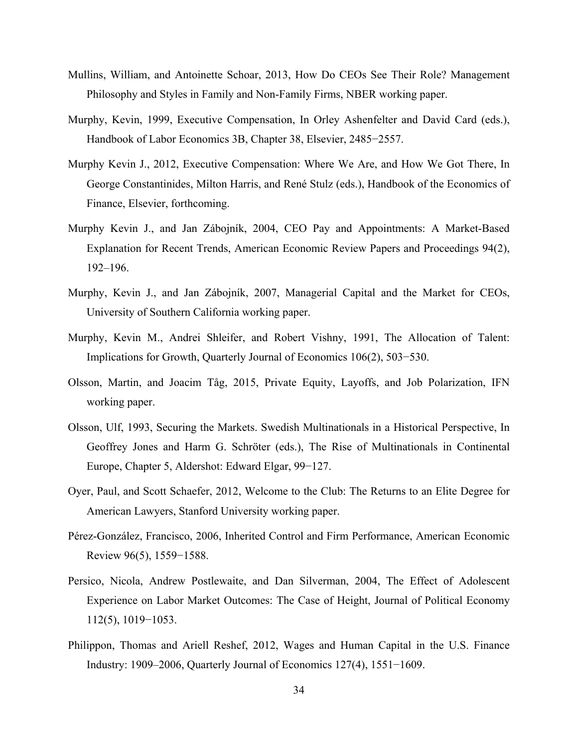- Mullins, William, and Antoinette Schoar, 2013, How Do CEOs See Their Role? Management Philosophy and Styles in Family and Non-Family Firms, NBER working paper.
- Murphy, Kevin, 1999, Executive Compensation, In Orley Ashenfelter and David Card (eds.), Handbook of Labor Economics 3B, Chapter 38, Elsevier, 2485−2557.
- Murphy Kevin J., 2012, Executive Compensation: Where We Are, and How We Got There, In George Constantinides, Milton Harris, and René Stulz (eds.), Handbook of the Economics of Finance, Elsevier, forthcoming.
- Murphy Kevin J., and Jan Zábojník, 2004, CEO Pay and Appointments: A Market-Based Explanation for Recent Trends, American Economic Review Papers and Proceedings 94(2), 192–196.
- Murphy, Kevin J., and Jan Zábojník, 2007, Managerial Capital and the Market for CEOs, University of Southern California working paper.
- Murphy, Kevin M., Andrei Shleifer, and Robert Vishny, 1991, The Allocation of Talent: Implications for Growth, Quarterly Journal of Economics 106(2), 503−530.
- Olsson, Martin, and Joacim Tåg, 2015, Private Equity, Layoffs, and Job Polarization, IFN working paper.
- Olsson, Ulf, 1993, Securing the Markets. Swedish Multinationals in a Historical Perspective, In Geoffrey Jones and Harm G. Schröter (eds.), The Rise of Multinationals in Continental Europe, Chapter 5, Aldershot: Edward Elgar, 99−127.
- Oyer, Paul, and Scott Schaefer, 2012, Welcome to the Club: The Returns to an Elite Degree for American Lawyers, Stanford University working paper.
- Pérez-González, Francisco, 2006, Inherited Control and Firm Performance, American Economic Review 96(5), 1559−1588.
- Persico, Nicola, Andrew Postlewaite, and Dan Silverman, 2004, The Effect of Adolescent Experience on Labor Market Outcomes: The Case of Height, Journal of Political Economy 112(5), 1019−1053.
- Philippon, Thomas and Ariell Reshef, 2012, Wages and Human Capital in the U.S. Finance Industry: 1909–2006, Quarterly Journal of Economics 127(4), 1551−1609.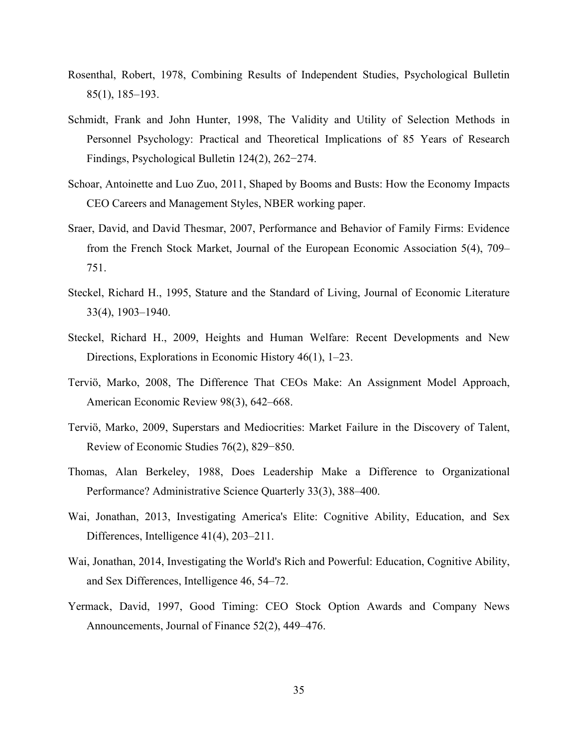- Rosenthal, Robert, 1978, Combining Results of Independent Studies, Psychological Bulletin 85(1), 185–193.
- Schmidt, Frank and John Hunter, 1998, The Validity and Utility of Selection Methods in Personnel Psychology: Practical and Theoretical Implications of 85 Years of Research Findings, Psychological Bulletin 124(2), 262−274.
- Schoar, Antoinette and Luo Zuo, 2011, Shaped by Booms and Busts: How the Economy Impacts CEO Careers and Management Styles, NBER working paper.
- Sraer, David, and David Thesmar, 2007, Performance and Behavior of Family Firms: Evidence from the French Stock Market, Journal of the European Economic Association 5(4), 709– 751.
- Steckel, Richard H., 1995, Stature and the Standard of Living, Journal of Economic Literature 33(4), 1903–1940.
- Steckel, Richard H., 2009, Heights and Human Welfare: Recent Developments and New Directions, Explorations in Economic History 46(1), 1–23.
- Terviö, Marko, 2008, The Difference That CEOs Make: An Assignment Model Approach, American Economic Review 98(3), 642–668.
- Terviö, Marko, 2009, Superstars and Mediocrities: Market Failure in the Discovery of Talent, Review of Economic Studies 76(2), 829−850.
- Thomas, Alan Berkeley, 1988, Does Leadership Make a Difference to Organizational Performance? Administrative Science Quarterly 33(3), 388–400.
- Wai, Jonathan, 2013, Investigating America's Elite: Cognitive Ability, Education, and Sex Differences, Intelligence 41(4), 203–211.
- Wai, Jonathan, 2014, Investigating the World's Rich and Powerful: Education, Cognitive Ability, and Sex Differences, Intelligence 46, 54–72.
- Yermack, David, 1997, Good Timing: CEO Stock Option Awards and Company News Announcements, Journal of Finance 52(2), 449–476.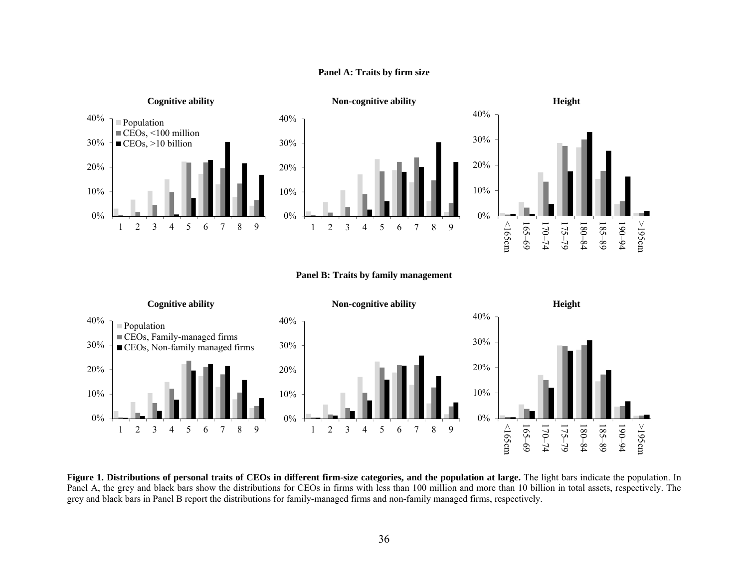

#### **Panel A: Traits by firm size**

#### **Panel B: Traits by family management**

190–94

>195cm



**Figure 1. Distributions of personal traits of CEOs in different firm-size categories, and the population at large.** The light bars indicate the population. In Panel A, the grey and black bars show the distributions for CEOs in firms with less than 100 million and more than 10 billion in total assets, respectively. The grey and black bars in Panel B report the distributions for family-managed firms and non-family managed firms, respectively.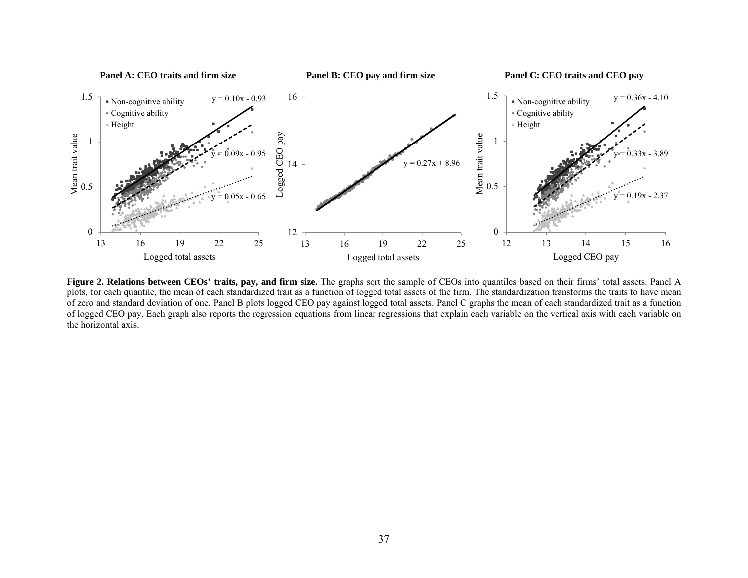

**Figure 2. Relations between CEOs' traits, pay, and firm size.** The graphs sort the sample of CEOs into quantiles based on their firms' total assets. Panel A plots, for each quantile, the mean of each standardized trait as a function of logged total assets of the firm. The standardization transforms the traits to have mean of zero and standard deviation of one. Panel B plots logged CEO pay against logged total assets. Panel C graphs the mean of each standardized trait as a function of logged CEO pay. Each graph also reports the regression equations from linear regressions that explain each variable on the vertical axis with each variable on the horizontal axis.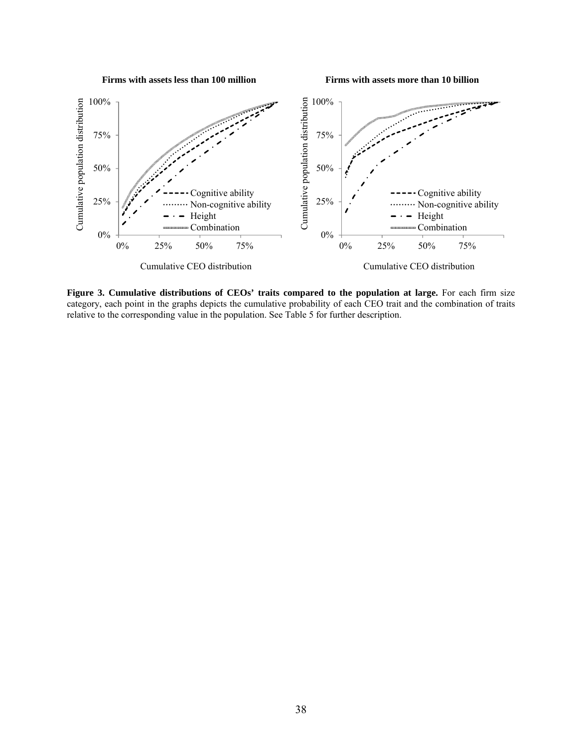

**Firms with assets more than 10 billion**



**Figure 3. Cumulative distributions of CEOs' traits compared to the population at large.** For each firm size category, each point in the graphs depicts the cumulative probability of each CEO trait and the combination of traits relative to the corresponding value in the population. See Table 5 for further description.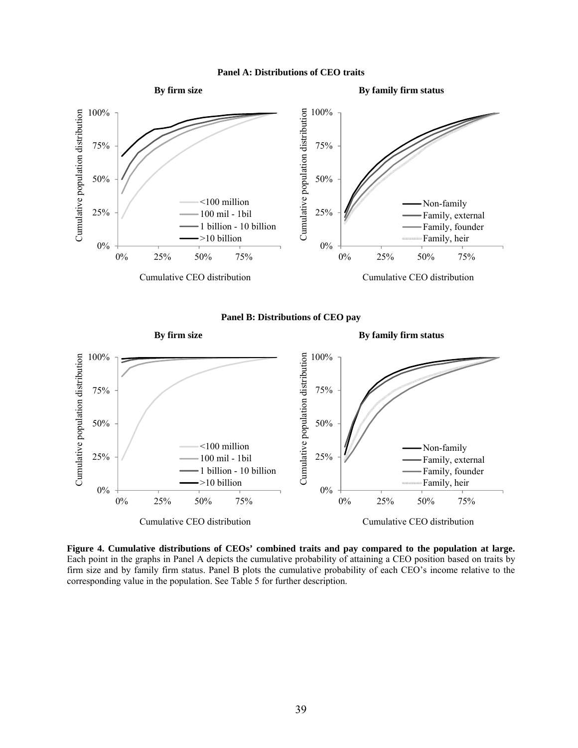





 $0\%$ 

0% 25% 50% 75%

Family, heir

firm size and by family firm status. Panel B plots the cumulative probability of each CEO's income relative to the corresponding value in the population. See Table 5 for further description.

0%

0% 25% 50% 75%

>10 billion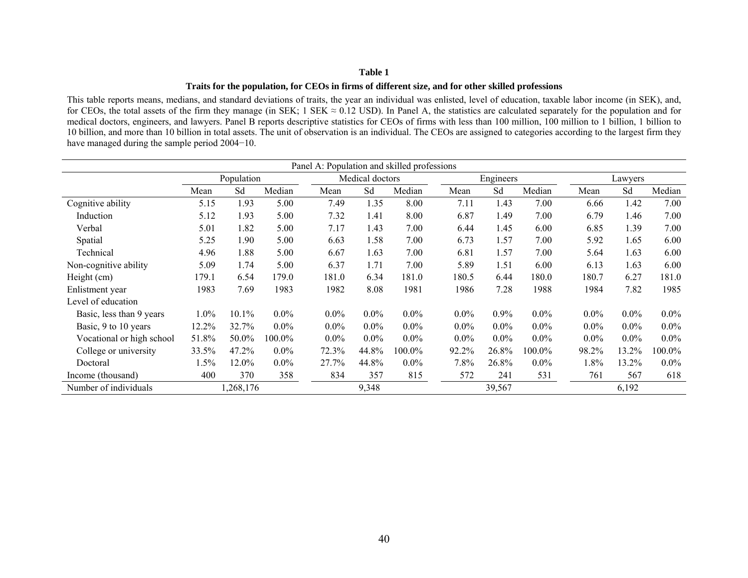#### **Traits for the population, for CEOs in firms of different size, and for other skilled professions**

This table reports means, medians, and standard deviations of traits, the year an individual was enlisted, level of education, taxable labor income (in SEK), and, for CEOs, the total assets of the firm they manage (in SEK; 1 SEK  $\approx 0.12$  USD). In Panel A, the statistics are calculated separately for the population and for medical doctors, engineers, and lawyers. Panel B reports descriptive statistics for CEOs of firms with less than 100 million, 100 million to 1 billion, 1 billion to 10 billion, and more than 10 billion in total assets. The unit of observation is an individual. The CEOs are assigned to categories according to the largest firm they have managed during the sample period 2004−10.

| Panel A: Population and skilled professions |       |            |         |         |                 |         |         |           |         |         |         |         |
|---------------------------------------------|-------|------------|---------|---------|-----------------|---------|---------|-----------|---------|---------|---------|---------|
|                                             |       | Population |         |         | Medical doctors |         |         | Engineers |         |         | Lawyers |         |
|                                             | Mean  | Sd         | Median  | Mean    | Sd              | Median  | Mean    | Sd        | Median  | Mean    | Sd      | Median  |
| Cognitive ability                           | 5.15  | 1.93       | 5.00    | 7.49    | 1.35            | 8.00    | 7.11    | 1.43      | 7.00    | 6.66    | 1.42    | 7.00    |
| Induction                                   | 5.12  | 1.93       | 5.00    | 7.32    | 1.41            | 8.00    | 6.87    | 1.49      | 7.00    | 6.79    | 1.46    | 7.00    |
| Verbal                                      | 5.01  | 1.82       | 5.00    | 7.17    | 1.43            | 7.00    | 6.44    | 1.45      | 6.00    | 6.85    | 1.39    | 7.00    |
| Spatial                                     | 5.25  | 1.90       | 5.00    | 6.63    | 1.58            | 7.00    | 6.73    | 1.57      | 7.00    | 5.92    | 1.65    | 6.00    |
| Technical                                   | 4.96  | 1.88       | 5.00    | 6.67    | 1.63            | 7.00    | 6.81    | 1.57      | 7.00    | 5.64    | 1.63    | 6.00    |
| Non-cognitive ability                       | 5.09  | 1.74       | 5.00    | 6.37    | 1.71            | 7.00    | 5.89    | 1.51      | 6.00    | 6.13    | 1.63    | 6.00    |
| Height (cm)                                 | 179.1 | 6.54       | 179.0   | 181.0   | 6.34            | 181.0   | 180.5   | 6.44      | 180.0   | 180.7   | 6.27    | 181.0   |
| Enlistment year                             | 1983  | 7.69       | 1983    | 1982    | 8.08            | 1981    | 1986    | 7.28      | 1988    | 1984    | 7.82    | 1985    |
| Level of education                          |       |            |         |         |                 |         |         |           |         |         |         |         |
| Basic, less than 9 years                    | 1.0%  | $10.1\%$   | $0.0\%$ | $0.0\%$ | $0.0\%$         | $0.0\%$ | $0.0\%$ | 0.9%      | $0.0\%$ | $0.0\%$ | $0.0\%$ | $0.0\%$ |
| Basic, 9 to 10 years                        | 12.2% | 32.7%      | $0.0\%$ | $0.0\%$ | $0.0\%$         | $0.0\%$ | $0.0\%$ | $0.0\%$   | $0.0\%$ | $0.0\%$ | $0.0\%$ | $0.0\%$ |
| Vocational or high school                   | 51.8% | 50.0%      | 100.0%  | $0.0\%$ | $0.0\%$         | $0.0\%$ | $0.0\%$ | $0.0\%$   | $0.0\%$ | $0.0\%$ | $0.0\%$ | $0.0\%$ |
| College or university                       | 33.5% | 47.2%      | $0.0\%$ | 72.3%   | 44.8%           | 100.0%  | 92.2%   | 26.8%     | 100.0%  | 98.2%   | 13.2%   | 100.0%  |
| Doctoral                                    | 1.5%  | 12.0%      | $0.0\%$ | 27.7%   | 44.8%           | $0.0\%$ | 7.8%    | 26.8%     | $0.0\%$ | 1.8%    | 13.2%   | $0.0\%$ |
| Income (thousand)                           | 400   | 370        | 358     | 834     | 357             | 815     | 572     | 241       | 531     | 761     | 567     | 618     |
| Number of individuals                       |       | 1,268,176  |         |         | 9,348           |         |         | 39,567    |         |         | 6,192   |         |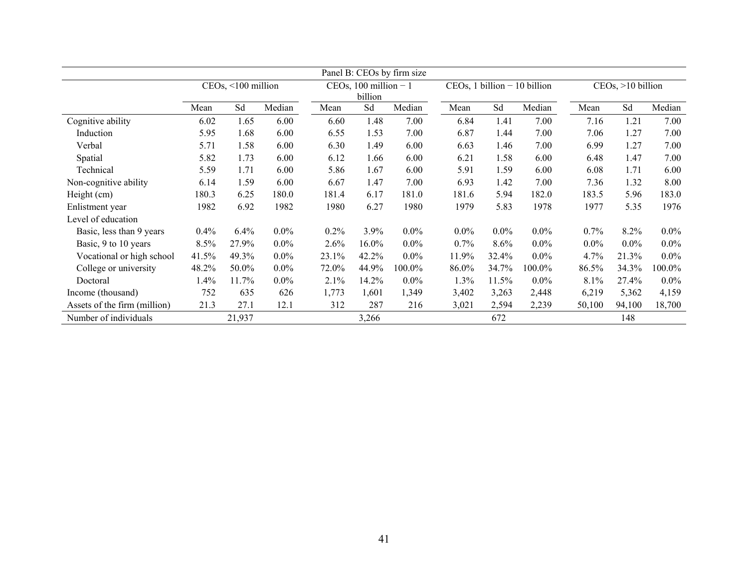| Panel B: CEOs by firm size   |                    |        |         |                                   |       |         |                                |         |         |                   |         |         |
|------------------------------|--------------------|--------|---------|-----------------------------------|-------|---------|--------------------------------|---------|---------|-------------------|---------|---------|
|                              | CEOs, <100 million |        |         | CEOs, 100 million $-1$<br>billion |       |         | $CEOs, 1 billion - 10 billion$ |         |         | CEOs, >10 billion |         |         |
|                              | Mean               | Sd     | Median  | Mean                              | Sd    | Median  | Mean                           | Sd      | Median  | Mean              | Sd      | Median  |
| Cognitive ability            | 6.02               | 1.65   | 6.00    | 6.60                              | 1.48  | 7.00    | 6.84                           | 1.41    | 7.00    | 7.16              | 1.21    | 7.00    |
| Induction                    | 5.95               | 1.68   | 6.00    | 6.55                              | 1.53  | 7.00    | 6.87                           | 1.44    | 7.00    | 7.06              | 1.27    | 7.00    |
| Verbal                       | 5.71               | 1.58   | 6.00    | 6.30                              | 1.49  | 6.00    | 6.63                           | 1.46    | 7.00    | 6.99              | 1.27    | 7.00    |
| Spatial                      | 5.82               | 1.73   | 6.00    | 6.12                              | 1.66  | 6.00    | 6.21                           | 1.58    | 6.00    | 6.48              | 1.47    | 7.00    |
| Technical                    | 5.59               | 1.71   | 6.00    | 5.86                              | 1.67  | 6.00    | 5.91                           | 1.59    | 6.00    | 6.08              | 1.71    | 6.00    |
| Non-cognitive ability        | 6.14               | 1.59   | 6.00    | 6.67                              | 1.47  | 7.00    | 6.93                           | 1.42    | 7.00    | 7.36              | 1.32    | 8.00    |
| Height (cm)                  | 180.3              | 6.25   | 180.0   | 181.4                             | 6.17  | 181.0   | 181.6                          | 5.94    | 182.0   | 183.5             | 5.96    | 183.0   |
| Enlistment year              | 1982               | 6.92   | 1982    | 1980                              | 6.27  | 1980    | 1979                           | 5.83    | 1978    | 1977              | 5.35    | 1976    |
| Level of education           |                    |        |         |                                   |       |         |                                |         |         |                   |         |         |
| Basic, less than 9 years     | 0.4%               | 6.4%   | $0.0\%$ | 0.2%                              | 3.9%  | $0.0\%$ | $0.0\%$                        | $0.0\%$ | $0.0\%$ | 0.7%              | 8.2%    | $0.0\%$ |
| Basic, 9 to 10 years         | 8.5%               | 27.9%  | $0.0\%$ | 2.6%                              | 16.0% | $0.0\%$ | 0.7%                           | 8.6%    | $0.0\%$ | $0.0\%$           | $0.0\%$ | $0.0\%$ |
| Vocational or high school    | 41.5%              | 49.3%  | $0.0\%$ | 23.1%                             | 42.2% | $0.0\%$ | 11.9%                          | 32.4%   | $0.0\%$ | 4.7%              | 21.3%   | $0.0\%$ |
| College or university        | 48.2%              | 50.0%  | $0.0\%$ | 72.0%                             | 44.9% | 100.0%  | 86.0%                          | 34.7%   | 100.0%  | 86.5%             | 34.3%   | 100.0%  |
| Doctoral                     | 1.4%               | 11.7%  | $0.0\%$ | 2.1%                              | 14.2% | $0.0\%$ | 1.3%                           | 11.5%   | $0.0\%$ | 8.1%              | 27.4%   | $0.0\%$ |
| Income (thousand)            | 752                | 635    | 626     | 1,773                             | 1,601 | 1,349   | 3,402                          | 3,263   | 2,448   | 6,219             | 5,362   | 4,159   |
| Assets of the firm (million) | 21.3               | 27.1   | 12.1    | 312                               | 287   | 216     | 3,021                          | 2,594   | 2,239   | 50,100            | 94,100  | 18,700  |
| Number of individuals        |                    | 21,937 |         |                                   | 3,266 |         |                                | 672     |         |                   | 148     |         |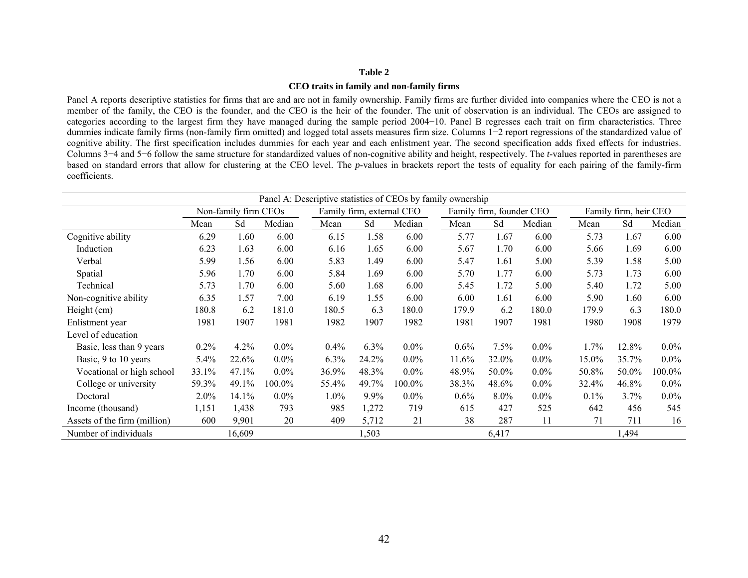#### **CEO traits in family and non-family firms**

Panel A reports descriptive statistics for firms that are and are not in family ownership. Family firms are further divided into companies where the CEO is not a member of the family, the CEO is the founder, and the CEO is the heir of the founder. The unit of observation is an individual. The CEOs are assigned to categories according to the largest firm they have managed during the sample period 2004−10. Panel B regresses each trait on firm characteristics. Three dummies indicate family firms (non-family firm omitted) and logged total assets measures firm size. Columns 1−2 report regressions of the standardized value of cognitive ability. The first specification includes dummies for each year and each enlistment year. The second specification adds fixed effects for industries. Columns 3−4 and 5−6 follow the same structure for standardized values of non-cognitive ability and height, respectively. The *t*-values reported in parentheses are based on standard errors that allow for clustering at the CEO level. The *p*-values in brackets report the tests of equality for each pairing of the family-firm coefficients.

| Panel A: Descriptive statistics of CEOs by family ownership |       |                      |         |         |       |                                                       |       |         |         |       |                       |         |
|-------------------------------------------------------------|-------|----------------------|---------|---------|-------|-------------------------------------------------------|-------|---------|---------|-------|-----------------------|---------|
|                                                             |       | Non-family firm CEOs |         |         |       | Family firm, external CEO<br>Family firm, founder CEO |       |         |         |       | Family firm, heir CEO |         |
|                                                             | Mean  | Sd                   | Median  | Mean    | Sd    | Median                                                | Mean  | Sd      | Median  | Mean  | Sd                    | Median  |
| Cognitive ability                                           | 6.29  | 1.60                 | 6.00    | 6.15    | 1.58  | 6.00                                                  | 5.77  | 1.67    | 6.00    | 5.73  | 1.67                  | 6.00    |
| Induction                                                   | 6.23  | 1.63                 | 6.00    | 6.16    | 1.65  | 6.00                                                  | 5.67  | 1.70    | 6.00    | 5.66  | 1.69                  | 6.00    |
| Verbal                                                      | 5.99  | 1.56                 | 6.00    | 5.83    | 1.49  | 6.00                                                  | 5.47  | 1.61    | 5.00    | 5.39  | 1.58                  | 5.00    |
| Spatial                                                     | 5.96  | 1.70                 | 6.00    | 5.84    | 1.69  | 6.00                                                  | 5.70  | 1.77    | 6.00    | 5.73  | 1.73                  | 6.00    |
| Technical                                                   | 5.73  | 1.70                 | 6.00    | 5.60    | 1.68  | 6.00                                                  | 5.45  | 1.72    | 5.00    | 5.40  | 1.72                  | 5.00    |
| Non-cognitive ability                                       | 6.35  | 1.57                 | 7.00    | 6.19    | 1.55  | 6.00                                                  | 6.00  | 1.61    | 6.00    | 5.90  | 1.60                  | 6.00    |
| Height (cm)                                                 | 180.8 | 6.2                  | 181.0   | 180.5   | 6.3   | 180.0                                                 | 179.9 | 6.2     | 180.0   | 179.9 | 6.3                   | 180.0   |
| Enlistment year                                             | 1981  | 1907                 | 1981    | 1982    | 1907  | 1982                                                  | 1981  | 1907    | 1981    | 1980  | 1908                  | 1979    |
| Level of education                                          |       |                      |         |         |       |                                                       |       |         |         |       |                       |         |
| Basic, less than 9 years                                    | 0.2%  | 4.2%                 | $0.0\%$ | $0.4\%$ | 6.3%  | $0.0\%$                                               | 0.6%  | $7.5\%$ | $0.0\%$ | 1.7%  | 12.8%                 | $0.0\%$ |
| Basic, 9 to 10 years                                        | 5.4%  | 22.6%                | $0.0\%$ | 6.3%    | 24.2% | $0.0\%$                                               | 11.6% | 32.0%   | $0.0\%$ | 15.0% | 35.7%                 | $0.0\%$ |
| Vocational or high school                                   | 33.1% | 47.1%                | $0.0\%$ | 36.9%   | 48.3% | $0.0\%$                                               | 48.9% | 50.0%   | $0.0\%$ | 50.8% | 50.0%                 | 100.0%  |
| College or university                                       | 59.3% | 49.1%                | 100.0%  | 55.4%   | 49.7% | 100.0%                                                | 38.3% | 48.6%   | $0.0\%$ | 32.4% | 46.8%                 | $0.0\%$ |
| Doctoral                                                    | 2.0%  | 14.1%                | $0.0\%$ | 1.0%    | 9.9%  | $0.0\%$                                               | 0.6%  | 8.0%    | $0.0\%$ | 0.1%  | 3.7%                  | $0.0\%$ |
| Income (thousand)                                           | 1,151 | 1,438                | 793     | 985     | 1,272 | 719                                                   | 615   | 427     | 525     | 642   | 456                   | 545     |
| Assets of the firm (million)                                | 600   | 9,901                | 20      | 409     | 5,712 | 21                                                    | 38    | 287     | 11      | 71    | 711                   | 16      |
| Number of individuals                                       |       | 16,609               |         |         | 1,503 |                                                       |       | 6,417   |         |       | 1,494                 |         |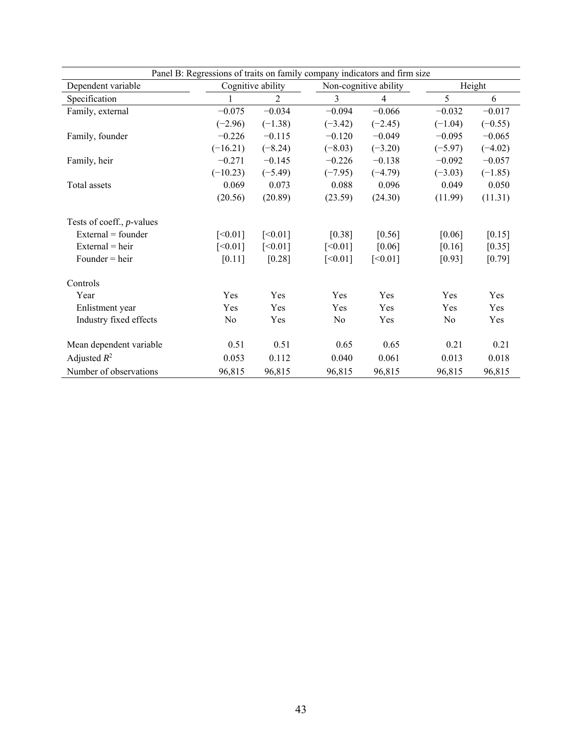| Panel B: Regressions of traits on family company indicators and firm size |            |                   |           |                       |                |           |  |  |  |
|---------------------------------------------------------------------------|------------|-------------------|-----------|-----------------------|----------------|-----------|--|--|--|
| Dependent variable                                                        |            | Cognitive ability |           | Non-cognitive ability |                | Height    |  |  |  |
| Specification                                                             |            | 2                 | 3         | $\overline{4}$        | 5              | 6         |  |  |  |
| Family, external                                                          | $-0.075$   | $-0.034$          | $-0.094$  | $-0.066$              | $-0.032$       | $-0.017$  |  |  |  |
|                                                                           | $(-2.96)$  | $(-1.38)$         | $(-3.42)$ | $(-2.45)$             | $(-1.04)$      | $(-0.55)$ |  |  |  |
| Family, founder                                                           | $-0.226$   | $-0.115$          | $-0.120$  | $-0.049$              | $-0.095$       | $-0.065$  |  |  |  |
|                                                                           | $(-16.21)$ | $(-8.24)$         | $(-8.03)$ | $(-3.20)$             | $(-5.97)$      | $(-4.02)$ |  |  |  |
| Family, heir                                                              | $-0.271$   | $-0.145$          | $-0.226$  | $-0.138$              | $-0.092$       | $-0.057$  |  |  |  |
|                                                                           | $(-10.23)$ | $(-5.49)$         | $(-7.95)$ | $(-4.79)$             | $(-3.03)$      | $(-1.85)$ |  |  |  |
| Total assets                                                              | 0.069      | 0.073             | 0.088     | 0.096                 | 0.049          | 0.050     |  |  |  |
|                                                                           | (20.56)    | (20.89)           | (23.59)   | (24.30)               | (11.99)        | (11.31)   |  |  |  |
| Tests of coeff., <i>p</i> -values                                         |            |                   |           |                       |                |           |  |  |  |
| External = founder                                                        | [<0.01]    | [<0.01]           | [0.38]    | [0.56]                | [0.06]         | [0.15]    |  |  |  |
| $External = heir$                                                         | [<0.01]    | [<0.01]           | [<0.01]   | [0.06]                | [0.16]         | [0.35]    |  |  |  |
| $Founder = heir$                                                          | [0.11]     | [0.28]            | [<0.01]   | [<0.01]               | [0.93]         | $[0.79]$  |  |  |  |
|                                                                           |            |                   |           |                       |                |           |  |  |  |
| Controls                                                                  |            |                   |           |                       |                |           |  |  |  |
| Year                                                                      | Yes        | Yes               | Yes       | Yes                   | Yes            | Yes       |  |  |  |
| Enlistment year                                                           | Yes        | Yes               | Yes       | Yes                   | Yes            | Yes       |  |  |  |
| Industry fixed effects                                                    | No         | Yes               | No        | Yes                   | N <sub>0</sub> | Yes       |  |  |  |
|                                                                           |            |                   |           |                       |                |           |  |  |  |
| Mean dependent variable                                                   | 0.51       | 0.51              | 0.65      | 0.65                  | 0.21           | 0.21      |  |  |  |
| Adjusted $R^2$                                                            | 0.053      | 0.112             | 0.040     | 0.061                 | 0.013          | 0.018     |  |  |  |
| Number of observations                                                    | 96,815     | 96,815            | 96,815    | 96,815                | 96,815         | 96,815    |  |  |  |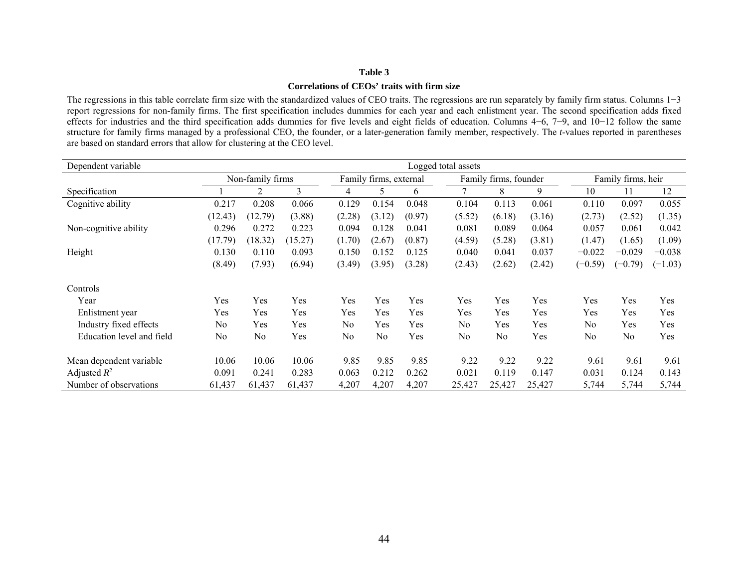#### **Correlations of CEOs' traits with firm size**

The regressions in this table correlate firm size with the standardized values of CEO traits. The regressions are run separately by family firm status. Columns 1−3 report regressions for non-family firms. The first specification includes dummies for each year and each enlistment year. The second specification adds fixed effects for industries and the third specification adds dummies for five levels and eight fields of education. Columns 4−6, 7−9, and 10−12 follow the same structure for family firms managed by a professional CEO, the founder, or a later-generation family member, respectively. The *t*-values reported in parentheses are based on standard errors that allow for clustering at the CEO level.

| Dependent variable        | Logged total assets |                  |         |                |                        |        |                |                       |        |                    |           |           |
|---------------------------|---------------------|------------------|---------|----------------|------------------------|--------|----------------|-----------------------|--------|--------------------|-----------|-----------|
|                           |                     | Non-family firms |         |                | Family firms, external |        |                | Family firms, founder |        | Family firms, heir |           |           |
| Specification             |                     | 2                | 3       | 4              | 5                      | 6      | 7              | 8                     | 9      | 10                 | 11        | 12        |
| Cognitive ability         | 0.217               | 0.208            | 0.066   | 0.129          | 0.154                  | 0.048  | 0.104          | 0.113                 | 0.061  | 0.110              | 0.097     | 0.055     |
|                           | (12.43)             | 12.79            | (3.88)  | (2.28)         | (3.12)                 | (0.97) | (5.52)         | (6.18)                | (3.16) | (2.73)             | (2.52)    | (1.35)    |
| Non-cognitive ability     | 0.296               | 0.272            | 0.223   | 0.094          | 0.128                  | 0.041  | 0.081          | 0.089                 | 0.064  | 0.057              | 0.061     | 0.042     |
|                           | (17.79)             | (18.32)          | (15.27) | (1.70)         | (2.67)                 | (0.87) | (4.59)         | (5.28)                | (3.81) | (1.47)             | (1.65)    | (1.09)    |
| Height                    | 0.130               | 0.110            | 0.093   | 0.150          | 0.152                  | 0.125  | 0.040          | 0.041                 | 0.037  | $-0.022$           | $-0.029$  | $-0.038$  |
|                           | (8.49)              | (7.93)           | (6.94)  | (3.49)         | (3.95)                 | (3.28) | (2.43)         | (2.62)                | (2.42) | $(-0.59)$          | $(-0.79)$ | $(-1.03)$ |
| Controls                  |                     |                  |         |                |                        |        |                |                       |        |                    |           |           |
| Year                      | Yes                 | Yes              | Yes     | Yes            | Yes                    | Yes    | Yes            | Yes                   | Yes    | Yes                | Yes       | Yes       |
| Enlistment year           | Yes                 | Yes              | Yes     | Yes            | Yes                    | Yes    | Yes            | Yes                   | Yes    | Yes                | Yes       | Yes       |
| Industry fixed effects    | N <sub>0</sub>      | Yes              | Yes     | N <sub>0</sub> | Yes                    | Yes    | N <sub>0</sub> | Yes                   | Yes    | N <sub>0</sub>     | Yes       | Yes       |
| Education level and field | N <sub>0</sub>      | N <sub>0</sub>   | Yes     | No             | No                     | Yes    | No             | No                    | Yes    | N <sub>0</sub>     | No        | Yes       |
| Mean dependent variable   | 10.06               | 10.06            | 10.06   | 9.85           | 9.85                   | 9.85   | 9.22           | 9.22                  | 9.22   | 9.61               | 9.61      | 9.61      |
| Adjusted $R^2$            | 0.091               | 0.241            | 0.283   | 0.063          | 0.212                  | 0.262  | 0.021          | 0.119                 | 0.147  | 0.031              | 0.124     | 0.143     |
| Number of observations    | 61,437              | 61,437           | 61,437  | 4,207          | 4,207                  | 4,207  | 25,427         | 25,427                | 25,427 | 5,744              | 5,744     | 5,744     |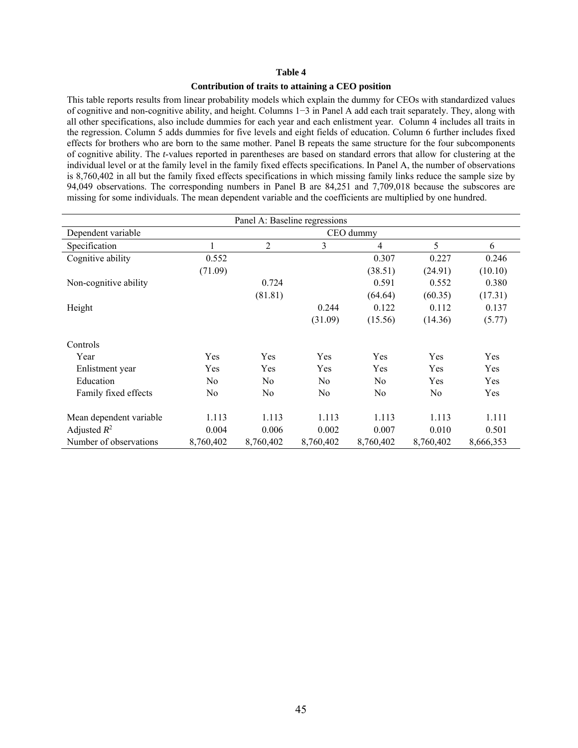#### **Contribution of traits to attaining a CEO position**

This table reports results from linear probability models which explain the dummy for CEOs with standardized values of cognitive and non-cognitive ability, and height. Columns 1−3 in Panel A add each trait separately. They, along with all other specifications, also include dummies for each year and each enlistment year. Column 4 includes all traits in the regression. Column 5 adds dummies for five levels and eight fields of education. Column 6 further includes fixed effects for brothers who are born to the same mother. Panel B repeats the same structure for the four subcomponents of cognitive ability. The *t*-values reported in parentheses are based on standard errors that allow for clustering at the individual level or at the family level in the family fixed effects specifications. In Panel A, the number of observations is 8,760,402 in all but the family fixed effects specifications in which missing family links reduce the sample size by 94,049 observations. The corresponding numbers in Panel B are 84,251 and 7,709,018 because the subscores are missing for some individuals. The mean dependent variable and the coefficients are multiplied by one hundred.

| Panel A: Baseline regressions |           |                |                |                |           |           |  |  |  |
|-------------------------------|-----------|----------------|----------------|----------------|-----------|-----------|--|--|--|
| Dependent variable            |           |                |                | CEO dummy      |           |           |  |  |  |
| Specification                 | ı         | $\overline{2}$ | 3              | $\overline{4}$ | 5         | 6         |  |  |  |
| Cognitive ability             | 0.552     |                |                | 0.307          | 0.227     | 0.246     |  |  |  |
|                               | (71.09)   |                |                | (38.51)        | (24.91)   | (10.10)   |  |  |  |
| Non-cognitive ability         |           | 0.724          |                | 0.591          | 0.552     | 0.380     |  |  |  |
|                               |           | (81.81)        |                | (64.64)        | (60.35)   | (17.31)   |  |  |  |
| Height                        |           |                | 0.244          | 0.122          | 0.112     | 0.137     |  |  |  |
|                               |           |                | (31.09)        | (15.56)        | (14.36)   | (5.77)    |  |  |  |
| Controls                      |           |                |                |                |           |           |  |  |  |
| Year                          | Yes       | Yes            | Yes            | Yes            | Yes       | Yes       |  |  |  |
| Enlistment year               | Yes       | Yes            | Yes            | Yes            | Yes       | Yes       |  |  |  |
| Education                     | No        | N <sub>0</sub> | N <sub>0</sub> | N <sub>0</sub> | Yes       | Yes       |  |  |  |
| Family fixed effects          | No        | N <sub>0</sub> | No             | No             | No        | Yes       |  |  |  |
| Mean dependent variable       | 1.113     | 1.113          | 1.113          | 1.113          | 1.113     | 1.111     |  |  |  |
| Adjusted $R^2$                | 0.004     | 0.006          | 0.002          | 0.007          | 0.010     | 0.501     |  |  |  |
| Number of observations        | 8,760,402 | 8,760,402      | 8,760,402      | 8,760,402      | 8,760,402 | 8,666,353 |  |  |  |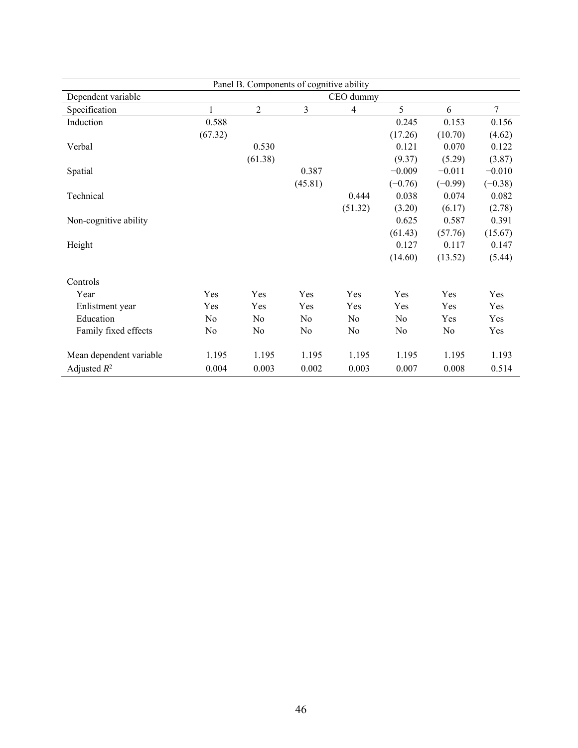|                         | Panel B. Components of cognitive ability |                |                |                |                |                |           |  |  |
|-------------------------|------------------------------------------|----------------|----------------|----------------|----------------|----------------|-----------|--|--|
| Dependent variable      |                                          |                |                | CEO dummy      |                |                |           |  |  |
| Specification           | 1                                        | $\overline{c}$ | 3              | $\overline{4}$ | 5              | 6              | $\tau$    |  |  |
| Induction               | 0.588                                    |                |                |                | 0.245          | 0.153          | 0.156     |  |  |
|                         | (67.32)                                  |                |                |                | (17.26)        | (10.70)        | (4.62)    |  |  |
| Verbal                  |                                          | 0.530          |                |                | 0.121          | 0.070          | 0.122     |  |  |
|                         |                                          | (61.38)        |                |                | (9.37)         | (5.29)         | (3.87)    |  |  |
| Spatial                 |                                          |                | 0.387          |                | $-0.009$       | $-0.011$       | $-0.010$  |  |  |
|                         |                                          |                | (45.81)        |                | $(-0.76)$      | $(-0.99)$      | $(-0.38)$ |  |  |
| Technical               |                                          |                |                | 0.444          | 0.038          | 0.074          | 0.082     |  |  |
|                         |                                          |                |                | (51.32)        | (3.20)         | (6.17)         | (2.78)    |  |  |
| Non-cognitive ability   |                                          |                |                |                | 0.625          | 0.587          | 0.391     |  |  |
|                         |                                          |                |                |                | (61.43)        | (57.76)        | (15.67)   |  |  |
| Height                  |                                          |                |                |                | 0.127          | 0.117          | 0.147     |  |  |
|                         |                                          |                |                |                | (14.60)        | (13.52)        | (5.44)    |  |  |
| Controls                |                                          |                |                |                |                |                |           |  |  |
| Year                    | Yes                                      | Yes            | Yes            | Yes            | Yes            | Yes            | Yes       |  |  |
| Enlistment year         | Yes                                      | Yes            | Yes            | Yes            | Yes            | Yes            | Yes       |  |  |
| Education               | No                                       | No             | No             | N <sub>0</sub> | N <sub>0</sub> | Yes            | Yes       |  |  |
| Family fixed effects    | N <sub>0</sub>                           | No             | N <sub>0</sub> | No             | No             | N <sub>0</sub> | Yes       |  |  |
| Mean dependent variable | 1.195                                    | 1.195          | 1.195          | 1.195          | 1.195          | 1.195          | 1.193     |  |  |
| Adjusted $R^2$          | 0.004                                    | 0.003          | 0.002          | 0.003          | 0.007          | 0.008          | 0.514     |  |  |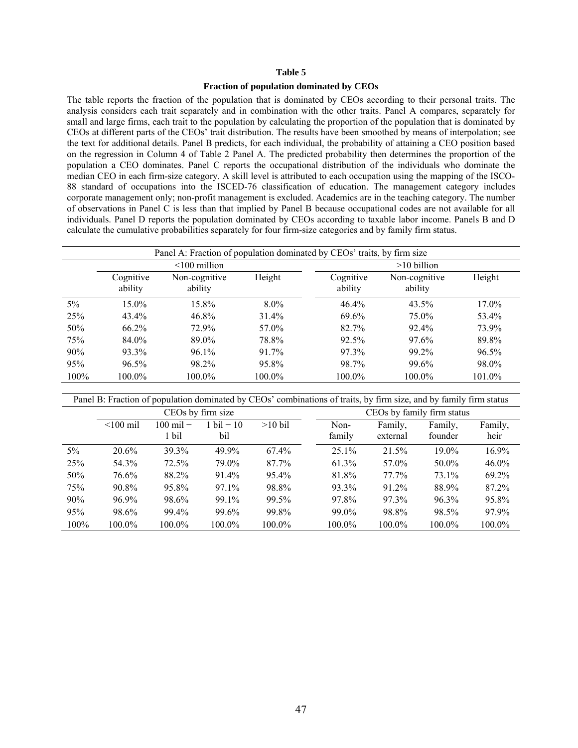#### **Fraction of population dominated by CEOs**

The table reports the fraction of the population that is dominated by CEOs according to their personal traits. The analysis considers each trait separately and in combination with the other traits. Panel A compares, separately for small and large firms, each trait to the population by calculating the proportion of the population that is dominated by CEOs at different parts of the CEOs' trait distribution. The results have been smoothed by means of interpolation; see the text for additional details. Panel B predicts, for each individual, the probability of attaining a CEO position based on the regression in Column 4 of Table 2 Panel A. The predicted probability then determines the proportion of the population a CEO dominates. Panel C reports the occupational distribution of the individuals who dominate the median CEO in each firm-size category. A skill level is attributed to each occupation using the mapping of the ISCO-88 standard of occupations into the ISCED-76 classification of education. The management category includes corporate management only; non-profit management is excluded. Academics are in the teaching category. The number of observations in Panel C is less than that implied by Panel B because occupational codes are not available for all individuals. Panel D reports the population dominated by CEOs according to taxable labor income. Panels B and D calculate the cumulative probabilities separately for four firm-size categories and by family firm status.

|         | Panel A: Fraction of population dominated by CEOs' traits, by firm size |                          |           |                      |                          |          |  |  |  |  |
|---------|-------------------------------------------------------------------------|--------------------------|-----------|----------------------|--------------------------|----------|--|--|--|--|
|         |                                                                         | $\leq 100$ million       |           | $>10$ billion        |                          |          |  |  |  |  |
|         | Cognitive<br>ability                                                    | Non-cognitive<br>ability | Height    | Cognitive<br>ability | Non-cognitive<br>ability | Height   |  |  |  |  |
| $5\%$   | 15.0%                                                                   | 15.8%                    | $8.0\%$   | 46.4%                | $43.5\%$                 | 17.0%    |  |  |  |  |
| 25%     | 43.4%                                                                   | 46.8%                    | $31.4\%$  | 69.6%                | 75.0%                    | 53.4%    |  |  |  |  |
| 50%     | 66.2%                                                                   | 72.9%                    | 57.0%     | 82.7%                | 92.4%                    | 73.9%    |  |  |  |  |
| 75%     | 84.0%                                                                   | 89.0%                    | 78.8%     | 92.5%                | 97.6%                    | 89.8%    |  |  |  |  |
| 90%     | 93.3%                                                                   | 96.1%                    | 91.7%     | 97.3%                | 99.2%                    | $96.5\%$ |  |  |  |  |
| 95%     | $96.5\%$                                                                | 98.2%                    | 95.8%     | 98.7%                | 99.6%                    | 98.0%    |  |  |  |  |
| $100\%$ | 100.0%                                                                  | 100.0%                   | $100.0\%$ | 100.0%               | 100.0%                   | 101.0%   |  |  |  |  |

Panel B: Fraction of population dominated by CEOs' combinations of traits, by firm size, and by family firm status

|       |                | CEOs by firm size   |                      |           | CEOs by family firm status |          |          |          |  |
|-------|----------------|---------------------|----------------------|-----------|----------------------------|----------|----------|----------|--|
|       | $\leq 100$ mil | $100 \text{ mil}$ – | $1 \text{ bil} - 10$ | $>10$ bil | Non-                       | Family,  | Family,  | Family,  |  |
|       |                | 1 bil               | bil                  |           | family                     | external | founder  | heir     |  |
| $5\%$ | 20.6%          | 39.3%               | 49.9%                | $67.4\%$  | $25.1\%$                   | 21.5%    | $19.0\%$ | 16.9%    |  |
| 25%   | 54.3%          | 72.5%               | 79.0%                | 87.7%     | 61.3%                      | 57.0%    | 50.0%    | $46.0\%$ |  |
| 50%   | 76.6%          | 88.2%               | 91.4%                | $95.4\%$  | 81.8%                      | $77.7\%$ | 73.1%    | 69.2%    |  |
| 75%   | $90.8\%$       | 95.8%               | 97.1%                | 98.8%     | 93.3%                      | 91.2%    | 88.9%    | 87.2%    |  |
| 90%   | $96.9\%$       | 98.6%               | 99.1%                | 99.5%     | 97.8%                      | 97.3%    | 96.3%    | 95.8%    |  |
| 95%   | 98.6%          | 99.4%               | 99.6%                | 99.8%     | 99.0%                      | 98.8%    | 98.5%    | 97.9%    |  |
| 100%  | 100.0%         | 100.0%              | 100.0%               | $100.0\%$ | $100.0\%$                  | 100.0%   | 100.0%   | 100.0%   |  |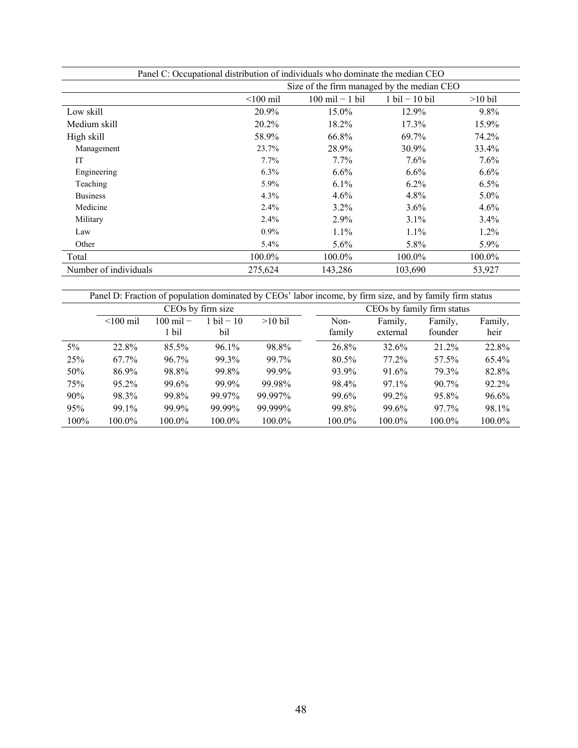| Panel C: Occupational distribution of individuals who dominate the median CEO |             |                                            |                                  |           |  |  |  |  |  |
|-------------------------------------------------------------------------------|-------------|--------------------------------------------|----------------------------------|-----------|--|--|--|--|--|
|                                                                               |             | Size of the firm managed by the median CEO |                                  |           |  |  |  |  |  |
|                                                                               | $<$ 100 mil | $100 \text{ mil} - 1 \text{ bil}$          | $1 \text{ bil} - 10 \text{ bil}$ | $>10$ bil |  |  |  |  |  |
| Low skill                                                                     | 20.9%       | 15.0%                                      | 12.9%                            | 9.8%      |  |  |  |  |  |
| Medium skill                                                                  | 20.2%       | 18.2%                                      | 17.3%                            | 15.9%     |  |  |  |  |  |
| High skill                                                                    | 58.9%       | 66.8%                                      | 69.7%                            | 74.2%     |  |  |  |  |  |
| Management                                                                    | 23.7%       | 28.9%                                      | 30.9%                            | 33.4%     |  |  |  |  |  |
| <b>IT</b>                                                                     | $7.7\%$     | $7.7\%$                                    | 7.6%                             | 7.6%      |  |  |  |  |  |
| Engineering                                                                   | $6.3\%$     | $6.6\%$                                    | $6.6\%$                          | 6.6%      |  |  |  |  |  |
| Teaching                                                                      | $5.9\%$     | $6.1\%$                                    | $6.2\%$                          | $6.5\%$   |  |  |  |  |  |
| <b>Business</b>                                                               | 4.3%        | $4.6\%$                                    | 4.8%                             | $5.0\%$   |  |  |  |  |  |
| Medicine                                                                      | $2.4\%$     | $3.2\%$                                    | $3.6\%$                          | 4.6%      |  |  |  |  |  |
| Military                                                                      | $2.4\%$     | 2.9%                                       | $3.1\%$                          | $3.4\%$   |  |  |  |  |  |
| Law                                                                           | $0.9\%$     | $1.1\%$                                    | $1.1\%$                          | $1.2\%$   |  |  |  |  |  |
| Other                                                                         | $5.4\%$     | $5.6\%$                                    | 5.8%                             | 5.9%      |  |  |  |  |  |
| Total                                                                         | 100.0%      | $100.0\%$                                  | 100.0%                           | 100.0%    |  |  |  |  |  |
| Number of individuals                                                         | 275,624     | 143,286                                    | 103,690                          | 53,927    |  |  |  |  |  |

|         | Panel D: Fraction of population dominated by CEOs' labor income, by firm size, and by family firm status |                              |                             |           |                |                            |                    |                 |  |  |  |
|---------|----------------------------------------------------------------------------------------------------------|------------------------------|-----------------------------|-----------|----------------|----------------------------|--------------------|-----------------|--|--|--|
|         |                                                                                                          |                              | CEOs by firm size           |           |                | CEOs by family firm status |                    |                 |  |  |  |
|         | $< 100$ mil                                                                                              | $100 \text{ mil} -$<br>1 bil | $1 \text{ bil} - 10$<br>bil | $>10$ bil | Non-<br>family | Family,<br>external        | Family.<br>founder | Family,<br>heir |  |  |  |
| $5\%$   | 22.8%                                                                                                    | $85.5\%$                     | $96.1\%$                    | 98.8%     | 26.8%          | 32.6%                      | 21.2%              | 22.8%           |  |  |  |
| 25%     | 67.7%                                                                                                    | 96.7%                        | 99.3%                       | 99.7%     | 80.5%          | 77.2%                      | 57.5%              | $65.4\%$        |  |  |  |
| 50%     | 86.9%                                                                                                    | 98.8%                        | 99.8%                       | 99.9%     | 93.9%          | 91.6%                      | 79.3%              | 82.8%           |  |  |  |
| 75%     | $95.2\%$                                                                                                 | 99.6%                        | 99.9%                       | 99.98%    | 98.4%          | $97.1\%$                   | $90.7\%$           | 92.2%           |  |  |  |
| 90%     | 98.3%                                                                                                    | 99.8%                        | 99.97%                      | 99.997%   | 99.6%          | 99.2%                      | 95.8%              | 96.6%           |  |  |  |
| 95%     | 99.1%                                                                                                    | 99.9%                        | 99.99%                      | 99.999%   | 99.8%          | 99.6%                      | 97.7%              | 98.1%           |  |  |  |
| $100\%$ | 100.0%                                                                                                   | 100.0%                       | 100.0%                      | 100.0%    | 100.0%         | 100.0%                     | 100.0%             | 100.0%          |  |  |  |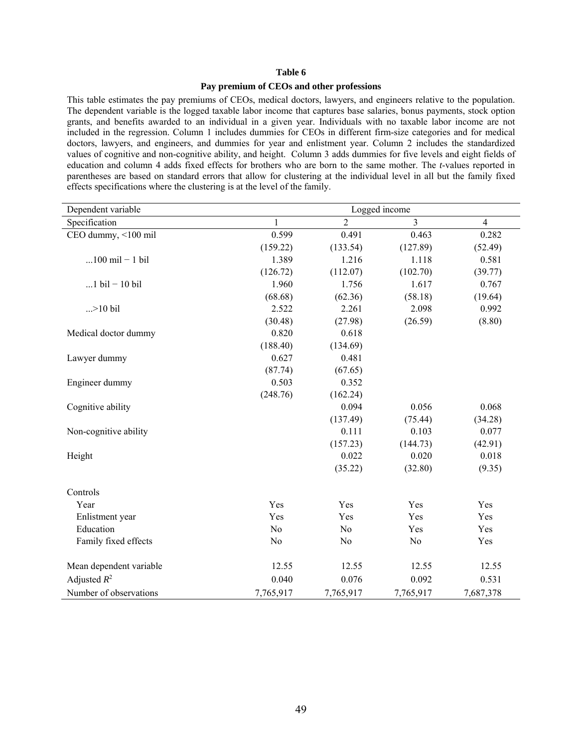#### **Pay premium of CEOs and other professions**

This table estimates the pay premiums of CEOs, medical doctors, lawyers, and engineers relative to the population. The dependent variable is the logged taxable labor income that captures base salaries, bonus payments, stock option grants, and benefits awarded to an individual in a given year. Individuals with no taxable labor income are not included in the regression. Column 1 includes dummies for CEOs in different firm-size categories and for medical doctors, lawyers, and engineers, and dummies for year and enlistment year. Column 2 includes the standardized values of cognitive and non-cognitive ability, and height. Column 3 adds dummies for five levels and eight fields of education and column 4 adds fixed effects for brothers who are born to the same mother. The *t*-values reported in parentheses are based on standard errors that allow for clustering at the individual level in all but the family fixed effects specifications where the clustering is at the level of the family.

| Dependent variable                | Logged income  |                |                |                |  |  |  |  |  |
|-----------------------------------|----------------|----------------|----------------|----------------|--|--|--|--|--|
| Specification                     | 1              | $\overline{2}$ | $\overline{3}$ | $\overline{4}$ |  |  |  |  |  |
| CEO dummy, <100 mil               | 0.599          | 0.491          | 0.463          | 0.282          |  |  |  |  |  |
|                                   | (159.22)       | (133.54)       | (127.89)       | (52.49)        |  |  |  |  |  |
| $100 \text{ mil} - 1 \text{ bil}$ | 1.389          | 1.216          | 1.118          | 0.581          |  |  |  |  |  |
|                                   | (126.72)       | (112.07)       | (102.70)       | (39.77)        |  |  |  |  |  |
| $1$ bil - 10 bil                  | 1.960          | 1.756          | 1.617          | 0.767          |  |  |  |  |  |
|                                   | (68.68)        | (62.36)        | (58.18)        | (19.64)        |  |  |  |  |  |
| $. > 10$ bil                      | 2.522          | 2.261          | 2.098          | 0.992          |  |  |  |  |  |
|                                   | (30.48)        | (27.98)        | (26.59)        | (8.80)         |  |  |  |  |  |
| Medical doctor dummy              | 0.820          | 0.618          |                |                |  |  |  |  |  |
|                                   | (188.40)       | (134.69)       |                |                |  |  |  |  |  |
| Lawyer dummy                      | 0.627          | 0.481          |                |                |  |  |  |  |  |
|                                   | (87.74)        | (67.65)        |                |                |  |  |  |  |  |
| Engineer dummy                    | 0.503          | 0.352          |                |                |  |  |  |  |  |
|                                   | (248.76)       | (162.24)       |                |                |  |  |  |  |  |
| Cognitive ability                 |                | 0.094          | 0.056          | 0.068          |  |  |  |  |  |
|                                   |                | (137.49)       | (75.44)        | (34.28)        |  |  |  |  |  |
| Non-cognitive ability             |                | 0.111          | 0.103          | 0.077          |  |  |  |  |  |
|                                   |                | (157.23)       | (144.73)       | (42.91)        |  |  |  |  |  |
| Height                            |                | 0.022          | 0.020          | 0.018          |  |  |  |  |  |
|                                   |                | (35.22)        | (32.80)        | (9.35)         |  |  |  |  |  |
| Controls                          |                |                |                |                |  |  |  |  |  |
| Year                              | Yes            | Yes            | Yes            | Yes            |  |  |  |  |  |
| Enlistment year                   | Yes            | Yes            | Yes            | Yes            |  |  |  |  |  |
| Education                         | N <sub>0</sub> | N <sub>o</sub> | Yes            | Yes            |  |  |  |  |  |
| Family fixed effects              | N <sub>o</sub> | N <sub>o</sub> | N <sub>0</sub> | Yes            |  |  |  |  |  |
| Mean dependent variable           | 12.55          | 12.55          | 12.55          | 12.55          |  |  |  |  |  |
| Adjusted $R^2$                    | 0.040          | 0.076          | 0.092          | 0.531          |  |  |  |  |  |
| Number of observations            | 7,765,917      | 7,765,917      | 7,765,917      | 7,687,378      |  |  |  |  |  |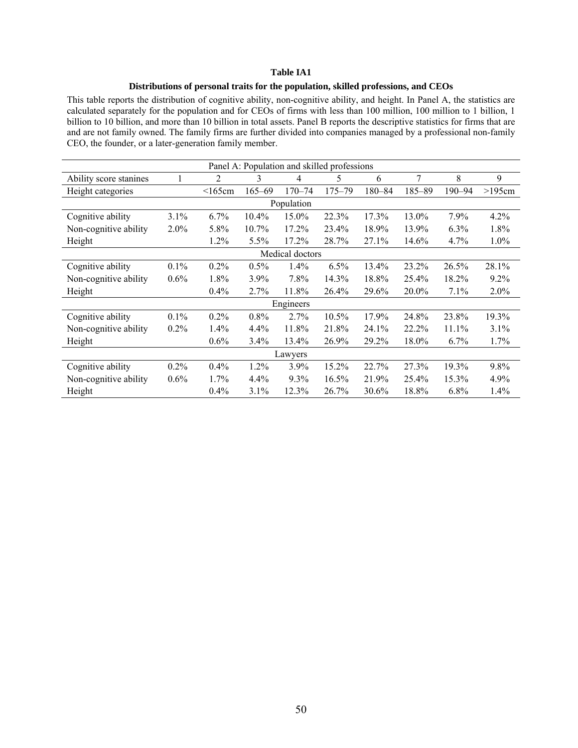#### **Distributions of personal traits for the population, skilled professions, and CEOs**

This table reports the distribution of cognitive ability, non-cognitive ability, and height. In Panel A, the statistics are calculated separately for the population and for CEOs of firms with less than 100 million, 100 million to 1 billion, 1 billion to 10 billion, and more than 10 billion in total assets. Panel B reports the descriptive statistics for firms that are and are not family owned. The family firms are further divided into companies managed by a professional non-family CEO, the founder, or a later-generation family member.

|                        |         |              |            | Panel A: Population and skilled professions |            |            |        |            |         |
|------------------------|---------|--------------|------------|---------------------------------------------|------------|------------|--------|------------|---------|
| Ability score stanines | ı       | 2            | 3          | 4                                           | 5          | 6          | 7      | 8          | 9       |
| Height categories      |         | $\leq$ 165cm | $165 - 69$ | $170 - 74$                                  | $175 - 79$ | $180 - 84$ | 185-89 | $190 - 94$ | >195cm  |
|                        |         |              |            | Population                                  |            |            |        |            |         |
| Cognitive ability      | 3.1%    | $6.7\%$      | $10.4\%$   | 15.0%                                       | 22.3%      | 17.3%      | 13.0%  | 7.9%       | $4.2\%$ |
| Non-cognitive ability  | $2.0\%$ | 5.8%         | $10.7\%$   | $17.2\%$                                    | 23.4%      | 18.9%      | 13.9%  | $6.3\%$    | 1.8%    |
| Height                 |         | 1.2%         | 5.5%       | $17.2\%$                                    | 28.7%      | 27.1%      | 14.6%  | 4.7%       | $1.0\%$ |
|                        |         |              |            | Medical doctors                             |            |            |        |            |         |
| Cognitive ability      | $0.1\%$ | 0.2%         | $0.5\%$    | 1.4%                                        | 6.5%       | 13.4%      | 23.2%  | 26.5%      | 28.1%   |
| Non-cognitive ability  | 0.6%    | 1.8%         | 3.9%       | $7.8\%$                                     | 14.3%      | 18.8%      | 25.4%  | 18.2%      | $9.2\%$ |
| Height                 |         | $0.4\%$      | $2.7\%$    | 11.8%                                       | 26.4%      | 29.6%      | 20.0%  | 7.1%       | 2.0%    |
|                        |         |              |            | Engineers                                   |            |            |        |            |         |
| Cognitive ability      | $0.1\%$ | $0.2\%$      | $0.8\%$    | 2.7%                                        | $10.5\%$   | 17.9%      | 24.8%  | 23.8%      | 19.3%   |
| Non-cognitive ability  | $0.2\%$ | $1.4\%$      | $4.4\%$    | 11.8%                                       | 21.8%      | 24.1%      | 22.2%  | $11.1\%$   | $3.1\%$ |
| Height                 |         | $0.6\%$      | 3.4%       | 13.4%                                       | 26.9%      | 29.2%      | 18.0%  | 6.7%       | 1.7%    |
|                        |         |              |            | Lawyers                                     |            |            |        |            |         |
| Cognitive ability      | $0.2\%$ | 0.4%         | 1.2%       | 3.9%                                        | 15.2%      | 22.7%      | 27.3%  | 19.3%      | 9.8%    |
| Non-cognitive ability  | $0.6\%$ | $1.7\%$      | 4.4%       | $9.3\%$                                     | 16.5%      | 21.9%      | 25.4%  | 15.3%      | 4.9%    |
| Height                 |         | $0.4\%$      | 3.1%       | 12.3%                                       | 26.7%      | 30.6%      | 18.8%  | $6.8\%$    | 1.4%    |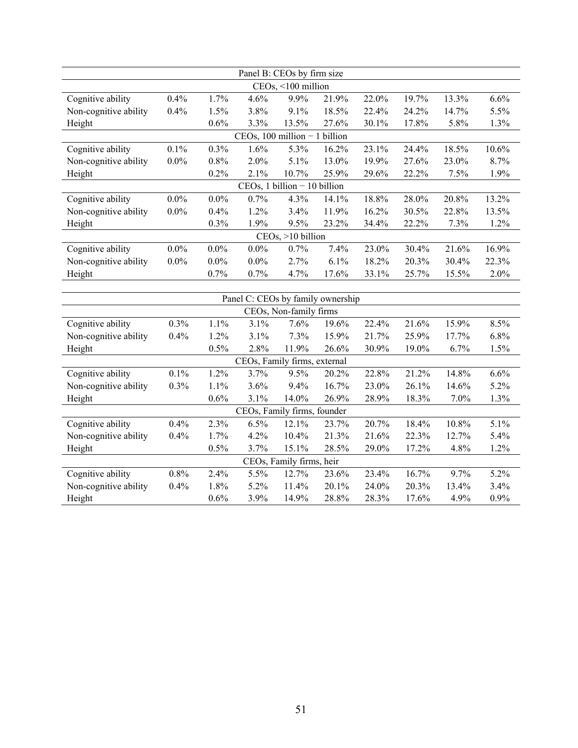|                       |         |         |                                   | Panel B: CEOs by firm size     |       |       |       |       |       |
|-----------------------|---------|---------|-----------------------------------|--------------------------------|-------|-------|-------|-------|-------|
|                       |         |         |                                   | CEOs, <100 million             |       |       |       |       |       |
| Cognitive ability     | 0.4%    | 1.7%    | 4.6%                              | 9.9%                           | 21.9% | 22.0% | 19.7% | 13.3% | 6.6%  |
| Non-cognitive ability | 0.4%    | 1.5%    | 3.8%                              | 9.1%                           | 18.5% | 22.4% | 24.2% | 14.7% | 5.5%  |
| Height                |         | 0.6%    | 3.3%                              | 13.5%                          | 27.6% | 30.1% | 17.8% | 5.8%  | 1.3%  |
|                       |         |         | $CEOs$ , 100 million $-1$ billion |                                |       |       |       |       |       |
| Cognitive ability     | 0.1%    | 0.3%    | 1.6%                              | 5.3%                           | 16.2% | 23.1% | 24.4% | 18.5% | 10.6% |
| Non-cognitive ability | $0.0\%$ | 0.8%    | 2.0%                              | 5.1%                           | 13.0% | 19.9% | 27.6% | 23.0% | 8.7%  |
| Height                |         | 0.2%    | 2.1%                              | 10.7%                          | 25.9% | 29.6% | 22.2% | 7.5%  | 1.9%  |
|                       |         |         |                                   | $CEOs, 1 billion - 10 billion$ |       |       |       |       |       |
| Cognitive ability     | $0.0\%$ | $0.0\%$ | 0.7%                              | 4.3%                           | 14.1% | 18.8% | 28.0% | 20.8% | 13.2% |
| Non-cognitive ability | $0.0\%$ | 0.4%    | 1.2%                              | 3.4%                           | 11.9% | 16.2% | 30.5% | 22.8% | 13.5% |
| Height                |         | 0.3%    | 1.9%                              | 9.5%                           | 23.2% | 34.4% | 22.2% | 7.3%  | 1.2%  |
|                       |         |         |                                   | CEOs, >10 billion              |       |       |       |       |       |
| Cognitive ability     | $0.0\%$ | $0.0\%$ | $0.0\%$                           | 0.7%                           | 7.4%  | 23.0% | 30.4% | 21.6% | 16.9% |
| Non-cognitive ability | $0.0\%$ | $0.0\%$ | $0.0\%$                           | 2.7%                           | 6.1%  | 18.2% | 20.3% | 30.4% | 22.3% |
| Height                |         | 0.7%    | 0.7%                              | 4.7%                           | 17.6% | 33.1% | 25.7% | 15.5% | 2.0%  |
|                       |         |         |                                   |                                |       |       |       |       |       |
|                       |         |         | Panel C: CEOs by family ownership |                                |       |       |       |       |       |
|                       |         |         |                                   | CEOs, Non-family firms         |       |       |       |       |       |
| Cognitive ability     | 0.3%    | 1.1%    | 3.1%                              | 7.6%                           | 19.6% | 22.4% | 21.6% | 15.9% | 8.5%  |
| Non-cognitive ability | 0.4%    | 1.2%    | 3.1%                              | 7.3%                           | 15.9% | 21.7% | 25.9% | 17.7% | 6.8%  |
| Height                |         | 0.5%    | 2.8%                              | 11.9%                          | 26.6% | 30.9% | 19.0% | 6.7%  | 1.5%  |
|                       |         |         | CEOs, Family firms, external      |                                |       |       |       |       |       |
| Cognitive ability     | 0.1%    | 1.2%    | 3.7%                              | 9.5%                           | 20.2% | 22.8% | 21.2% | 14.8% | 6.6%  |
| Non-cognitive ability | 0.3%    | 1.1%    | 3.6%                              | 9.4%                           | 16.7% | 23.0% | 26.1% | 14.6% | 5.2%  |
| Height                |         | 0.6%    | 3.1%                              | 14.0%                          | 26.9% | 28.9% | 18.3% | 7.0%  | 1.3%  |
|                       |         |         | CEOs, Family firms, founder       |                                |       |       |       |       |       |
| Cognitive ability     | 0.4%    | 2.3%    | 6.5%                              | 12.1%                          | 23.7% | 20.7% | 18.4% | 10.8% | 5.1%  |
| Non-cognitive ability | 0.4%    | 1.7%    | 4.2%                              | 10.4%                          | 21.3% | 21.6% | 22.3% | 12.7% | 5.4%  |
| Height                |         | 0.5%    | 3.7%                              | 15.1%                          | 28.5% | 29.0% | 17.2% | 4.8%  | 1.2%  |
|                       |         |         |                                   | CEOs, Family firms, heir       |       |       |       |       |       |
| Cognitive ability     | 0.8%    | 2.4%    | 5.5%                              | 12.7%                          | 23.6% | 23.4% | 16.7% | 9.7%  | 5.2%  |
| Non-cognitive ability | 0.4%    | 1.8%    | 5.2%                              | 11.4%                          | 20.1% | 24.0% | 20.3% | 13.4% | 3.4%  |
| Height                |         | 0.6%    | 3.9%                              | 14.9%                          | 28.8% | 28.3% | 17.6% | 4.9%  | 0.9%  |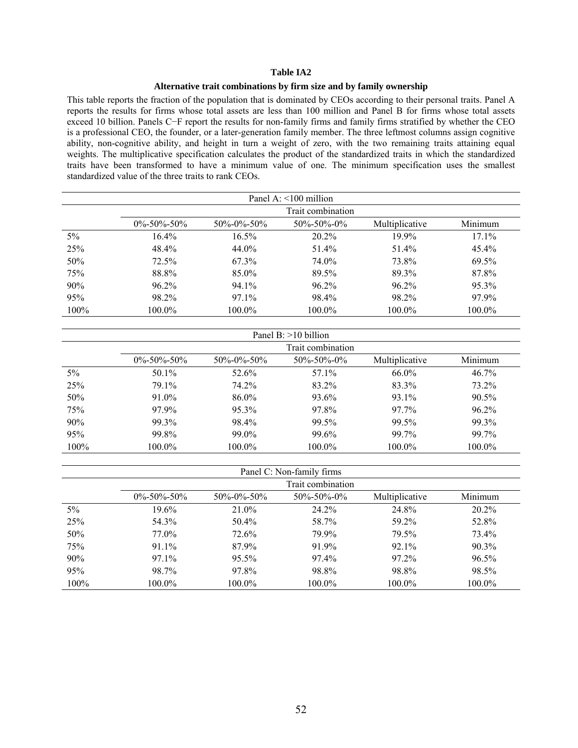#### **Alternative trait combinations by firm size and by family ownership**

This table reports the fraction of the population that is dominated by CEOs according to their personal traits. Panel A reports the results for firms whose total assets are less than 100 million and Panel B for firms whose total assets exceed 10 billion. Panels C−F report the results for non-family firms and family firms stratified by whether the CEO is a professional CEO, the founder, or a later-generation family member. The three leftmost columns assign cognitive ability, non-cognitive ability, and height in turn a weight of zero, with the two remaining traits attaining equal weights. The multiplicative specification calculates the product of the standardized traits in which the standardized traits have been transformed to have a minimum value of one. The minimum specification uses the smallest standardized value of the three traits to rank CEOs.

|         |                                                                                                |          | Panel A: $\leq 100$ million |          |          |  |  |  |  |
|---------|------------------------------------------------------------------------------------------------|----------|-----------------------------|----------|----------|--|--|--|--|
|         |                                                                                                |          | Trait combination           |          |          |  |  |  |  |
|         | Minimum<br>$0\% - 50\% - 50\%$<br>Multiplicative<br>$50\% - 0\% - 50\%$<br>$50\% - 50\% - 0\%$ |          |                             |          |          |  |  |  |  |
| 5%      | 16.4%                                                                                          | $16.5\%$ | $20.2\%$                    | $19.9\%$ | $17.1\%$ |  |  |  |  |
| 25%     | 48.4%                                                                                          | 44.0%    | 51.4%                       | 51.4%    | $45.4\%$ |  |  |  |  |
| 50%     | 72.5%                                                                                          | 67.3%    | 74.0%                       | 73.8%    | 69.5%    |  |  |  |  |
| 75%     | 88.8%                                                                                          | 85.0%    | 89.5%                       | 89.3%    | 87.8%    |  |  |  |  |
| 90%     | $96.2\%$                                                                                       | 94.1%    | $96.2\%$                    | $96.2\%$ | 95.3%    |  |  |  |  |
| 95%     | 98.2%                                                                                          | 97.1%    | 98.4%                       | 98.2%    | 97.9%    |  |  |  |  |
| $100\%$ | 100.0%                                                                                         | 100.0%   | 100.0%                      | 100.0%   | 100.0%   |  |  |  |  |

|         | Panel B: $>10$ billion |                     |                     |                |          |  |
|---------|------------------------|---------------------|---------------------|----------------|----------|--|
|         |                        |                     | Trait combination   |                |          |  |
|         | $0\% - 50\% - 50\%$    | $50\% - 0\% - 50\%$ | $50\% - 50\% - 0\%$ | Multiplicative | Minimum  |  |
| 5%      | 50.1%                  | 52.6%               | 57.1%               | $66.0\%$       | $46.7\%$ |  |
| 25%     | 79.1%                  | 74.2%               | 83.2%               | 83.3%          | 73.2%    |  |
| 50%     | $91.0\%$               | 86.0%               | 93.6%               | 93.1%          | $90.5\%$ |  |
| 75%     | 97.9%                  | $95.3\%$            | 97.8%               | 97.7%          | $96.2\%$ |  |
| 90%     | 99.3%                  | 98.4%               | 99.5%               | 99.5%          | 99.3%    |  |
| 95%     | 99.8%                  | 99.0%               | 99.6%               | 99.7%          | 99.7%    |  |
| $100\%$ | 100.0%                 | 100.0%              | 100.0%              | $100.0\%$      | 100.0%   |  |

|       |                     |               | Panel C: Non-family firms |                |          |
|-------|---------------------|---------------|---------------------------|----------------|----------|
|       |                     |               | Trait combination         |                |          |
|       | $0\% - 50\% - 50\%$ | 50\%-0\%-50\% | $50\% - 50\% - 0\%$       | Multiplicative | Minimum  |
| $5\%$ | 19.6%               | 21.0%         | 24.2%                     | 24.8%          | $20.2\%$ |
| 25%   | 54.3%               | 50.4%         | 58.7%                     | 59.2%          | 52.8%    |
| 50%   | 77.0%               | 72.6%         | 79.9%                     | 79.5%          | 73.4%    |
| 75%   | 91.1%               | 87.9%         | 91.9%                     | 92.1%          | $90.3\%$ |
| 90%   | $97.1\%$            | $95.5\%$      | 97.4%                     | 97.2%          | $96.5\%$ |
| 95%   | 98.7%               | 97.8%         | 98.8%                     | 98.8%          | 98.5%    |
| 100%  | 100.0%              | 100.0%        | 100.0%                    | $100.0\%$      | 100.0%   |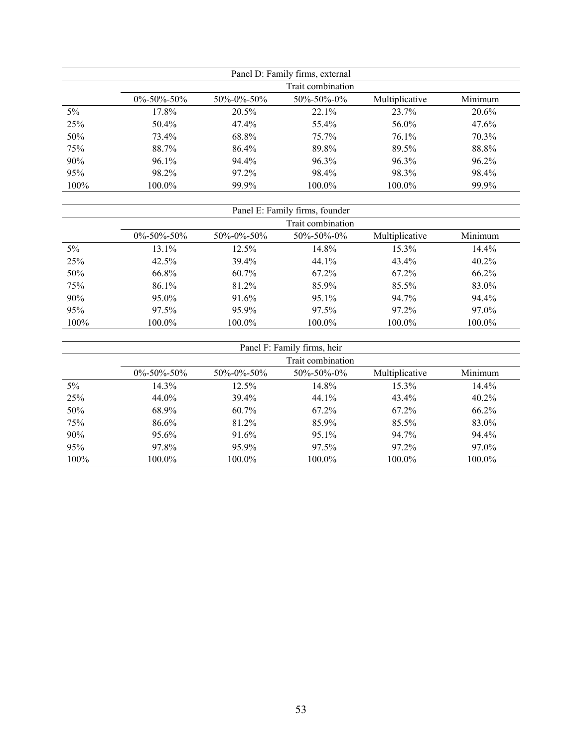|         |                     |                     | Panel D: Family firms, external |                |         |
|---------|---------------------|---------------------|---------------------------------|----------------|---------|
|         |                     |                     | Trait combination               |                |         |
|         | $0\% - 50\% - 50\%$ | $50\% - 0\% - 50\%$ | $50\% - 50\% - 0\%$             | Multiplicative | Minimum |
| 5%      | 17.8%               | 20.5%               | $22.1\%$                        | 23.7%          | 20.6%   |
| 25%     | 50.4%               | 47.4%               | 55.4%                           | 56.0%          | 47.6%   |
| 50%     | 73.4%               | 68.8%               | $75.7\%$                        | $76.1\%$       | 70.3%   |
| 75%     | 88.7%               | 86.4%               | 89.8%                           | 89.5%          | 88.8%   |
| 90%     | $96.1\%$            | 94.4%               | 96.3%                           | 96.3%          | 96.2%   |
| 95%     | 98.2%               | 97.2%               | 98.4%                           | 98.3%          | 98.4%   |
| $100\%$ | 100.0%              | 99.9%               | 100.0%                          | 100.0%         | 99.9%   |

|       | Panel E: Family firms, founder |                     |                     |                |          |  |  |
|-------|--------------------------------|---------------------|---------------------|----------------|----------|--|--|
|       |                                |                     | Trait combination   |                |          |  |  |
|       | $0\% - 50\% - 50\%$            | $50\% - 0\% - 50\%$ | $50\% - 50\% - 0\%$ | Multiplicative | Minimum  |  |  |
| $5\%$ | 13.1%                          | $12.5\%$            | 14.8%               | 15.3%          | 14.4%    |  |  |
| 25%   | 42.5%                          | 39.4%               | 44.1%               | $43.4\%$       | $40.2\%$ |  |  |
| 50%   | 66.8%                          | $60.7\%$            | 67.2%               | $67.2\%$       | $66.2\%$ |  |  |
| 75%   | 86.1%                          | 81.2%               | 85.9%               | 85.5%          | 83.0%    |  |  |
| 90%   | $95.0\%$                       | 91.6%               | 95.1%               | 94.7%          | 94.4%    |  |  |
| 95%   | 97.5%                          | 95.9%               | 97.5%               | 97.2%          | 97.0%    |  |  |
| 100%  | 100.0%                         | 100.0%              | 100.0%              | $100.0\%$      | 100.0%   |  |  |

|      |                     |                     | Panel F: Family firms, heir |                |          |  |  |
|------|---------------------|---------------------|-----------------------------|----------------|----------|--|--|
|      | Trait combination   |                     |                             |                |          |  |  |
|      | $0\% - 50\% - 50\%$ | $50\% - 0\% - 50\%$ | $50\% - 50\% - 0\%$         | Multiplicative | Minimum  |  |  |
| 5%   | 14.3%               | $12.5\%$            | 14.8%                       | $15.3\%$       | 14.4%    |  |  |
| 25%  | 44.0%               | 39.4%               | 44.1%                       | 43.4%          | $40.2\%$ |  |  |
| 50%  | 68.9%               | $60.7\%$            | 67.2%                       | 67.2%          | 66.2%    |  |  |
| 75%  | 86.6%               | 81.2%               | 85.9%                       | 85.5%          | 83.0%    |  |  |
| 90%  | 95.6%               | 91.6%               | 95.1%                       | 94.7%          | 94.4%    |  |  |
| 95%  | 97.8%               | 95.9%               | 97.5%                       | 97.2%          | 97.0%    |  |  |
| 100% | 100.0%              | 100.0%              | 100.0%                      | 100.0%         | 100.0%   |  |  |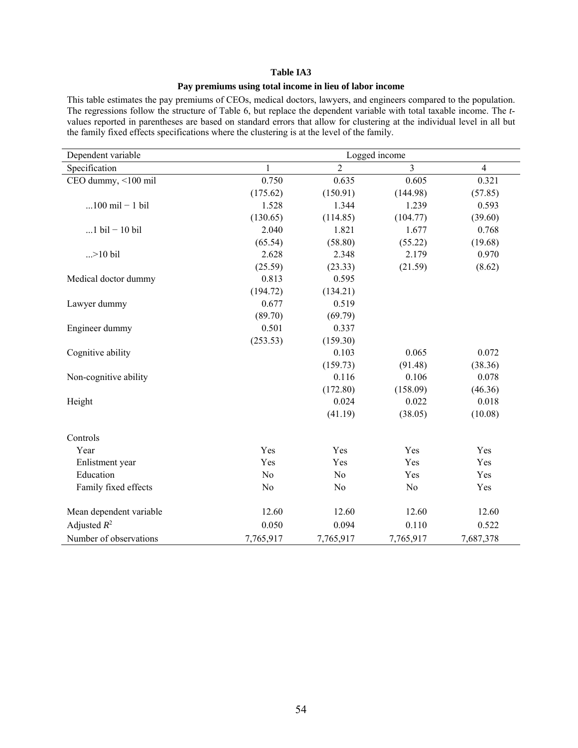#### **Pay premiums using total income in lieu of labor income**

This table estimates the pay premiums of CEOs, medical doctors, lawyers, and engineers compared to the population. The regressions follow the structure of Table 6, but replace the dependent variable with total taxable income. The *t*values reported in parentheses are based on standard errors that allow for clustering at the individual level in all but the family fixed effects specifications where the clustering is at the level of the family.

| Dependent variable                |                |                | Logged income  |                |
|-----------------------------------|----------------|----------------|----------------|----------------|
| Specification                     | 1              | $\overline{2}$ | $\overline{3}$ | $\overline{4}$ |
| CEO dummy, <100 mil               | 0.750          | 0.635          | 0.605          | 0.321          |
|                                   | (175.62)       | (150.91)       | (144.98)       | (57.85)        |
| $100 \text{ mil} - 1 \text{ bil}$ | 1.528          | 1.344          | 1.239          | 0.593          |
|                                   | (130.65)       | (114.85)       | (104.77)       | (39.60)        |
| $1$ bil - 10 bil                  | 2.040          | 1.821          | 1.677          | 0.768          |
|                                   | (65.54)        | (58.80)        | (55.22)        | (19.68)        |
| $. > 10$ bil                      | 2.628          | 2.348          | 2.179          | 0.970          |
|                                   | (25.59)        | (23.33)        | (21.59)        | (8.62)         |
| Medical doctor dummy              | 0.813          | 0.595          |                |                |
|                                   | (194.72)       | (134.21)       |                |                |
| Lawyer dummy                      | 0.677          | 0.519          |                |                |
|                                   | (89.70)        | (69.79)        |                |                |
| Engineer dummy                    | 0.501          | 0.337          |                |                |
|                                   | (253.53)       | (159.30)       |                |                |
| Cognitive ability                 |                | 0.103          | 0.065          | 0.072          |
|                                   |                | (159.73)       | (91.48)        | (38.36)        |
| Non-cognitive ability             |                | 0.116          | 0.106          | 0.078          |
|                                   |                | (172.80)       | (158.09)       | (46.36)        |
| Height                            |                | 0.024          | 0.022          | 0.018          |
|                                   |                | (41.19)        | (38.05)        | (10.08)        |
| Controls                          |                |                |                |                |
| Year                              | Yes            | Yes            | Yes            | Yes            |
| Enlistment year                   | Yes            | Yes            | Yes            | Yes            |
| Education                         | N <sub>o</sub> | N <sub>o</sub> | Yes            | Yes            |
| Family fixed effects              | No             | N <sub>0</sub> | No             | Yes            |
| Mean dependent variable           | 12.60          | 12.60          | 12.60          | 12.60          |
| Adjusted $R^2$                    | 0.050          | 0.094          | 0.110          | 0.522          |
| Number of observations            | 7,765,917      | 7,765,917      | 7,765,917      | 7,687,378      |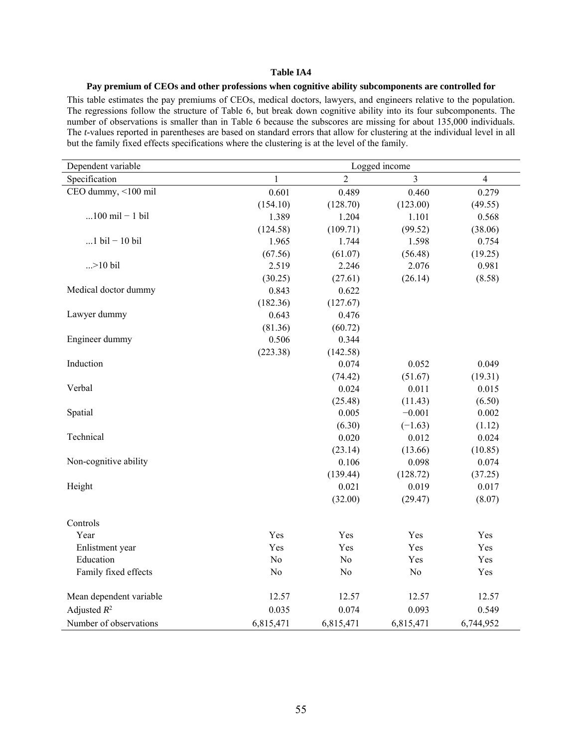#### **Pay premium of CEOs and other professions when cognitive ability subcomponents are controlled for**

This table estimates the pay premiums of CEOs, medical doctors, lawyers, and engineers relative to the population. The regressions follow the structure of Table 6, but break down cognitive ability into its four subcomponents. The number of observations is smaller than in Table 6 because the subscores are missing for about 135,000 individuals. The *t*-values reported in parentheses are based on standard errors that allow for clustering at the individual level in all but the family fixed effects specifications where the clustering is at the level of the family.

| Dependent variable                | Logged income  |                |           |                |  |
|-----------------------------------|----------------|----------------|-----------|----------------|--|
| Specification                     | 1              | $\overline{2}$ | 3         | $\overline{4}$ |  |
| CEO dummy, <100 mil               | 0.601          | 0.489          | 0.460     | 0.279          |  |
|                                   | (154.10)       | (128.70)       | (123.00)  | (49.55)        |  |
| $100 \text{ mil} - 1 \text{ bil}$ | 1.389          | 1.204          | 1.101     | 0.568          |  |
|                                   | (124.58)       | (109.71)       | (99.52)   | (38.06)        |  |
| 1 $\text{bil} - 10 \text{ bil}$   | 1.965          | 1.744          | 1.598     | 0.754          |  |
|                                   | (67.56)        | (61.07)        | (56.48)   | (19.25)        |  |
| $. > 10$ bil                      | 2.519          | 2.246          | 2.076     | 0.981          |  |
|                                   | (30.25)        | (27.61)        | (26.14)   | (8.58)         |  |
| Medical doctor dummy              | 0.843          | 0.622          |           |                |  |
|                                   | (182.36)       | (127.67)       |           |                |  |
| Lawyer dummy                      | 0.643          | 0.476          |           |                |  |
|                                   | (81.36)        | (60.72)        |           |                |  |
| Engineer dummy                    | 0.506          | 0.344          |           |                |  |
|                                   | (223.38)       | (142.58)       |           |                |  |
| Induction                         |                | 0.074          | 0.052     | 0.049          |  |
|                                   |                | (74.42)        | (51.67)   | (19.31)        |  |
| Verbal                            |                | 0.024          | 0.011     | 0.015          |  |
|                                   |                | (25.48)        | (11.43)   | (6.50)         |  |
| Spatial                           |                | 0.005          | $-0.001$  | 0.002          |  |
|                                   |                | (6.30)         | $(-1.63)$ | (1.12)         |  |
| Technical                         |                | 0.020          | 0.012     | 0.024          |  |
|                                   |                | (23.14)        | (13.66)   | (10.85)        |  |
| Non-cognitive ability             |                | 0.106          | 0.098     | 0.074          |  |
|                                   |                | (139.44)       | (128.72)  | (37.25)        |  |
| Height                            |                | 0.021          | 0.019     | 0.017          |  |
|                                   |                | (32.00)        | (29.47)   | (8.07)         |  |
| Controls                          |                |                |           |                |  |
| Year                              | Yes            | Yes            | Yes       | Yes            |  |
| Enlistment year                   | Yes            | Yes            | Yes       | Yes            |  |
| Education                         | N <sub>o</sub> | N <sub>o</sub> | Yes       | Yes            |  |
| Family fixed effects              | N <sub>0</sub> | No             | No        | Yes            |  |
| Mean dependent variable           | 12.57          | 12.57          | 12.57     | 12.57          |  |
| Adjusted $R^2$                    | 0.035          | 0.074          | 0.093     | 0.549          |  |
| Number of observations            | 6,815,471      | 6,815,471      | 6,815,471 | 6,744,952      |  |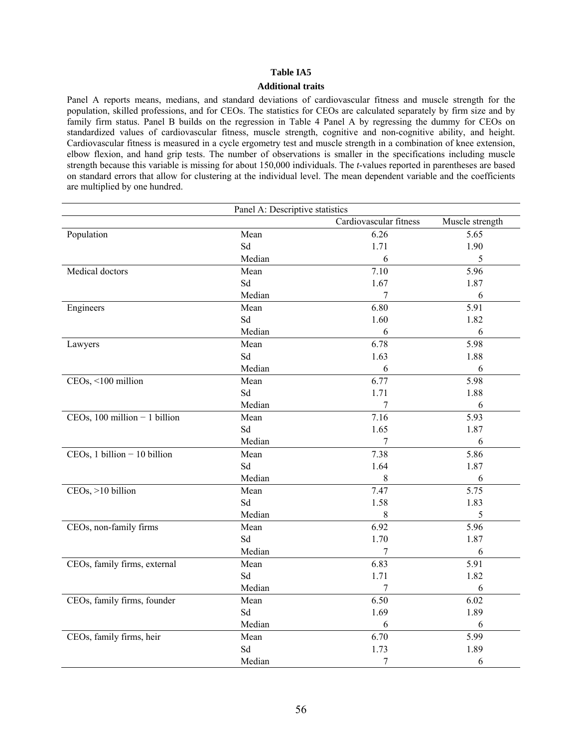#### **Additional traits**

Panel A reports means, medians, and standard deviations of cardiovascular fitness and muscle strength for the population, skilled professions, and for CEOs. The statistics for CEOs are calculated separately by firm size and by family firm status. Panel B builds on the regression in Table 4 Panel A by regressing the dummy for CEOs on standardized values of cardiovascular fitness, muscle strength, cognitive and non-cognitive ability, and height. Cardiovascular fitness is measured in a cycle ergometry test and muscle strength in a combination of knee extension, elbow flexion, and hand grip tests. The number of observations is smaller in the specifications including muscle strength because this variable is missing for about 150,000 individuals. The *t*-values reported in parentheses are based on standard errors that allow for clustering at the individual level. The mean dependent variable and the coefficients are multiplied by one hundred.

| Panel A: Descriptive statistics |        |                        |                 |  |  |  |
|---------------------------------|--------|------------------------|-----------------|--|--|--|
|                                 |        | Cardiovascular fitness | Muscle strength |  |  |  |
| Population                      | Mean   | 6.26                   | 5.65            |  |  |  |
|                                 | Sd     | 1.71                   | 1.90            |  |  |  |
|                                 | Median | 6                      | 5               |  |  |  |
| Medical doctors                 | Mean   | 7.10                   | 5.96            |  |  |  |
|                                 | Sd     | 1.67                   | 1.87            |  |  |  |
|                                 | Median | 7                      | 6               |  |  |  |
| Engineers                       | Mean   | 6.80                   | 5.91            |  |  |  |
|                                 | Sd     | 1.60                   | 1.82            |  |  |  |
|                                 | Median | 6                      | 6               |  |  |  |
| Lawyers                         | Mean   | 6.78                   | 5.98            |  |  |  |
|                                 | Sd     | 1.63                   | 1.88            |  |  |  |
|                                 | Median | 6                      | 6               |  |  |  |
| CEOs, <100 million              | Mean   | 6.77                   | 5.98            |  |  |  |
|                                 | Sd     | 1.71                   | 1.88            |  |  |  |
|                                 | Median | 7                      | 6               |  |  |  |
| $CEOs, 100 million - 1 billion$ | Mean   | 7.16                   | 5.93            |  |  |  |
|                                 | Sd     | 1.65                   | 1.87            |  |  |  |
|                                 | Median | 7                      | 6               |  |  |  |
| $CEOs, 1 billion - 10 billion$  | Mean   | 7.38                   | 5.86            |  |  |  |
|                                 | Sd     | 1.64                   | 1.87            |  |  |  |
|                                 | Median | $8\,$                  | 6               |  |  |  |
| CEOs, >10 billion               | Mean   | 7.47                   | 5.75            |  |  |  |
|                                 | Sd     | 1.58                   | 1.83            |  |  |  |
|                                 | Median | $8\,$                  | 5               |  |  |  |
| CEOs, non-family firms          | Mean   | 6.92                   | 5.96            |  |  |  |
|                                 | Sd     | 1.70                   | 1.87            |  |  |  |
|                                 | Median | 7                      | 6               |  |  |  |
| CEOs, family firms, external    | Mean   | 6.83                   | 5.91            |  |  |  |
|                                 | Sd     | 1.71                   | 1.82            |  |  |  |
|                                 | Median |                        | 6               |  |  |  |
| CEOs, family firms, founder     | Mean   | 6.50                   | 6.02            |  |  |  |
|                                 | Sd     | 1.69                   | 1.89            |  |  |  |
|                                 | Median | 6                      | 6               |  |  |  |
| CEOs, family firms, heir        | Mean   | 6.70                   | 5.99            |  |  |  |
|                                 | Sd     | 1.73                   | 1.89            |  |  |  |
|                                 | Median | 7                      | 6               |  |  |  |